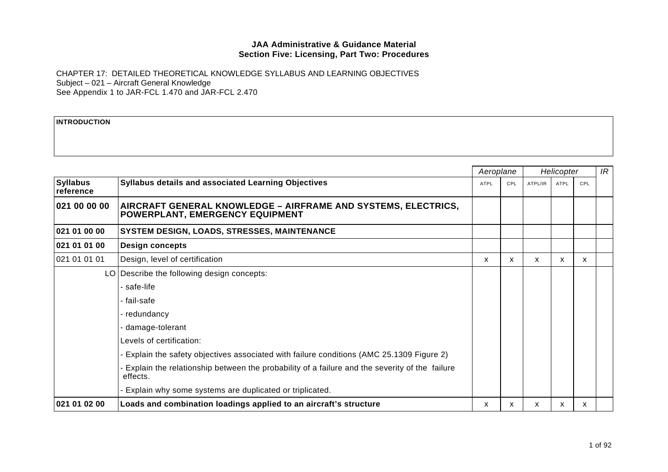CHAPTER 17: DETAILED THEORETICAL KNOWLEDGE SYLLABUS AND LEARNING OBJECTIVES Subject – 021 – Aircraft General Knowledge See Appendix 1 to JAR-FCL 1.470 and JAR-FCL 2.470

#### **INTRODUCTION**

|                              |                                                                                                             | Aeroplane   |     |         | Helicopter  |     | IR |
|------------------------------|-------------------------------------------------------------------------------------------------------------|-------------|-----|---------|-------------|-----|----|
| <b>Syllabus</b><br>reference | Syllabus details and associated Learning Objectives                                                         | <b>ATPL</b> | CPL | ATPL/IR | <b>ATPL</b> | CPL |    |
| 021 00 00 00                 | AIRCRAFT GENERAL KNOWLEDGE – AIRFRAME AND SYSTEMS, ELECTRICS,<br>POWERPLANT, EMERGENCY EQUIPMENT            |             |     |         |             |     |    |
| 021 01 00 00                 | SYSTEM DESIGN, LOADS, STRESSES, MAINTENANCE                                                                 |             |     |         |             |     |    |
| 021 01 01 00                 | <b>Design concepts</b>                                                                                      |             |     |         |             |     |    |
| 021 01 01 01                 | Design, level of certification                                                                              | X           | X.  | x       | X           | x   |    |
|                              | LO Describe the following design concepts:                                                                  |             |     |         |             |     |    |
|                              | - safe-life                                                                                                 |             |     |         |             |     |    |
|                              | - fail-safe                                                                                                 |             |     |         |             |     |    |
|                              | - redundancy                                                                                                |             |     |         |             |     |    |
|                              | - damage-tolerant                                                                                           |             |     |         |             |     |    |
|                              | Levels of certification:                                                                                    |             |     |         |             |     |    |
|                              | - Explain the safety objectives associated with failure conditions (AMC 25.1309 Figure 2)                   |             |     |         |             |     |    |
|                              | - Explain the relationship between the probability of a failure and the severity of the failure<br>effects. |             |     |         |             |     |    |
|                              | - Explain why some systems are duplicated or triplicated.                                                   |             |     |         |             |     |    |
| 021 01 02 00                 | Loads and combination loadings applied to an aircraft's structure                                           | X           | X   | X       | X           | X.  |    |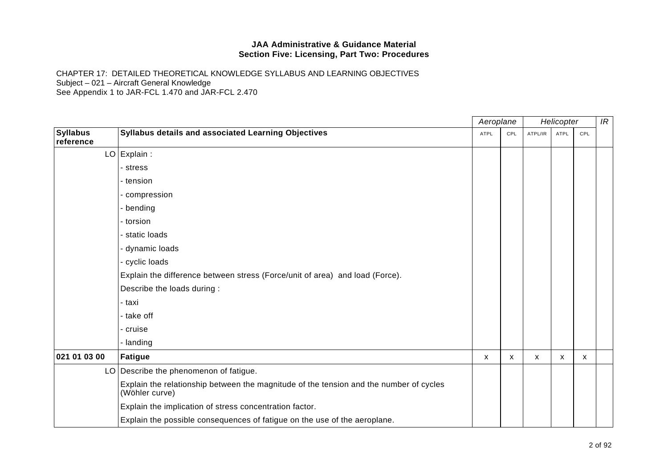|                              |                                                                                                          |      | Aeroplane |         | Helicopter  |     |  |
|------------------------------|----------------------------------------------------------------------------------------------------------|------|-----------|---------|-------------|-----|--|
| <b>Syllabus</b><br>reference | Syllabus details and associated Learning Objectives                                                      | ATPL | CPL       | ATPL/IR | <b>ATPL</b> | CPL |  |
|                              | $LO$ Explain :                                                                                           |      |           |         |             |     |  |
|                              | - stress                                                                                                 |      |           |         |             |     |  |
|                              | - tension                                                                                                |      |           |         |             |     |  |
|                              | - compression                                                                                            |      |           |         |             |     |  |
|                              | - bending                                                                                                |      |           |         |             |     |  |
|                              | - torsion                                                                                                |      |           |         |             |     |  |
|                              | - static loads                                                                                           |      |           |         |             |     |  |
|                              | - dynamic loads                                                                                          |      |           |         |             |     |  |
|                              | - cyclic loads                                                                                           |      |           |         |             |     |  |
|                              | Explain the difference between stress (Force/unit of area) and load (Force).                             |      |           |         |             |     |  |
|                              | Describe the loads during :                                                                              |      |           |         |             |     |  |
|                              | - taxi                                                                                                   |      |           |         |             |     |  |
|                              | - take off                                                                                               |      |           |         |             |     |  |
|                              | - cruise                                                                                                 |      |           |         |             |     |  |
|                              | - landing                                                                                                |      |           |         |             |     |  |
| 021 01 03 00                 | <b>Fatigue</b>                                                                                           | X    | X         | X       | X           | X   |  |
|                              | LO   Describe the phenomenon of fatigue.                                                                 |      |           |         |             |     |  |
|                              | Explain the relationship between the magnitude of the tension and the number of cycles<br>(Wöhler curve) |      |           |         |             |     |  |
|                              | Explain the implication of stress concentration factor.                                                  |      |           |         |             |     |  |
|                              | Explain the possible consequences of fatigue on the use of the aeroplane.                                |      |           |         |             |     |  |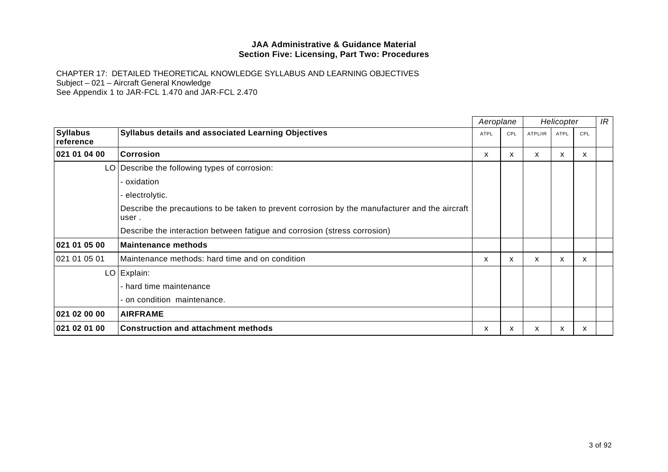|                              |                                                                                                         |             | Aeroplane | Helicopter |      |     | IR |
|------------------------------|---------------------------------------------------------------------------------------------------------|-------------|-----------|------------|------|-----|----|
| <b>Syllabus</b><br>reference | <b>Syllabus details and associated Learning Objectives</b>                                              | <b>ATPL</b> | CPL       | ATPL/IR    | ATPL | CPL |    |
| 021 01 04 00                 | Corrosion                                                                                               | X           | X         | X          | X    | X   |    |
|                              | LO Describe the following types of corrosion:                                                           |             |           |            |      |     |    |
|                              | - oxidation                                                                                             |             |           |            |      |     |    |
|                              | - electrolytic.                                                                                         |             |           |            |      |     |    |
|                              | Describe the precautions to be taken to prevent corrosion by the manufacturer and the aircraft<br>user. |             |           |            |      |     |    |
|                              | Describe the interaction between fatigue and corrosion (stress corrosion)                               |             |           |            |      |     |    |
| 021 01 05 00                 | <b>Maintenance methods</b>                                                                              |             |           |            |      |     |    |
| 021 01 05 01                 | Maintenance methods: hard time and on condition                                                         | X.          | x         | X          | X    | X.  |    |
|                              | LO Explain:                                                                                             |             |           |            |      |     |    |
|                              | - hard time maintenance                                                                                 |             |           |            |      |     |    |
|                              | - on condition maintenance.                                                                             |             |           |            |      |     |    |
| 021 02 00 00                 | <b>AIRFRAME</b>                                                                                         |             |           |            |      |     |    |
| 021 02 01 00                 | <b>Construction and attachment methods</b>                                                              | X.          | x         | X          | x    | x   |    |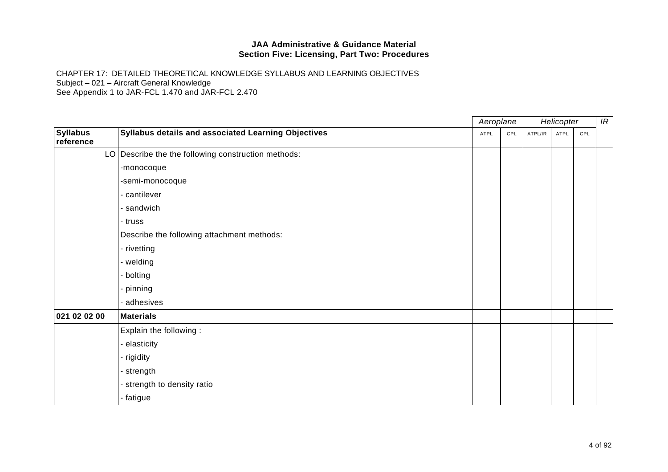|                              |                                                     | Aeroplane |      | Helicopter |         |      | IR  |  |
|------------------------------|-----------------------------------------------------|-----------|------|------------|---------|------|-----|--|
| <b>Syllabus</b><br>reference | Syllabus details and associated Learning Objectives |           | ATPL | CPL        | ATPL/IR | ATPL | CPL |  |
|                              | LO Describe the the following construction methods: |           |      |            |         |      |     |  |
|                              | -monocoque                                          |           |      |            |         |      |     |  |
|                              | -semi-monocoque                                     |           |      |            |         |      |     |  |
|                              | - cantilever                                        |           |      |            |         |      |     |  |
|                              | - sandwich                                          |           |      |            |         |      |     |  |
|                              | - truss                                             |           |      |            |         |      |     |  |
|                              | Describe the following attachment methods:          |           |      |            |         |      |     |  |
|                              | - rivetting                                         |           |      |            |         |      |     |  |
|                              | - welding                                           |           |      |            |         |      |     |  |
|                              | - bolting                                           |           |      |            |         |      |     |  |
|                              | - pinning                                           |           |      |            |         |      |     |  |
|                              | - adhesives                                         |           |      |            |         |      |     |  |
| 021 02 02 00                 | <b>Materials</b>                                    |           |      |            |         |      |     |  |
|                              | Explain the following:                              |           |      |            |         |      |     |  |
|                              | - elasticity                                        |           |      |            |         |      |     |  |
|                              | - rigidity                                          |           |      |            |         |      |     |  |
|                              | - strength                                          |           |      |            |         |      |     |  |
|                              | - strength to density ratio                         |           |      |            |         |      |     |  |
|                              | - fatigue                                           |           |      |            |         |      |     |  |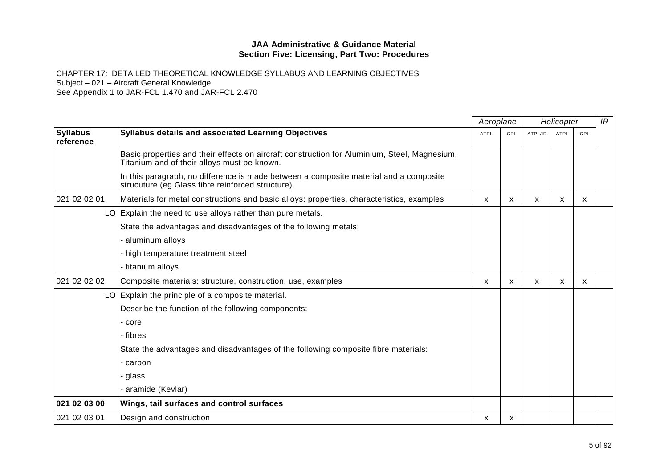|                              |                                                                                                                                             | Aeroplane   |                           | Helicopter |              |            | IR |
|------------------------------|---------------------------------------------------------------------------------------------------------------------------------------------|-------------|---------------------------|------------|--------------|------------|----|
| <b>Syllabus</b><br>reference | Syllabus details and associated Learning Objectives                                                                                         | <b>ATPL</b> | CPL                       | ATPL/IR    | <b>ATPL</b>  | <b>CPL</b> |    |
|                              | Basic properties and their effects on aircraft construction for Aluminium, Steel, Magnesium,<br>Titanium and of their alloys must be known. |             |                           |            |              |            |    |
|                              | In this paragraph, no difference is made between a composite material and a composite<br>strucuture (eg Glass fibre reinforced structure).  |             |                           |            |              |            |    |
| 021 02 02 01                 | Materials for metal constructions and basic alloys: properties, characteristics, examples                                                   | X           | $\boldsymbol{\mathsf{x}}$ | X          | $\mathsf{x}$ | X          |    |
|                              | $LO$ Explain the need to use alloys rather than pure metals.                                                                                |             |                           |            |              |            |    |
|                              | State the advantages and disadvantages of the following metals:                                                                             |             |                           |            |              |            |    |
|                              | - aluminum alloys                                                                                                                           |             |                           |            |              |            |    |
|                              | - high temperature treatment steel                                                                                                          |             |                           |            |              |            |    |
|                              | - titanium alloys                                                                                                                           |             |                           |            |              |            |    |
| 021 02 02 02                 | Composite materials: structure, construction, use, examples                                                                                 | X           | $\boldsymbol{\mathsf{x}}$ | X          | X            | X          |    |
|                              | LO Explain the principle of a composite material.                                                                                           |             |                           |            |              |            |    |
|                              | Describe the function of the following components:                                                                                          |             |                           |            |              |            |    |
|                              | - core                                                                                                                                      |             |                           |            |              |            |    |
|                              | - fibres                                                                                                                                    |             |                           |            |              |            |    |
|                              | State the advantages and disadvantages of the following composite fibre materials:                                                          |             |                           |            |              |            |    |
|                              | - carbon                                                                                                                                    |             |                           |            |              |            |    |
|                              | - glass                                                                                                                                     |             |                           |            |              |            |    |
|                              | aramide (Kevlar)                                                                                                                            |             |                           |            |              |            |    |
| 021 02 03 00                 | Wings, tail surfaces and control surfaces                                                                                                   |             |                           |            |              |            |    |
| 021 02 03 01                 | Design and construction                                                                                                                     | x           | х                         |            |              |            |    |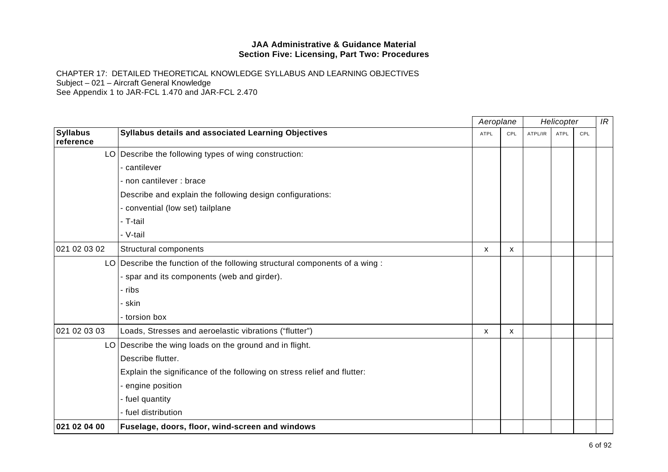|                              |                                                                            |             | Aeroplane    |         | Helicopter  |     | IR |
|------------------------------|----------------------------------------------------------------------------|-------------|--------------|---------|-------------|-----|----|
| <b>Syllabus</b><br>reference | Syllabus details and associated Learning Objectives                        | <b>ATPL</b> | CPL          | ATPL/IR | <b>ATPL</b> | CPL |    |
|                              | LO Describe the following types of wing construction:                      |             |              |         |             |     |    |
|                              | cantilever                                                                 |             |              |         |             |     |    |
|                              | - non cantilever : brace                                                   |             |              |         |             |     |    |
|                              | Describe and explain the following design configurations:                  |             |              |         |             |     |    |
|                              | - convential (low set) tailplane                                           |             |              |         |             |     |    |
|                              | - T-tail                                                                   |             |              |         |             |     |    |
|                              | - V-tail                                                                   |             |              |         |             |     |    |
| 021 02 03 02                 | Structural components                                                      | X           | X            |         |             |     |    |
|                              | LO Describe the function of the following structural components of a wing: |             |              |         |             |     |    |
|                              | - spar and its components (web and girder).                                |             |              |         |             |     |    |
|                              | - ribs                                                                     |             |              |         |             |     |    |
|                              | - skin                                                                     |             |              |         |             |     |    |
|                              | - torsion box                                                              |             |              |         |             |     |    |
| 021 02 03 03                 | Loads, Stresses and aeroelastic vibrations ("flutter")                     | X           | $\mathsf{x}$ |         |             |     |    |
|                              | LO Describe the wing loads on the ground and in flight.                    |             |              |         |             |     |    |
|                              | Describe flutter.                                                          |             |              |         |             |     |    |
|                              | Explain the significance of the following on stress relief and flutter:    |             |              |         |             |     |    |
|                              | engine position                                                            |             |              |         |             |     |    |
|                              | - fuel quantity                                                            |             |              |         |             |     |    |
|                              | - fuel distribution                                                        |             |              |         |             |     |    |
| 021 02 04 00                 | Fuselage, doors, floor, wind-screen and windows                            |             |              |         |             |     |    |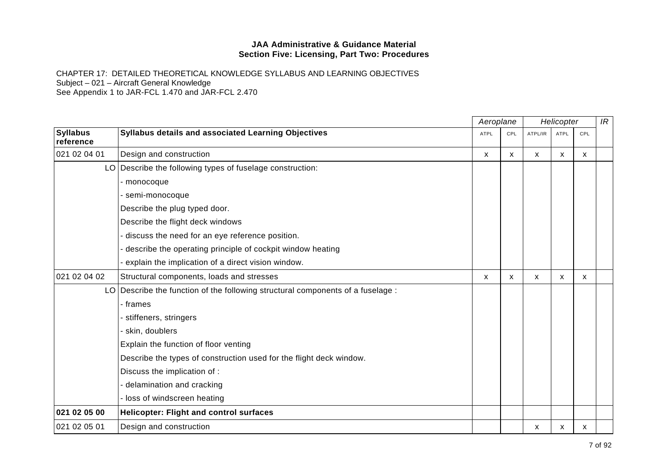|                              |                                                                                 | Aeroplane   |                           | Helicopter |              |              | IR |
|------------------------------|---------------------------------------------------------------------------------|-------------|---------------------------|------------|--------------|--------------|----|
| <b>Syllabus</b><br>reference | Syllabus details and associated Learning Objectives                             | <b>ATPL</b> | CPL                       | ATPL/IR    | <b>ATPL</b>  | CPL          |    |
| 021 02 04 01                 | Design and construction                                                         | X           | $\mathsf{x}$              | X          | $\mathsf{x}$ | $\mathsf{x}$ |    |
|                              | LO Describe the following types of fuselage construction:                       |             |                           |            |              |              |    |
|                              | - monocoque                                                                     |             |                           |            |              |              |    |
|                              | - semi-monocoque                                                                |             |                           |            |              |              |    |
|                              | Describe the plug typed door.                                                   |             |                           |            |              |              |    |
|                              | Describe the flight deck windows                                                |             |                           |            |              |              |    |
|                              | discuss the need for an eye reference position.                                 |             |                           |            |              |              |    |
|                              | describe the operating principle of cockpit window heating                      |             |                           |            |              |              |    |
|                              | explain the implication of a direct vision window.                              |             |                           |            |              |              |    |
| 021 02 04 02                 | Structural components, loads and stresses                                       | X           | $\boldsymbol{\mathsf{x}}$ | X          | X            | X            |    |
|                              | LO Describe the function of the following structural components of a fuselage : |             |                           |            |              |              |    |
|                              | - frames                                                                        |             |                           |            |              |              |    |
|                              | - stiffeners, stringers                                                         |             |                           |            |              |              |    |
|                              | - skin, doublers                                                                |             |                           |            |              |              |    |
|                              | Explain the function of floor venting                                           |             |                           |            |              |              |    |
|                              | Describe the types of construction used for the flight deck window.             |             |                           |            |              |              |    |
|                              | Discuss the implication of :                                                    |             |                           |            |              |              |    |
|                              | delamination and cracking                                                       |             |                           |            |              |              |    |
|                              | - loss of windscreen heating                                                    |             |                           |            |              |              |    |
| 021 02 05 00                 | <b>Helicopter: Flight and control surfaces</b>                                  |             |                           |            |              |              |    |
| 021 02 05 01                 | Design and construction                                                         |             |                           | x          | x            | Х            |    |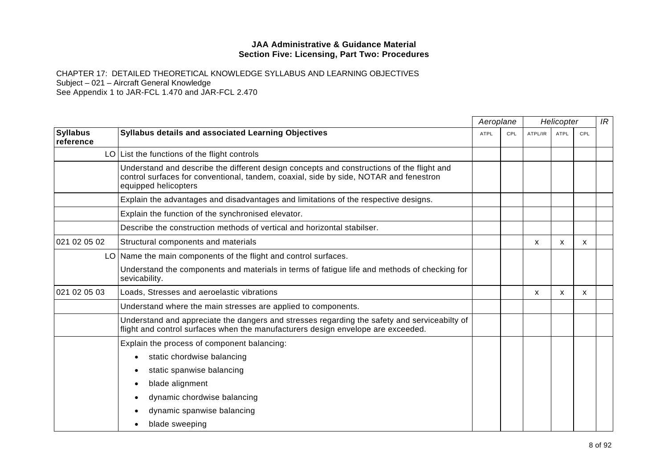|                              |                                                                                                                                                                                                            | Aeroplane   |     |         | Helicopter  |     | IR |
|------------------------------|------------------------------------------------------------------------------------------------------------------------------------------------------------------------------------------------------------|-------------|-----|---------|-------------|-----|----|
| <b>Syllabus</b><br>reference | <b>Syllabus details and associated Learning Objectives</b>                                                                                                                                                 | <b>ATPL</b> | CPL | ATPL/IR | <b>ATPL</b> | CPL |    |
|                              | $LO$ List the functions of the flight controls                                                                                                                                                             |             |     |         |             |     |    |
|                              | Understand and describe the different design concepts and constructions of the flight and<br>control surfaces for conventional, tandem, coaxial, side by side, NOTAR and fenestron<br>equipped helicopters |             |     |         |             |     |    |
|                              | Explain the advantages and disadvantages and limitations of the respective designs.                                                                                                                        |             |     |         |             |     |    |
|                              | Explain the function of the synchronised elevator.                                                                                                                                                         |             |     |         |             |     |    |
|                              | Describe the construction methods of vertical and horizontal stabilser.                                                                                                                                    |             |     |         |             |     |    |
| 021 02 05 02                 | Structural components and materials                                                                                                                                                                        |             |     | X       | x           | X   |    |
|                              | LO Name the main components of the flight and control surfaces.                                                                                                                                            |             |     |         |             |     |    |
|                              | Understand the components and materials in terms of fatigue life and methods of checking for<br>sevicability.                                                                                              |             |     |         |             |     |    |
| 021 02 05 03                 | Loads, Stresses and aeroelastic vibrations                                                                                                                                                                 |             |     | x       | x           | x   |    |
|                              | Understand where the main stresses are applied to components.                                                                                                                                              |             |     |         |             |     |    |
|                              | Understand and appreciate the dangers and stresses regarding the safety and serviceabilty of<br>flight and control surfaces when the manufacturers design envelope are exceeded.                           |             |     |         |             |     |    |
|                              | Explain the process of component balancing:                                                                                                                                                                |             |     |         |             |     |    |
|                              | static chordwise balancing<br>$\bullet$                                                                                                                                                                    |             |     |         |             |     |    |
|                              | static spanwise balancing<br>٠                                                                                                                                                                             |             |     |         |             |     |    |
|                              | blade alignment<br>$\bullet$                                                                                                                                                                               |             |     |         |             |     |    |
|                              | dynamic chordwise balancing                                                                                                                                                                                |             |     |         |             |     |    |
|                              | dynamic spanwise balancing                                                                                                                                                                                 |             |     |         |             |     |    |
|                              | blade sweeping                                                                                                                                                                                             |             |     |         |             |     |    |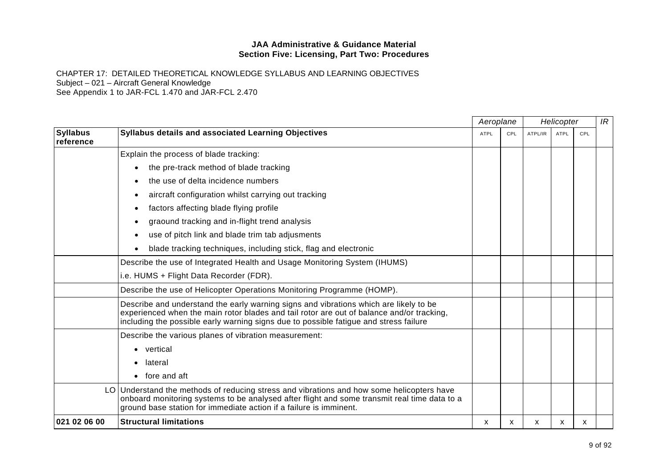CHAPTER 17: DETAILED THEORETICAL KNOWLEDGE SYLLABUS AND LEARNING OBJECTIVES Subject – 021 – Aircraft General Knowledge

See Appendix 1 to JAR-FCL 1.470 and JAR-FCL 2.470

|                              |                                                                                                                                                                                                                                                                             | Aeroplane   |     | Helicopter |             |     | IR |
|------------------------------|-----------------------------------------------------------------------------------------------------------------------------------------------------------------------------------------------------------------------------------------------------------------------------|-------------|-----|------------|-------------|-----|----|
| <b>Syllabus</b><br>reference | <b>Syllabus details and associated Learning Objectives</b>                                                                                                                                                                                                                  | <b>ATPL</b> | CPL | ATPL/IR    | <b>ATPL</b> | CPL |    |
|                              | Explain the process of blade tracking:                                                                                                                                                                                                                                      |             |     |            |             |     |    |
|                              | the pre-track method of blade tracking<br>$\bullet$                                                                                                                                                                                                                         |             |     |            |             |     |    |
|                              | the use of delta incidence numbers                                                                                                                                                                                                                                          |             |     |            |             |     |    |
|                              | aircraft configuration whilst carrying out tracking                                                                                                                                                                                                                         |             |     |            |             |     |    |
|                              | factors affecting blade flying profile                                                                                                                                                                                                                                      |             |     |            |             |     |    |
|                              | graound tracking and in-flight trend analysis                                                                                                                                                                                                                               |             |     |            |             |     |    |
|                              | use of pitch link and blade trim tab adjusments<br>$\bullet$                                                                                                                                                                                                                |             |     |            |             |     |    |
|                              | blade tracking techniques, including stick, flag and electronic                                                                                                                                                                                                             |             |     |            |             |     |    |
|                              | Describe the use of Integrated Health and Usage Monitoring System (IHUMS)                                                                                                                                                                                                   |             |     |            |             |     |    |
|                              | i.e. HUMS + Flight Data Recorder (FDR).                                                                                                                                                                                                                                     |             |     |            |             |     |    |
|                              | Describe the use of Helicopter Operations Monitoring Programme (HOMP).                                                                                                                                                                                                      |             |     |            |             |     |    |
|                              | Describe and understand the early warning signs and vibrations which are likely to be<br>experienced when the main rotor blades and tail rotor are out of balance and/or tracking,<br>including the possible early warning signs due to possible fatigue and stress failure |             |     |            |             |     |    |
|                              | Describe the various planes of vibration measurement:                                                                                                                                                                                                                       |             |     |            |             |     |    |
|                              | vertical                                                                                                                                                                                                                                                                    |             |     |            |             |     |    |
|                              | lateral                                                                                                                                                                                                                                                                     |             |     |            |             |     |    |
|                              | fore and aft<br>$\bullet$                                                                                                                                                                                                                                                   |             |     |            |             |     |    |
|                              | LO Understand the methods of reducing stress and vibrations and how some helicopters have<br>onboard monitoring systems to be analysed after flight and some transmit real time data to a<br>ground base station for immediate action if a failure is imminent.             |             |     |            |             |     |    |
| 021 02 06 00                 | <b>Structural limitations</b>                                                                                                                                                                                                                                               | x           | х   | x          | x           | x   |    |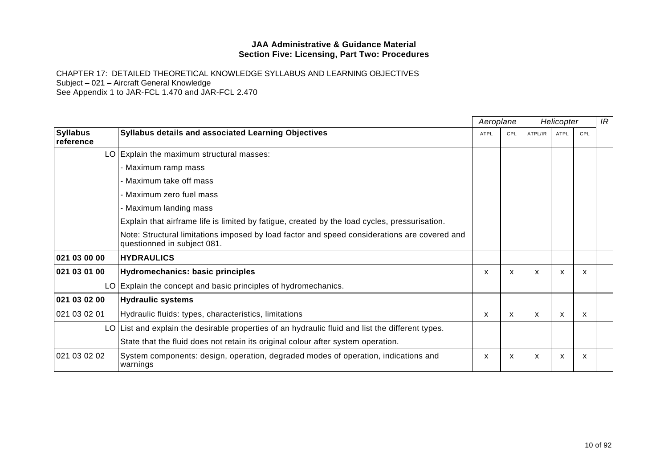|                              |                                                                                                                             |             | Aeroplane | Helicopter |             |     | IR |
|------------------------------|-----------------------------------------------------------------------------------------------------------------------------|-------------|-----------|------------|-------------|-----|----|
| <b>Syllabus</b><br>reference | Syllabus details and associated Learning Objectives                                                                         | <b>ATPL</b> | CPL       | ATPL/IR    | <b>ATPL</b> | CPL |    |
|                              | LO Explain the maximum structural masses:                                                                                   |             |           |            |             |     |    |
|                              | - Maximum ramp mass                                                                                                         |             |           |            |             |     |    |
|                              | - Maximum take off mass                                                                                                     |             |           |            |             |     |    |
|                              | - Maximum zero fuel mass                                                                                                    |             |           |            |             |     |    |
|                              | - Maximum landing mass                                                                                                      |             |           |            |             |     |    |
|                              | Explain that airframe life is limited by fatigue, created by the load cycles, pressurisation.                               |             |           |            |             |     |    |
|                              | Note: Structural limitations imposed by load factor and speed considerations are covered and<br>questionned in subject 081. |             |           |            |             |     |    |
| 021 03 00 00                 | <b>HYDRAULICS</b>                                                                                                           |             |           |            |             |     |    |
| 021 03 01 00                 | Hydromechanics: basic principles                                                                                            | x           | X         | X          | X           | X   |    |
|                              | LO Explain the concept and basic principles of hydromechanics.                                                              |             |           |            |             |     |    |
| 021 03 02 00                 | <b>Hydraulic systems</b>                                                                                                    |             |           |            |             |     |    |
| 021 03 02 01                 | Hydraulic fluids: types, characteristics, limitations                                                                       | x           | X         | X          | X           | X   |    |
|                              | $LO$ List and explain the desirable properties of an hydraulic fluid and list the different types.                          |             |           |            |             |     |    |
|                              | State that the fluid does not retain its original colour after system operation.                                            |             |           |            |             |     |    |
| 021 03 02 02                 | System components: design, operation, degraded modes of operation, indications and<br>warnings                              | x           | x         | x          | x           | x   |    |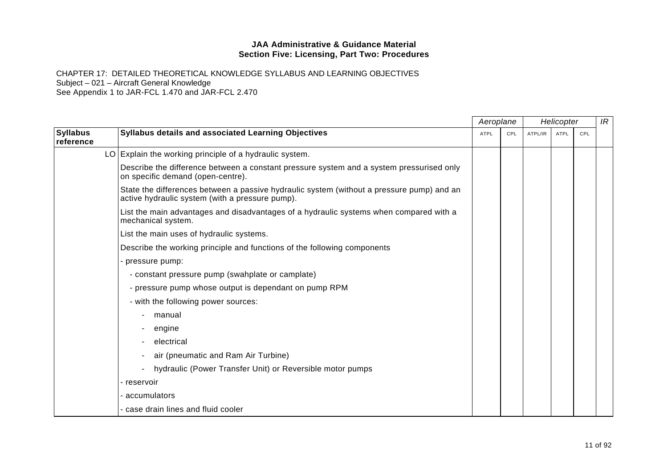|                              |                                                                                                                                              |             | Aeroplane<br>Helicopter |         |             | IR  |  |
|------------------------------|----------------------------------------------------------------------------------------------------------------------------------------------|-------------|-------------------------|---------|-------------|-----|--|
| <b>Syllabus</b><br>reference | Syllabus details and associated Learning Objectives                                                                                          | <b>ATPL</b> | CPL                     | ATPL/IR | <b>ATPL</b> | CPL |  |
|                              | LO Explain the working principle of a hydraulic system.                                                                                      |             |                         |         |             |     |  |
|                              | Describe the difference between a constant pressure system and a system pressurised only<br>on specific demand (open-centre).                |             |                         |         |             |     |  |
|                              | State the differences between a passive hydraulic system (without a pressure pump) and an<br>active hydraulic system (with a pressure pump). |             |                         |         |             |     |  |
|                              | List the main advantages and disadvantages of a hydraulic systems when compared with a<br>mechanical system.                                 |             |                         |         |             |     |  |
|                              | List the main uses of hydraulic systems.                                                                                                     |             |                         |         |             |     |  |
|                              | Describe the working principle and functions of the following components                                                                     |             |                         |         |             |     |  |
|                              | - pressure pump:                                                                                                                             |             |                         |         |             |     |  |
|                              | - constant pressure pump (swahplate or camplate)                                                                                             |             |                         |         |             |     |  |
|                              | - pressure pump whose output is dependant on pump RPM                                                                                        |             |                         |         |             |     |  |
|                              | - with the following power sources:                                                                                                          |             |                         |         |             |     |  |
|                              | manual                                                                                                                                       |             |                         |         |             |     |  |
|                              | engine                                                                                                                                       |             |                         |         |             |     |  |
|                              | electrical                                                                                                                                   |             |                         |         |             |     |  |
|                              | air (pneumatic and Ram Air Turbine)                                                                                                          |             |                         |         |             |     |  |
|                              | hydraulic (Power Transfer Unit) or Reversible motor pumps                                                                                    |             |                         |         |             |     |  |
|                              | - reservoir                                                                                                                                  |             |                         |         |             |     |  |
|                              | - accumulators                                                                                                                               |             |                         |         |             |     |  |
|                              | - case drain lines and fluid cooler                                                                                                          |             |                         |         |             |     |  |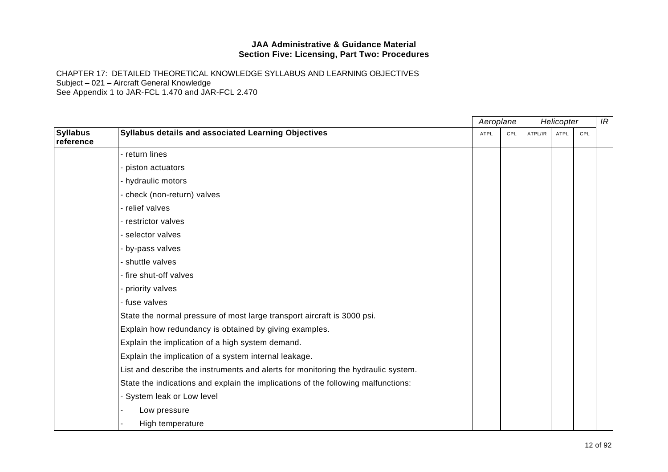|                              |                                                                                   |      | Aeroplane |         | Helicopter  |     | IR |
|------------------------------|-----------------------------------------------------------------------------------|------|-----------|---------|-------------|-----|----|
| <b>Syllabus</b><br>reference | Syllabus details and associated Learning Objectives                               | ATPL | CPL       | ATPL/IR | <b>ATPL</b> | CPL |    |
|                              | - return lines                                                                    |      |           |         |             |     |    |
|                              | - piston actuators                                                                |      |           |         |             |     |    |
|                              | - hydraulic motors                                                                |      |           |         |             |     |    |
|                              | - check (non-return) valves                                                       |      |           |         |             |     |    |
|                              | - relief valves                                                                   |      |           |         |             |     |    |
|                              | - restrictor valves                                                               |      |           |         |             |     |    |
|                              | - selector valves                                                                 |      |           |         |             |     |    |
|                              | - by-pass valves                                                                  |      |           |         |             |     |    |
|                              | - shuttle valves                                                                  |      |           |         |             |     |    |
|                              | - fire shut-off valves                                                            |      |           |         |             |     |    |
|                              | - priority valves                                                                 |      |           |         |             |     |    |
|                              | - fuse valves                                                                     |      |           |         |             |     |    |
|                              | State the normal pressure of most large transport aircraft is 3000 psi.           |      |           |         |             |     |    |
|                              | Explain how redundancy is obtained by giving examples.                            |      |           |         |             |     |    |
|                              | Explain the implication of a high system demand.                                  |      |           |         |             |     |    |
|                              | Explain the implication of a system internal leakage.                             |      |           |         |             |     |    |
|                              | List and describe the instruments and alerts for monitoring the hydraulic system. |      |           |         |             |     |    |
|                              | State the indications and explain the implications of the following malfunctions: |      |           |         |             |     |    |
|                              | - System leak or Low level                                                        |      |           |         |             |     |    |
|                              | Low pressure                                                                      |      |           |         |             |     |    |
|                              | High temperature                                                                  |      |           |         |             |     |    |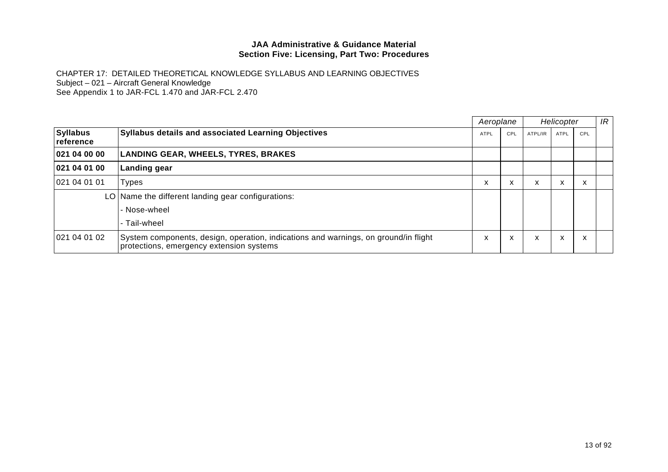|                              |                                                                                                                                 | Aeroplane   |     | Helicopter |      |                                       | IR |
|------------------------------|---------------------------------------------------------------------------------------------------------------------------------|-------------|-----|------------|------|---------------------------------------|----|
| <b>Syllabus</b><br>reference | <b>Syllabus details and associated Learning Objectives</b>                                                                      | <b>ATPL</b> | CPL | ATPL/IR    | ATPL | CPL                                   |    |
| 021 04 00 00                 | <b>LANDING GEAR, WHEELS, TYRES, BRAKES</b>                                                                                      |             |     |            |      |                                       |    |
| 021 04 01 00                 | Landing gear                                                                                                                    |             |     |            |      |                                       |    |
| 021 04 01 01                 | <b>Types</b>                                                                                                                    | v           | X   | X          | x    | $\overline{\phantom{a}}$<br>$\lambda$ |    |
|                              | LO Name the different landing gear configurations:                                                                              |             |     |            |      |                                       |    |
|                              | - Nose-wheel                                                                                                                    |             |     |            |      |                                       |    |
|                              | - Tail-wheel                                                                                                                    |             |     |            |      |                                       |    |
| 021 04 01 02                 | System components, design, operation, indications and warnings, on ground/in flight<br>protections, emergency extension systems | x           | X   | X          | X    | $\checkmark$<br>v                     |    |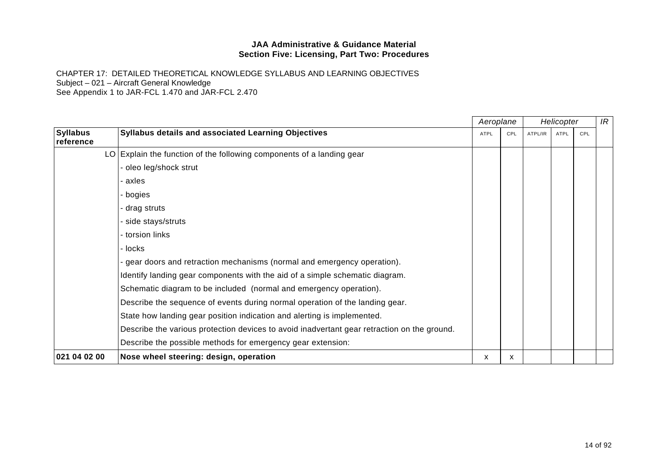|                              |                                                                                             | Aeroplane |     | Helicopter |             |     | IR |
|------------------------------|---------------------------------------------------------------------------------------------|-----------|-----|------------|-------------|-----|----|
| <b>Syllabus</b><br>reference | <b>Syllabus details and associated Learning Objectives</b>                                  | ATPL      | CPL | ATPL/IR    | <b>ATPL</b> | CPL |    |
|                              | LO Explain the function of the following components of a landing gear                       |           |     |            |             |     |    |
|                              | - oleo leg/shock strut                                                                      |           |     |            |             |     |    |
|                              | · axles                                                                                     |           |     |            |             |     |    |
|                              | - bogies                                                                                    |           |     |            |             |     |    |
|                              | - drag struts                                                                               |           |     |            |             |     |    |
|                              | - side stays/struts                                                                         |           |     |            |             |     |    |
|                              | - torsion links                                                                             |           |     |            |             |     |    |
|                              | - locks                                                                                     |           |     |            |             |     |    |
|                              | gear doors and retraction mechanisms (normal and emergency operation).                      |           |     |            |             |     |    |
|                              | Identify landing gear components with the aid of a simple schematic diagram.                |           |     |            |             |     |    |
|                              | Schematic diagram to be included (normal and emergency operation).                          |           |     |            |             |     |    |
|                              | Describe the sequence of events during normal operation of the landing gear.                |           |     |            |             |     |    |
|                              | State how landing gear position indication and alerting is implemented.                     |           |     |            |             |     |    |
|                              | Describe the various protection devices to avoid inadvertant gear retraction on the ground. |           |     |            |             |     |    |
|                              | Describe the possible methods for emergency gear extension:                                 |           |     |            |             |     |    |
| 021 04 02 00                 | Nose wheel steering: design, operation                                                      | X         | x   |            |             |     |    |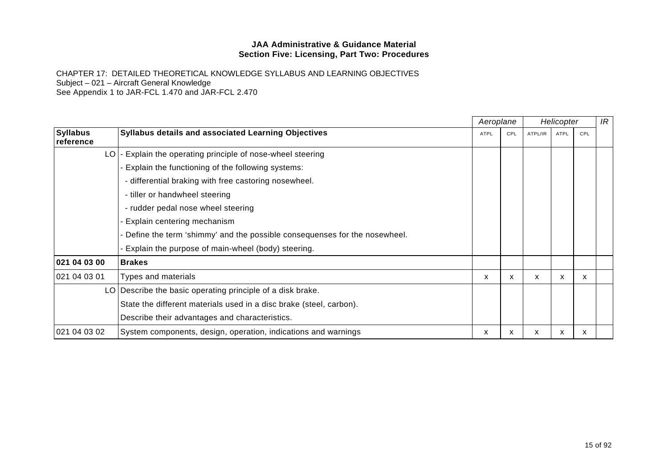|                              |                                                                           |             | Aeroplane |         | Helicopter  |     | IR |
|------------------------------|---------------------------------------------------------------------------|-------------|-----------|---------|-------------|-----|----|
| <b>Syllabus</b><br>reference | <b>Syllabus details and associated Learning Objectives</b>                | <b>ATPL</b> | CPL       | ATPL/IR | <b>ATPL</b> | CPL |    |
| LO <sub>I</sub>              | Explain the operating principle of nose-wheel steering                    |             |           |         |             |     |    |
|                              | Explain the functioning of the following systems:                         |             |           |         |             |     |    |
|                              | - differential braking with free castoring nosewheel.                     |             |           |         |             |     |    |
|                              | - tiller or handwheel steering                                            |             |           |         |             |     |    |
|                              | - rudder pedal nose wheel steering                                        |             |           |         |             |     |    |
|                              | - Explain centering mechanism                                             |             |           |         |             |     |    |
|                              | Define the term 'shimmy' and the possible consequenses for the nosewheel. |             |           |         |             |     |    |
|                              | Explain the purpose of main-wheel (body) steering.                        |             |           |         |             |     |    |
| 021 04 03 00                 | <b>Brakes</b>                                                             |             |           |         |             |     |    |
| 021 04 03 01                 | Types and materials                                                       | X           | X         | X       | X           | X   |    |
|                              | LO   Describe the basic operating principle of a disk brake.              |             |           |         |             |     |    |
|                              | State the different materials used in a disc brake (steel, carbon).       |             |           |         |             |     |    |
|                              | Describe their advantages and characteristics.                            |             |           |         |             |     |    |
| 021 04 03 02                 | System components, design, operation, indications and warnings            | x           | x         | x       | X           | x   |    |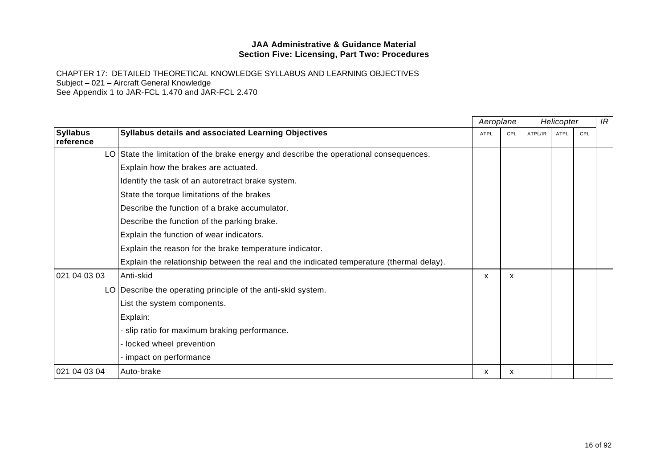|                              |                                                                                          |             | Aeroplane |         | Helicopter |     | IR |
|------------------------------|------------------------------------------------------------------------------------------|-------------|-----------|---------|------------|-----|----|
| <b>Syllabus</b><br>reference | <b>Syllabus details and associated Learning Objectives</b>                               | <b>ATPL</b> | CPL       | ATPL/IR | ATPL       | CPL |    |
|                              | LO State the limitation of the brake energy and describe the operational consequences.   |             |           |         |            |     |    |
|                              | Explain how the brakes are actuated.                                                     |             |           |         |            |     |    |
|                              | Identify the task of an autoretract brake system.                                        |             |           |         |            |     |    |
|                              | State the torque limitations of the brakes                                               |             |           |         |            |     |    |
|                              | Describe the function of a brake accumulator.                                            |             |           |         |            |     |    |
|                              | Describe the function of the parking brake.                                              |             |           |         |            |     |    |
|                              | Explain the function of wear indicators.                                                 |             |           |         |            |     |    |
|                              | Explain the reason for the brake temperature indicator.                                  |             |           |         |            |     |    |
|                              | Explain the relationship between the real and the indicated temperature (thermal delay). |             |           |         |            |     |    |
| 021 04 03 03                 | Anti-skid                                                                                | X           | X         |         |            |     |    |
|                              | LO Describe the operating principle of the anti-skid system.                             |             |           |         |            |     |    |
|                              | List the system components.                                                              |             |           |         |            |     |    |
|                              | Explain:                                                                                 |             |           |         |            |     |    |
|                              | - slip ratio for maximum braking performance.                                            |             |           |         |            |     |    |
|                              | - locked wheel prevention                                                                |             |           |         |            |     |    |
|                              | - impact on performance                                                                  |             |           |         |            |     |    |
| 021 04 03 04                 | Auto-brake                                                                               | x           | x         |         |            |     |    |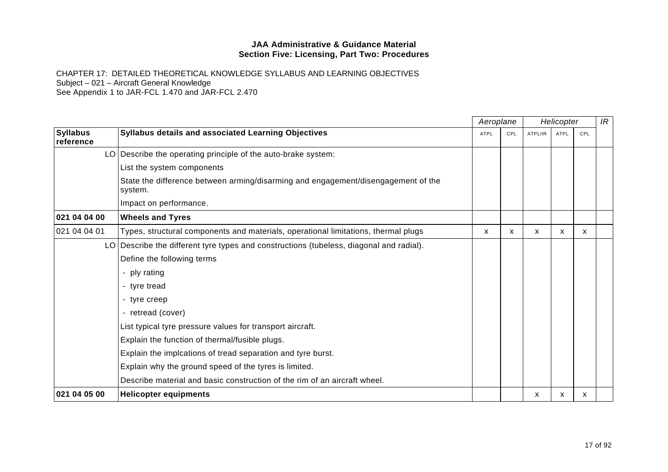|                              |                                                                                              | Aeroplane   |     |         | Helicopter  |     | IR |
|------------------------------|----------------------------------------------------------------------------------------------|-------------|-----|---------|-------------|-----|----|
| <b>Syllabus</b><br>reference | Syllabus details and associated Learning Objectives                                          | <b>ATPL</b> | CPL | ATPL/IR | <b>ATPL</b> | CPL |    |
|                              | LO Describe the operating principle of the auto-brake system:                                |             |     |         |             |     |    |
|                              | List the system components                                                                   |             |     |         |             |     |    |
|                              | State the difference between arming/disarming and engagement/disengagement of the<br>system. |             |     |         |             |     |    |
|                              | Impact on performance.                                                                       |             |     |         |             |     |    |
| 021 04 04 00                 | <b>Wheels and Tyres</b>                                                                      |             |     |         |             |     |    |
| 021 04 04 01                 | Types, structural components and materials, operational limitations, thermal plugs           | x           | X   | х       | X           | X   |    |
|                              | LO Describe the different tyre types and constructions (tubeless, diagonal and radial).      |             |     |         |             |     |    |
|                              | Define the following terms                                                                   |             |     |         |             |     |    |
|                              | - ply rating                                                                                 |             |     |         |             |     |    |
|                              | - tyre tread                                                                                 |             |     |         |             |     |    |
|                              | - tyre creep                                                                                 |             |     |         |             |     |    |
|                              | - retread (cover)                                                                            |             |     |         |             |     |    |
|                              | List typical tyre pressure values for transport aircraft.                                    |             |     |         |             |     |    |
|                              | Explain the function of thermal/fusible plugs.                                               |             |     |         |             |     |    |
|                              | Explain the implcations of tread separation and tyre burst.                                  |             |     |         |             |     |    |
|                              | Explain why the ground speed of the tyres is limited.                                        |             |     |         |             |     |    |
|                              | Describe material and basic construction of the rim of an aircraft wheel.                    |             |     |         |             |     |    |
| 021 04 05 00                 | <b>Helicopter equipments</b>                                                                 |             |     | X       | x           | X.  |    |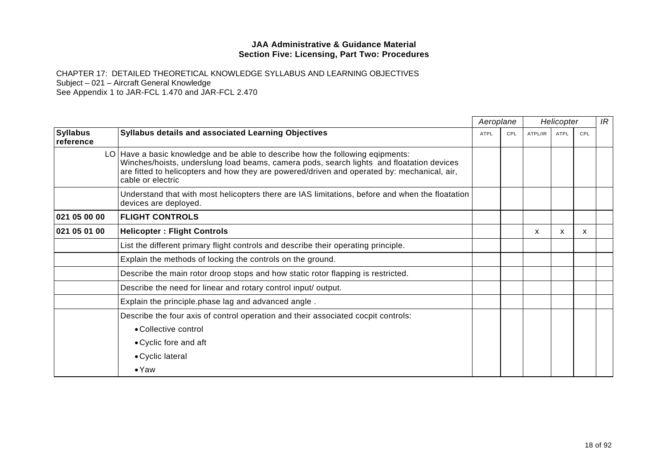|                              |                                                                                                                                                                                                                                                                                                | Aeroplane   |     | Helicopter |             |     | IR |
|------------------------------|------------------------------------------------------------------------------------------------------------------------------------------------------------------------------------------------------------------------------------------------------------------------------------------------|-------------|-----|------------|-------------|-----|----|
| <b>Syllabus</b><br>reference | Syllabus details and associated Learning Objectives                                                                                                                                                                                                                                            | <b>ATPL</b> | CPL | ATPL/IR    | <b>ATPL</b> | CPL |    |
|                              | LO Have a basic knowledge and be able to describe how the following eqipments:<br>Winches/hoists, underslung load beams, camera pods, search lights and floatation devices<br>are fitted to helicopters and how they are powered/driven and operated by: mechanical, air,<br>cable or electric |             |     |            |             |     |    |
|                              | Understand that with most helicopters there are IAS limitations, before and when the floatation<br>devices are deployed.                                                                                                                                                                       |             |     |            |             |     |    |
| 021 05 00 00                 | <b>FLIGHT CONTROLS</b>                                                                                                                                                                                                                                                                         |             |     |            |             |     |    |
| 021 05 01 00                 | <b>Helicopter: Flight Controls</b>                                                                                                                                                                                                                                                             |             |     | X          | X           | X.  |    |
|                              | List the different primary flight controls and describe their operating principle.                                                                                                                                                                                                             |             |     |            |             |     |    |
|                              | Explain the methods of locking the controls on the ground.                                                                                                                                                                                                                                     |             |     |            |             |     |    |
|                              | Describe the main rotor droop stops and how static rotor flapping is restricted.                                                                                                                                                                                                               |             |     |            |             |     |    |
|                              | Describe the need for linear and rotary control input/ output.                                                                                                                                                                                                                                 |             |     |            |             |     |    |
|                              | Explain the principle phase lag and advanced angle.                                                                                                                                                                                                                                            |             |     |            |             |     |    |
|                              | Describe the four axis of control operation and their associated cocpit controls:                                                                                                                                                                                                              |             |     |            |             |     |    |
|                              | • Collective control                                                                                                                                                                                                                                                                           |             |     |            |             |     |    |
|                              | • Cyclic fore and aft                                                                                                                                                                                                                                                                          |             |     |            |             |     |    |
|                              | • Cyclic lateral                                                                                                                                                                                                                                                                               |             |     |            |             |     |    |
|                              | $\bullet$ Yaw                                                                                                                                                                                                                                                                                  |             |     |            |             |     |    |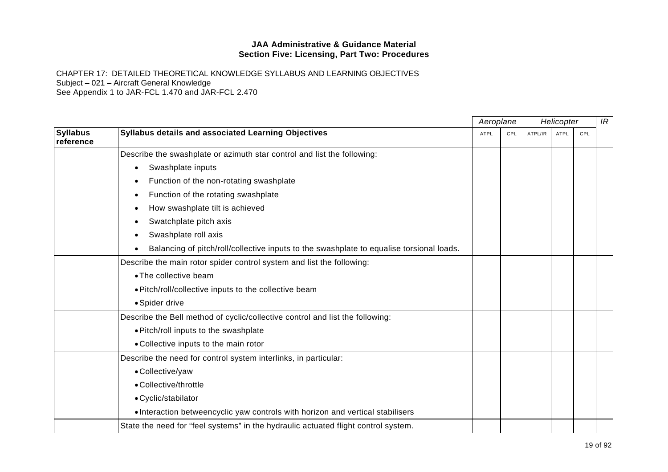|                              |                                                                                          | Aeroplane   |     | Helicopter |             |     | IR |
|------------------------------|------------------------------------------------------------------------------------------|-------------|-----|------------|-------------|-----|----|
| <b>Syllabus</b><br>reference | Syllabus details and associated Learning Objectives                                      | <b>ATPL</b> | CPL | ATPL/IR    | <b>ATPL</b> | CPL |    |
|                              | Describe the swashplate or azimuth star control and list the following:                  |             |     |            |             |     |    |
|                              | Swashplate inputs<br>$\bullet$                                                           |             |     |            |             |     |    |
|                              | Function of the non-rotating swashplate<br>$\bullet$                                     |             |     |            |             |     |    |
|                              | Function of the rotating swashplate                                                      |             |     |            |             |     |    |
|                              | How swashplate tilt is achieved                                                          |             |     |            |             |     |    |
|                              | Swatchplate pitch axis                                                                   |             |     |            |             |     |    |
|                              | Swashplate roll axis                                                                     |             |     |            |             |     |    |
|                              | Balancing of pitch/roll/collective inputs to the swashplate to equalise torsional loads. |             |     |            |             |     |    |
|                              | Describe the main rotor spider control system and list the following:                    |             |     |            |             |     |    |
|                              | • The collective beam                                                                    |             |     |            |             |     |    |
|                              | . Pitch/roll/collective inputs to the collective beam                                    |             |     |            |             |     |    |
|                              | • Spider drive                                                                           |             |     |            |             |     |    |
|                              | Describe the Bell method of cyclic/collective control and list the following:            |             |     |            |             |     |    |
|                              | . Pitch/roll inputs to the swashplate                                                    |             |     |            |             |     |    |
|                              | • Collective inputs to the main rotor                                                    |             |     |            |             |     |    |
|                              | Describe the need for control system interlinks, in particular:                          |             |     |            |             |     |    |
|                              | • Collective/yaw                                                                         |             |     |            |             |     |    |
|                              | • Collective/throttle                                                                    |             |     |            |             |     |    |
|                              | • Cyclic/stabilator                                                                      |             |     |            |             |     |    |
|                              | . Interaction betweencyclic yaw controls with horizon and vertical stabilisers           |             |     |            |             |     |    |
|                              | State the need for "feel systems" in the hydraulic actuated flight control system.       |             |     |            |             |     |    |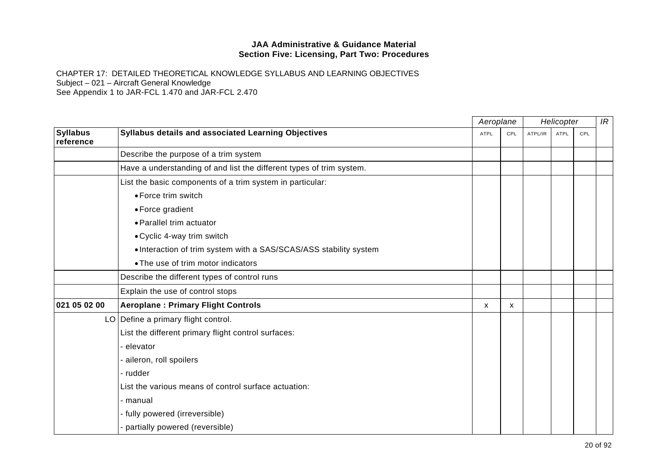|                              |                                                                      | Aeroplane   |     | Helicopter |             |     | IR |
|------------------------------|----------------------------------------------------------------------|-------------|-----|------------|-------------|-----|----|
| <b>Syllabus</b><br>reference | Syllabus details and associated Learning Objectives                  | <b>ATPL</b> | CPL | ATPL/IR    | <b>ATPL</b> | CPL |    |
|                              | Describe the purpose of a trim system                                |             |     |            |             |     |    |
|                              | Have a understanding of and list the different types of trim system. |             |     |            |             |     |    |
|                              | List the basic components of a trim system in particular:            |             |     |            |             |     |    |
|                              | • Force trim switch                                                  |             |     |            |             |     |    |
|                              | • Force gradient                                                     |             |     |            |             |     |    |
|                              | • Parallel trim actuator                                             |             |     |            |             |     |    |
|                              | • Cyclic 4-way trim switch                                           |             |     |            |             |     |    |
|                              | • Interaction of trim system with a SAS/SCAS/ASS stability system    |             |     |            |             |     |    |
|                              | • The use of trim motor indicators                                   |             |     |            |             |     |    |
|                              | Describe the different types of control runs                         |             |     |            |             |     |    |
|                              | Explain the use of control stops                                     |             |     |            |             |     |    |
| 021 05 02 00                 | <b>Aeroplane: Primary Flight Controls</b>                            | x           | X   |            |             |     |    |
|                              | LO Define a primary flight control.                                  |             |     |            |             |     |    |
|                              | List the different primary flight control surfaces:                  |             |     |            |             |     |    |
|                              | elevator                                                             |             |     |            |             |     |    |
|                              | - aileron, roll spoilers                                             |             |     |            |             |     |    |
|                              | - rudder                                                             |             |     |            |             |     |    |
|                              | List the various means of control surface actuation:                 |             |     |            |             |     |    |
|                              | - manual                                                             |             |     |            |             |     |    |
|                              | - fully powered (irreversible)                                       |             |     |            |             |     |    |
|                              | partially powered (reversible)                                       |             |     |            |             |     |    |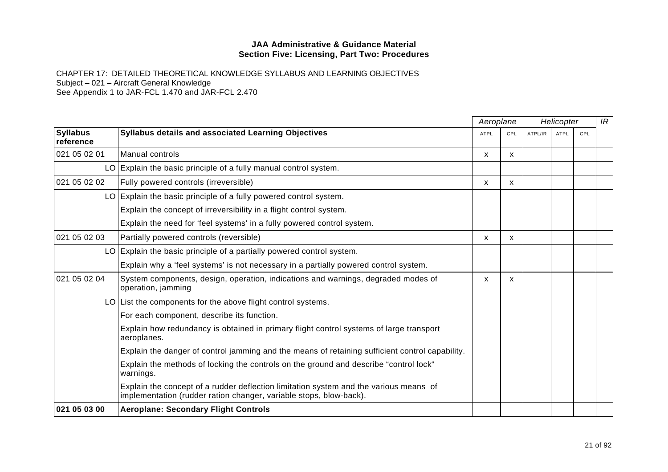|                              |                                                                                                                                                             | Aeroplane   |              |         | Helicopter  |     | IR |
|------------------------------|-------------------------------------------------------------------------------------------------------------------------------------------------------------|-------------|--------------|---------|-------------|-----|----|
| <b>Syllabus</b><br>reference | <b>Syllabus details and associated Learning Objectives</b>                                                                                                  | <b>ATPL</b> | CPL          | ATPL/IR | <b>ATPL</b> | CPL |    |
| 021 05 02 01                 | Manual controls                                                                                                                                             | X           | $\mathsf{x}$ |         |             |     |    |
|                              | LO Explain the basic principle of a fully manual control system.                                                                                            |             |              |         |             |     |    |
| 021 05 02 02                 | Fully powered controls (irreversible)                                                                                                                       | X           | $\mathsf{x}$ |         |             |     |    |
|                              | LO Explain the basic principle of a fully powered control system.                                                                                           |             |              |         |             |     |    |
|                              | Explain the concept of irreversibility in a flight control system.                                                                                          |             |              |         |             |     |    |
|                              | Explain the need for 'feel systems' in a fully powered control system.                                                                                      |             |              |         |             |     |    |
| 021 05 02 03                 | Partially powered controls (reversible)                                                                                                                     | X           | X            |         |             |     |    |
|                              | LO Explain the basic principle of a partially powered control system.                                                                                       |             |              |         |             |     |    |
|                              | Explain why a 'feel systems' is not necessary in a partially powered control system.                                                                        |             |              |         |             |     |    |
| 021 05 02 04                 | System components, design, operation, indications and warnings, degraded modes of<br>operation, jamming                                                     | X           | X            |         |             |     |    |
|                              | LO List the components for the above flight control systems.                                                                                                |             |              |         |             |     |    |
|                              | For each component, describe its function.                                                                                                                  |             |              |         |             |     |    |
|                              | Explain how redundancy is obtained in primary flight control systems of large transport<br>aeroplanes.                                                      |             |              |         |             |     |    |
|                              | Explain the danger of control jamming and the means of retaining sufficient control capability.                                                             |             |              |         |             |     |    |
|                              | Explain the methods of locking the controls on the ground and describe "control lock"<br>warnings.                                                          |             |              |         |             |     |    |
|                              | Explain the concept of a rudder deflection limitation system and the various means of<br>implementation (rudder ration changer, variable stops, blow-back). |             |              |         |             |     |    |
| 021 05 03 00                 | <b>Aeroplane: Secondary Flight Controls</b>                                                                                                                 |             |              |         |             |     |    |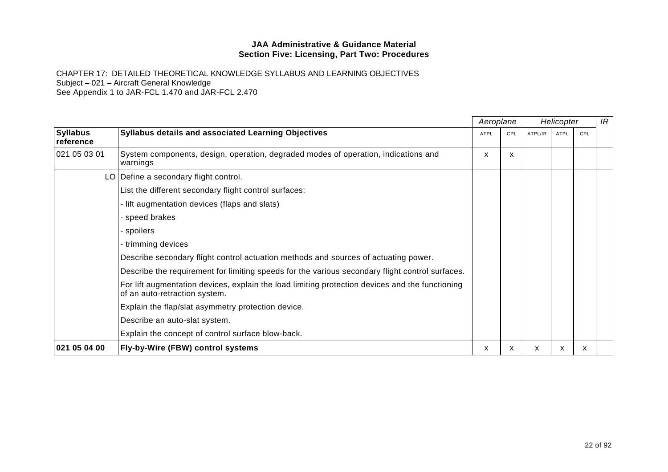CHAPTER 17: DETAILED THEORETICAL KNOWLEDGE SYLLABUS AND LEARNING OBJECTIVES Subject – 021 – Aircraft General Knowledge

See Appendix 1 to JAR-FCL 1.470 and JAR-FCL 2.470

|                              |                                                                                                                                  |             | Aeroplane |         | Helicopter  |     | IR |
|------------------------------|----------------------------------------------------------------------------------------------------------------------------------|-------------|-----------|---------|-------------|-----|----|
| <b>Syllabus</b><br>reference | <b>Syllabus details and associated Learning Objectives</b>                                                                       | <b>ATPL</b> | CPL       | ATPL/IR | <b>ATPL</b> | CPL |    |
| 021 05 03 01                 | System components, design, operation, degraded modes of operation, indications and<br>warnings                                   | X           | X         |         |             |     |    |
|                              | LO   Define a secondary flight control.                                                                                          |             |           |         |             |     |    |
|                              | List the different secondary flight control surfaces:                                                                            |             |           |         |             |     |    |
|                              | - lift augmentation devices (flaps and slats)                                                                                    |             |           |         |             |     |    |
|                              | - speed brakes                                                                                                                   |             |           |         |             |     |    |
|                              | - spoilers                                                                                                                       |             |           |         |             |     |    |
|                              | - trimming devices                                                                                                               |             |           |         |             |     |    |
|                              | Describe secondary flight control actuation methods and sources of actuating power.                                              |             |           |         |             |     |    |
|                              | Describe the requirement for limiting speeds for the various secondary flight control surfaces.                                  |             |           |         |             |     |    |
|                              | For lift augmentation devices, explain the load limiting protection devices and the functioning<br>of an auto-retraction system. |             |           |         |             |     |    |
|                              | Explain the flap/slat asymmetry protection device.                                                                               |             |           |         |             |     |    |
|                              | Describe an auto-slat system.                                                                                                    |             |           |         |             |     |    |
|                              | Explain the concept of control surface blow-back.                                                                                |             |           |         |             |     |    |
| 021 05 04 00                 | Fly-by-Wire (FBW) control systems                                                                                                | X.          | x         | x       | x           | x   |    |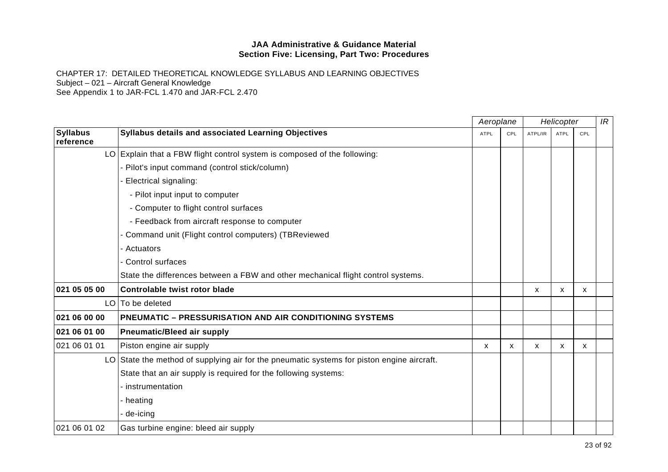|                              |                                                                                              |             | Aeroplane                 | Helicopter |             |              | IR |
|------------------------------|----------------------------------------------------------------------------------------------|-------------|---------------------------|------------|-------------|--------------|----|
| <b>Syllabus</b><br>reference | Syllabus details and associated Learning Objectives                                          | <b>ATPL</b> | CPL                       | ATPL/IR    | <b>ATPL</b> | CPL          |    |
|                              | LO Explain that a FBW flight control system is composed of the following:                    |             |                           |            |             |              |    |
|                              | - Pilot's input command (control stick/column)                                               |             |                           |            |             |              |    |
|                              | <b>Electrical signaling:</b>                                                                 |             |                           |            |             |              |    |
|                              | - Pilot input input to computer                                                              |             |                           |            |             |              |    |
|                              | - Computer to flight control surfaces                                                        |             |                           |            |             |              |    |
|                              | - Feedback from aircraft response to computer                                                |             |                           |            |             |              |    |
|                              | - Command unit (Flight control computers) (TBReviewed                                        |             |                           |            |             |              |    |
|                              | - Actuators                                                                                  |             |                           |            |             |              |    |
|                              | - Control surfaces                                                                           |             |                           |            |             |              |    |
|                              | State the differences between a FBW and other mechanical flight control systems.             |             |                           |            |             |              |    |
| 021 05 05 00                 | Controlable twist rotor blade                                                                |             |                           | X          | X           | $\mathsf{x}$ |    |
|                              | LO To be deleted                                                                             |             |                           |            |             |              |    |
| 021 06 00 00                 | <b>PNEUMATIC - PRESSURISATION AND AIR CONDITIONING SYSTEMS</b>                               |             |                           |            |             |              |    |
| 021 06 01 00                 | <b>Pneumatic/Bleed air supply</b>                                                            |             |                           |            |             |              |    |
| 021 06 01 01                 | Piston engine air supply                                                                     | X           | $\boldsymbol{\mathsf{x}}$ | X          | X           | x            |    |
|                              | $LO$ State the method of supplying air for the pneumatic systems for piston engine aircraft. |             |                           |            |             |              |    |
|                              | State that an air supply is required for the following systems:                              |             |                           |            |             |              |    |
|                              | - instrumentation                                                                            |             |                           |            |             |              |    |
|                              | - heating                                                                                    |             |                           |            |             |              |    |
|                              | - de-icing                                                                                   |             |                           |            |             |              |    |
| 021 06 01 02                 | Gas turbine engine: bleed air supply                                                         |             |                           |            |             |              |    |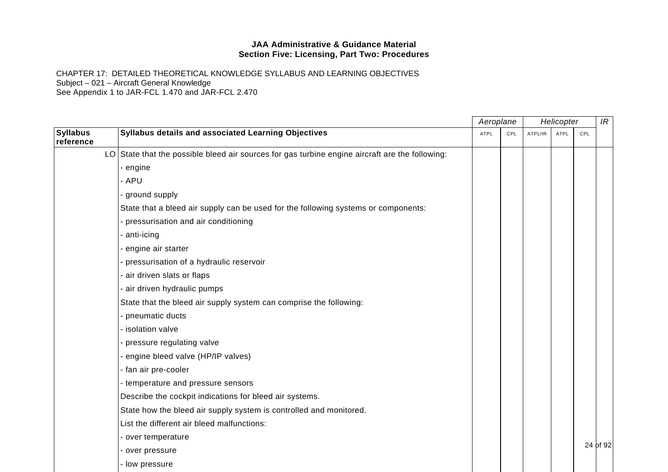|                              |                                                                                                 | Aeroplane   |            |         |             | Helicopter |          |
|------------------------------|-------------------------------------------------------------------------------------------------|-------------|------------|---------|-------------|------------|----------|
| <b>Syllabus</b><br>reference | Syllabus details and associated Learning Objectives                                             | <b>ATPL</b> | <b>CPL</b> | ATPL/IR | <b>ATPL</b> | CPL        |          |
|                              | LO State that the possible bleed air sources for gas turbine engine aircraft are the following: |             |            |         |             |            |          |
|                              | - engine                                                                                        |             |            |         |             |            |          |
|                              | - APU                                                                                           |             |            |         |             |            |          |
|                              | - ground supply                                                                                 |             |            |         |             |            |          |
|                              | State that a bleed air supply can be used for the following systems or components:              |             |            |         |             |            |          |
|                              | - pressurisation and air conditioning                                                           |             |            |         |             |            |          |
|                              | - anti-icing                                                                                    |             |            |         |             |            |          |
|                              | - engine air starter                                                                            |             |            |         |             |            |          |
|                              | - pressurisation of a hydraulic reservoir                                                       |             |            |         |             |            |          |
|                              | - air driven slats or flaps                                                                     |             |            |         |             |            |          |
|                              | - air driven hydraulic pumps                                                                    |             |            |         |             |            |          |
|                              | State that the bleed air supply system can comprise the following:                              |             |            |         |             |            |          |
|                              | - pneumatic ducts                                                                               |             |            |         |             |            |          |
|                              | - isolation valve                                                                               |             |            |         |             |            |          |
|                              | - pressure regulating valve                                                                     |             |            |         |             |            |          |
|                              | - engine bleed valve (HP/IP valves)                                                             |             |            |         |             |            |          |
|                              | - fan air pre-cooler                                                                            |             |            |         |             |            |          |
|                              | - temperature and pressure sensors                                                              |             |            |         |             |            |          |
|                              | Describe the cockpit indications for bleed air systems.                                         |             |            |         |             |            |          |
|                              | State how the bleed air supply system is controlled and monitored.                              |             |            |         |             |            |          |
|                              | List the different air bleed malfunctions:                                                      |             |            |         |             |            |          |
|                              | - over temperature                                                                              |             |            |         |             |            |          |
|                              | - over pressure                                                                                 |             |            |         |             |            | 24 of 92 |
|                              | - low pressure                                                                                  |             |            |         |             |            |          |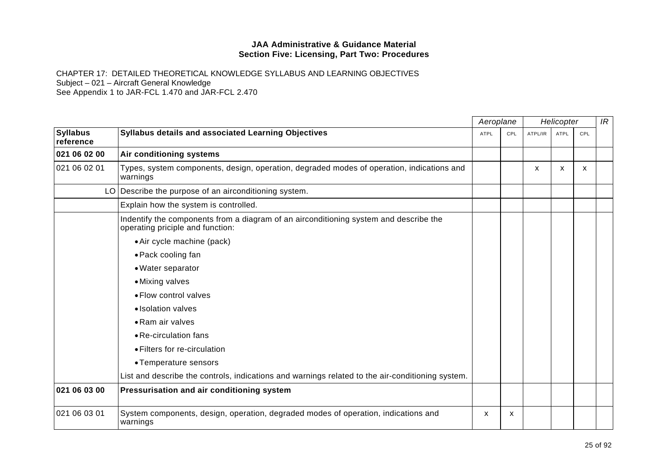|                              |                                                                                                                           |             | Aeroplane | Helicopter |             |     | IR |
|------------------------------|---------------------------------------------------------------------------------------------------------------------------|-------------|-----------|------------|-------------|-----|----|
| <b>Syllabus</b><br>reference | Syllabus details and associated Learning Objectives                                                                       | <b>ATPL</b> | CPL       | ATPL/IR    | <b>ATPL</b> | CPL |    |
| 021 06 02 00                 | Air conditioning systems                                                                                                  |             |           |            |             |     |    |
| 021 06 02 01                 | Types, system components, design, operation, degraded modes of operation, indications and<br>warnings                     |             |           | X          | x           | X   |    |
|                              | LO Describe the purpose of an airconditioning system.                                                                     |             |           |            |             |     |    |
|                              | Explain how the system is controlled.                                                                                     |             |           |            |             |     |    |
|                              | Indentify the components from a diagram of an airconditioning system and describe the<br>operating priciple and function: |             |           |            |             |     |    |
|                              | • Air cycle machine (pack)                                                                                                |             |           |            |             |     |    |
|                              | • Pack cooling fan                                                                                                        |             |           |            |             |     |    |
|                              | • Water separator                                                                                                         |             |           |            |             |     |    |
|                              | • Mixing valves                                                                                                           |             |           |            |             |     |    |
|                              | · Flow control valves                                                                                                     |             |           |            |             |     |    |
|                              | • Isolation valves                                                                                                        |             |           |            |             |     |    |
|                              | • Ram air valves                                                                                                          |             |           |            |             |     |    |
|                              | • Re-circulation fans                                                                                                     |             |           |            |             |     |    |
|                              | · Filters for re-circulation                                                                                              |             |           |            |             |     |    |
|                              | • Temperature sensors                                                                                                     |             |           |            |             |     |    |
|                              | List and describe the controls, indications and warnings related to the air-conditioning system.                          |             |           |            |             |     |    |
| 021 06 03 00                 | Pressurisation and air conditioning system                                                                                |             |           |            |             |     |    |
| 021 06 03 01                 | System components, design, operation, degraded modes of operation, indications and<br>warnings                            | x           | x         |            |             |     |    |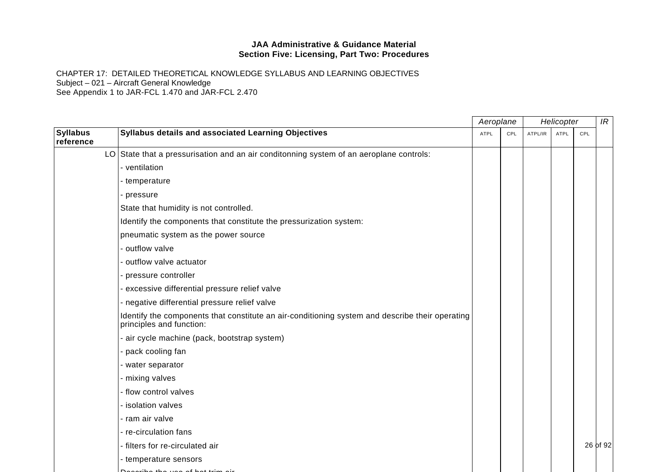|                              |                                                                                                                             | Aeroplane |     |         | Helicopter  |     | IR       |
|------------------------------|-----------------------------------------------------------------------------------------------------------------------------|-----------|-----|---------|-------------|-----|----------|
| <b>Syllabus</b><br>reference | Syllabus details and associated Learning Objectives                                                                         | ATPL      | CPL | ATPL/IR | <b>ATPL</b> | CPL |          |
|                              | LO State that a pressurisation and an air conditonning system of an aeroplane controls:                                     |           |     |         |             |     |          |
|                              | - ventilation                                                                                                               |           |     |         |             |     |          |
|                              | - temperature                                                                                                               |           |     |         |             |     |          |
|                              | - pressure                                                                                                                  |           |     |         |             |     |          |
|                              | State that humidity is not controlled.                                                                                      |           |     |         |             |     |          |
|                              | Identify the components that constitute the pressurization system:                                                          |           |     |         |             |     |          |
|                              | pneumatic system as the power source                                                                                        |           |     |         |             |     |          |
|                              | - outflow valve                                                                                                             |           |     |         |             |     |          |
|                              | - outflow valve actuator                                                                                                    |           |     |         |             |     |          |
|                              | - pressure controller                                                                                                       |           |     |         |             |     |          |
|                              | - excessive differential pressure relief valve                                                                              |           |     |         |             |     |          |
|                              | - negative differential pressure relief valve                                                                               |           |     |         |             |     |          |
|                              | Identify the components that constitute an air-conditioning system and describe their operating<br>principles and function: |           |     |         |             |     |          |
|                              | - air cycle machine (pack, bootstrap system)                                                                                |           |     |         |             |     |          |
|                              | - pack cooling fan                                                                                                          |           |     |         |             |     |          |
|                              | - water separator                                                                                                           |           |     |         |             |     |          |
|                              | - mixing valves                                                                                                             |           |     |         |             |     |          |
|                              | - flow control valves                                                                                                       |           |     |         |             |     |          |
|                              | - isolation valves                                                                                                          |           |     |         |             |     |          |
|                              | - ram air valve                                                                                                             |           |     |         |             |     |          |
|                              | - re-circulation fans                                                                                                       |           |     |         |             |     |          |
|                              | - filters for re-circulated air                                                                                             |           |     |         |             |     | 26 of 92 |
|                              | - temperature sensors                                                                                                       |           |     |         |             |     |          |
|                              | <u>Deceribe the use of bot trim air</u>                                                                                     |           |     |         |             |     |          |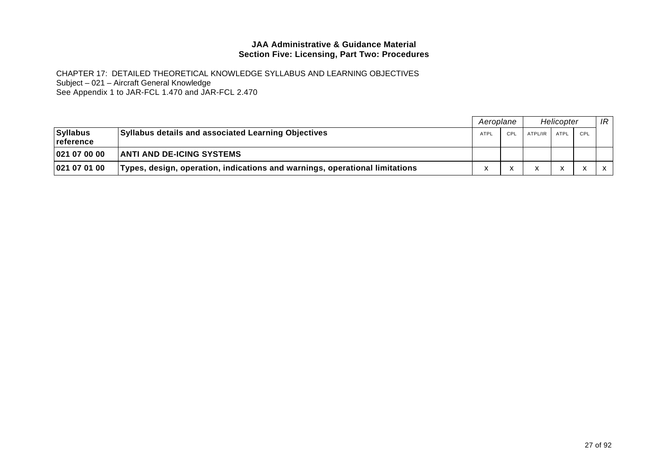|                                        |                                                                             | Aeroplane   |     | Helicopter   |              |                          | IR           |
|----------------------------------------|-----------------------------------------------------------------------------|-------------|-----|--------------|--------------|--------------------------|--------------|
| <b>Syllabus</b><br><u>  reference_</u> | <b>Syllabus details and associated Learning Objectives</b>                  | <b>ATPL</b> | CPL | ATPL/IR      | ATPL         | CPL                      |              |
| 02107000                               | <b>ANTI AND DE-ICING SYSTEMS</b>                                            |             |     |              |              |                          |              |
| 021070100                              | Types, design, operation, indications and warnings, operational limitations |             |     | $\mathbf{v}$ | $\mathbf{v}$ | $\overline{\phantom{a}}$ | $\mathsf{X}$ |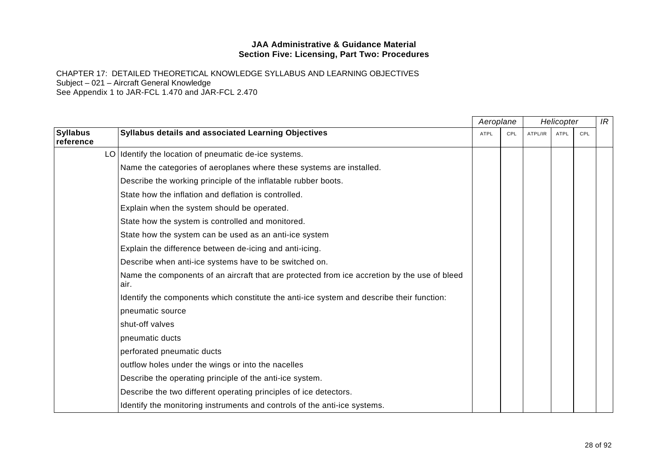|                              |                                                                                                      | Aeroplane |     | Helicopter |             |     | IR |
|------------------------------|------------------------------------------------------------------------------------------------------|-----------|-----|------------|-------------|-----|----|
| <b>Syllabus</b><br>reference | Syllabus details and associated Learning Objectives                                                  | ATPL      | CPL | ATPL/IR    | <b>ATPL</b> | CPL |    |
|                              | LO Identify the location of pneumatic de-ice systems.                                                |           |     |            |             |     |    |
|                              | Name the categories of aeroplanes where these systems are installed.                                 |           |     |            |             |     |    |
|                              | Describe the working principle of the inflatable rubber boots.                                       |           |     |            |             |     |    |
|                              | State how the inflation and deflation is controlled.                                                 |           |     |            |             |     |    |
|                              | Explain when the system should be operated.                                                          |           |     |            |             |     |    |
|                              | State how the system is controlled and monitored.                                                    |           |     |            |             |     |    |
|                              | State how the system can be used as an anti-ice system                                               |           |     |            |             |     |    |
|                              | Explain the difference between de-icing and anti-icing.                                              |           |     |            |             |     |    |
|                              | Describe when anti-ice systems have to be switched on.                                               |           |     |            |             |     |    |
|                              | Name the components of an aircraft that are protected from ice accretion by the use of bleed<br>air. |           |     |            |             |     |    |
|                              | Identify the components which constitute the anti-ice system and describe their function:            |           |     |            |             |     |    |
|                              | pneumatic source                                                                                     |           |     |            |             |     |    |
|                              | shut-off valves                                                                                      |           |     |            |             |     |    |
|                              | pneumatic ducts                                                                                      |           |     |            |             |     |    |
|                              | perforated pneumatic ducts                                                                           |           |     |            |             |     |    |
|                              | outflow holes under the wings or into the nacelles                                                   |           |     |            |             |     |    |
|                              | Describe the operating principle of the anti-ice system.                                             |           |     |            |             |     |    |
|                              | Describe the two different operating principles of ice detectors.                                    |           |     |            |             |     |    |
|                              | Identify the monitoring instruments and controls of the anti-ice systems.                            |           |     |            |             |     |    |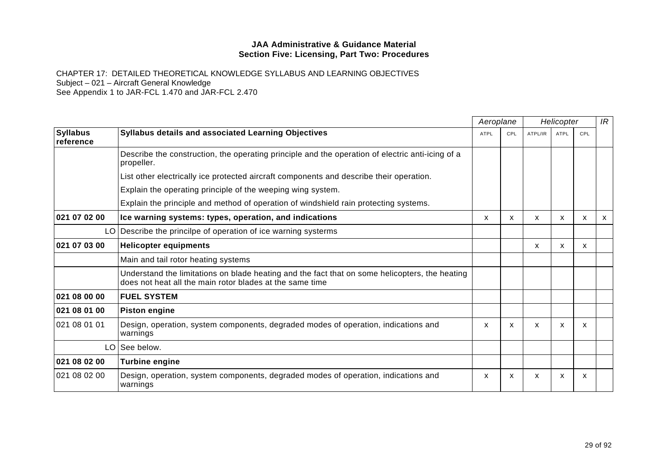|                              |                                                                                                                                                            | Aeroplane   |                           | Helicopter |             |     | IR           |
|------------------------------|------------------------------------------------------------------------------------------------------------------------------------------------------------|-------------|---------------------------|------------|-------------|-----|--------------|
| <b>Syllabus</b><br>reference | Syllabus details and associated Learning Objectives                                                                                                        | <b>ATPL</b> | CPL                       | ATPL/IR    | <b>ATPL</b> | CPL |              |
|                              | Describe the construction, the operating principle and the operation of electric anti-icing of a<br>propeller.                                             |             |                           |            |             |     |              |
|                              | List other electrically ice protected aircraft components and describe their operation.                                                                    |             |                           |            |             |     |              |
|                              | Explain the operating principle of the weeping wing system.                                                                                                |             |                           |            |             |     |              |
|                              | Explain the principle and method of operation of windshield rain protecting systems.                                                                       |             |                           |            |             |     |              |
| 021 07 02 00                 | Ice warning systems: types, operation, and indications                                                                                                     | X           | $\boldsymbol{\mathsf{x}}$ | X          | X           | X   | $\mathsf{x}$ |
|                              | LO Describe the princilpe of operation of ice warning systerms                                                                                             |             |                           |            |             |     |              |
| 021 07 03 00                 | <b>Helicopter equipments</b>                                                                                                                               |             |                           | x          | x           | x   |              |
|                              | Main and tail rotor heating systems                                                                                                                        |             |                           |            |             |     |              |
|                              | Understand the limitations on blade heating and the fact that on some helicopters, the heating<br>does not heat all the main rotor blades at the same time |             |                           |            |             |     |              |
| 021 08 00 00                 | <b>FUEL SYSTEM</b>                                                                                                                                         |             |                           |            |             |     |              |
| 021 08 01 00                 | <b>Piston engine</b>                                                                                                                                       |             |                           |            |             |     |              |
| 021 08 01 01                 | Design, operation, system components, degraded modes of operation, indications and<br>warnings                                                             | X           | x                         | x          | X           | X   |              |
|                              | LO See below.                                                                                                                                              |             |                           |            |             |     |              |
| 021 08 02 00                 | <b>Turbine engine</b>                                                                                                                                      |             |                           |            |             |     |              |
| 021 08 02 00                 | Design, operation, system components, degraded modes of operation, indications and<br>warnings                                                             | X           | $\mathsf{x}$              | X          | X           | x   |              |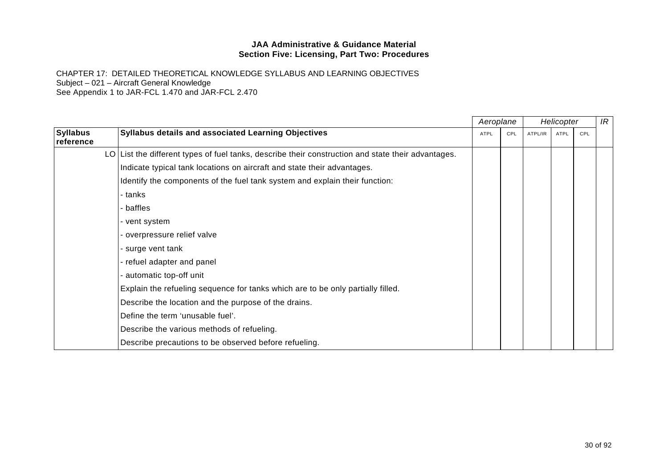|                              |                                                                                                    |             | Aeroplane |         | Helicopter |     | IR |
|------------------------------|----------------------------------------------------------------------------------------------------|-------------|-----------|---------|------------|-----|----|
| <b>Syllabus</b><br>reference | Syllabus details and associated Learning Objectives                                                | <b>ATPL</b> | CPL       | ATPL/IR | ATPL       | CPL |    |
|                              | LO List the different types of fuel tanks, describe their construction and state their advantages. |             |           |         |            |     |    |
|                              | Indicate typical tank locations on aircraft and state their advantages.                            |             |           |         |            |     |    |
|                              | Identify the components of the fuel tank system and explain their function:                        |             |           |         |            |     |    |
|                              | - tanks                                                                                            |             |           |         |            |     |    |
|                              | - baffles                                                                                          |             |           |         |            |     |    |
|                              | - vent system                                                                                      |             |           |         |            |     |    |
|                              | - overpressure relief valve                                                                        |             |           |         |            |     |    |
|                              | - surge vent tank                                                                                  |             |           |         |            |     |    |
|                              | - refuel adapter and panel                                                                         |             |           |         |            |     |    |
|                              | - automatic top-off unit                                                                           |             |           |         |            |     |    |
|                              | Explain the refueling sequence for tanks which are to be only partially filled.                    |             |           |         |            |     |    |
|                              | Describe the location and the purpose of the drains.                                               |             |           |         |            |     |    |
|                              | Define the term 'unusable fuel'.                                                                   |             |           |         |            |     |    |
|                              | Describe the various methods of refueling.                                                         |             |           |         |            |     |    |
|                              | Describe precautions to be observed before refueling.                                              |             |           |         |            |     |    |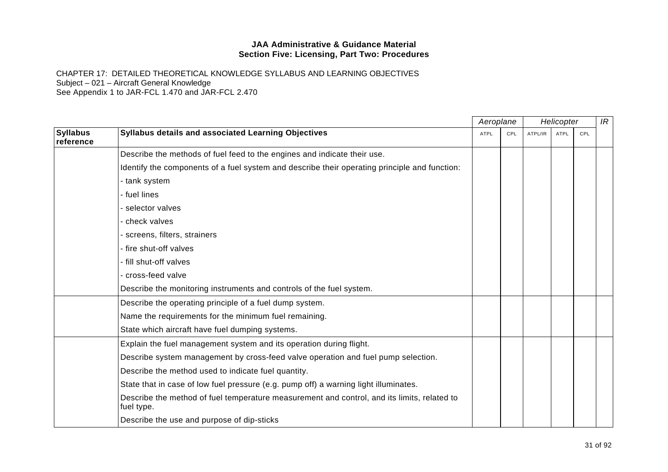|                              |                                                                                                           | Aeroplane   |     | Helicopter |             |     | IR |
|------------------------------|-----------------------------------------------------------------------------------------------------------|-------------|-----|------------|-------------|-----|----|
| <b>Syllabus</b><br>reference | Syllabus details and associated Learning Objectives                                                       | <b>ATPL</b> | CPL | ATPL/IR    | <b>ATPL</b> | CPL |    |
|                              | Describe the methods of fuel feed to the engines and indicate their use.                                  |             |     |            |             |     |    |
|                              | Identify the components of a fuel system and describe their operating principle and function:             |             |     |            |             |     |    |
|                              | - tank system                                                                                             |             |     |            |             |     |    |
|                              | - fuel lines                                                                                              |             |     |            |             |     |    |
|                              | - selector valves                                                                                         |             |     |            |             |     |    |
|                              | - check valves                                                                                            |             |     |            |             |     |    |
|                              | - screens, filters, strainers                                                                             |             |     |            |             |     |    |
|                              | - fire shut-off valves                                                                                    |             |     |            |             |     |    |
|                              | - fill shut-off valves                                                                                    |             |     |            |             |     |    |
|                              | - cross-feed valve                                                                                        |             |     |            |             |     |    |
|                              | Describe the monitoring instruments and controls of the fuel system.                                      |             |     |            |             |     |    |
|                              | Describe the operating principle of a fuel dump system.                                                   |             |     |            |             |     |    |
|                              | Name the requirements for the minimum fuel remaining.                                                     |             |     |            |             |     |    |
|                              | State which aircraft have fuel dumping systems.                                                           |             |     |            |             |     |    |
|                              | Explain the fuel management system and its operation during flight.                                       |             |     |            |             |     |    |
|                              | Describe system management by cross-feed valve operation and fuel pump selection.                         |             |     |            |             |     |    |
|                              | Describe the method used to indicate fuel quantity.                                                       |             |     |            |             |     |    |
|                              | State that in case of low fuel pressure (e.g. pump off) a warning light illuminates.                      |             |     |            |             |     |    |
|                              | Describe the method of fuel temperature measurement and control, and its limits, related to<br>fuel type. |             |     |            |             |     |    |
|                              | Describe the use and purpose of dip-sticks                                                                |             |     |            |             |     |    |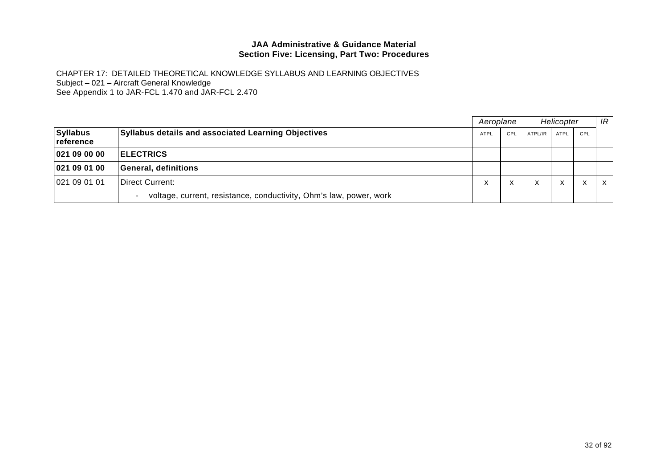|                                       |                                                                                         |      | Aeroplane |           | Helicopter        |              |   |
|---------------------------------------|-----------------------------------------------------------------------------------------|------|-----------|-----------|-------------------|--------------|---|
| <b>Syllabus</b><br><u> reference_</u> | <b>Syllabus details and associated Learning Objectives</b>                              | ATPL | CPL       | ATPL/IR   | ATPL              | CPL          |   |
| 02109000                              | <b>ELECTRICS</b>                                                                        |      |           |           |                   |              |   |
| 021090100                             | General, definitions                                                                    |      |           |           |                   |              |   |
| 021 09 01 01                          | <b>IDirect Current:</b>                                                                 | ㅅ    | x         | $\lambda$ | $\checkmark$<br>́ | $\checkmark$ | X |
|                                       | voltage, current, resistance, conductivity, Ohm's law, power, work<br>$\qquad \qquad -$ |      |           |           |                   |              |   |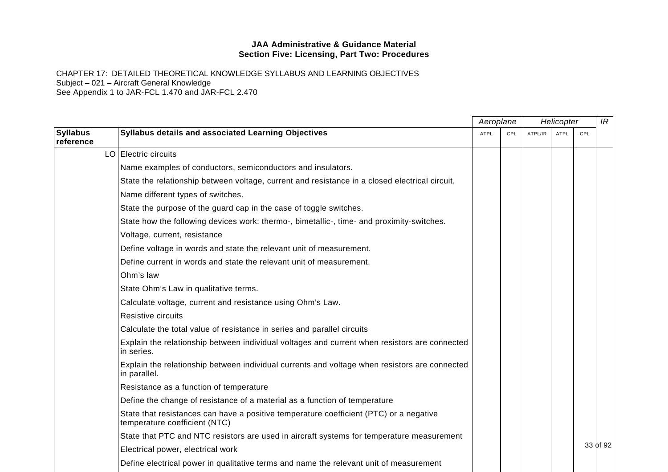|                              |                                                                                                                         | Aeroplane   |     | Helicopter |             | IR  |          |
|------------------------------|-------------------------------------------------------------------------------------------------------------------------|-------------|-----|------------|-------------|-----|----------|
| <b>Syllabus</b><br>reference | Syllabus details and associated Learning Objectives                                                                     | <b>ATPL</b> | CPL | ATPL/IR    | <b>ATPL</b> | CPL |          |
|                              | LO Electric circuits                                                                                                    |             |     |            |             |     |          |
|                              | Name examples of conductors, semiconductors and insulators.                                                             |             |     |            |             |     |          |
|                              | State the relationship between voltage, current and resistance in a closed electrical circuit.                          |             |     |            |             |     |          |
|                              | Name different types of switches.                                                                                       |             |     |            |             |     |          |
|                              | State the purpose of the guard cap in the case of toggle switches.                                                      |             |     |            |             |     |          |
|                              | State how the following devices work: thermo-, bimetallic-, time- and proximity-switches.                               |             |     |            |             |     |          |
|                              | Voltage, current, resistance                                                                                            |             |     |            |             |     |          |
|                              | Define voltage in words and state the relevant unit of measurement.                                                     |             |     |            |             |     |          |
|                              | Define current in words and state the relevant unit of measurement.                                                     |             |     |            |             |     |          |
|                              | Ohm's law                                                                                                               |             |     |            |             |     |          |
|                              | State Ohm's Law in qualitative terms.                                                                                   |             |     |            |             |     |          |
|                              | Calculate voltage, current and resistance using Ohm's Law.                                                              |             |     |            |             |     |          |
|                              | Resistive circuits                                                                                                      |             |     |            |             |     |          |
|                              | Calculate the total value of resistance in series and parallel circuits                                                 |             |     |            |             |     |          |
|                              | Explain the relationship between individual voltages and current when resistors are connected<br>in series.             |             |     |            |             |     |          |
|                              | Explain the relationship between individual currents and voltage when resistors are connected<br>in parallel.           |             |     |            |             |     |          |
|                              | Resistance as a function of temperature                                                                                 |             |     |            |             |     |          |
|                              | Define the change of resistance of a material as a function of temperature                                              |             |     |            |             |     |          |
|                              | State that resistances can have a positive temperature coefficient (PTC) or a negative<br>temperature coefficient (NTC) |             |     |            |             |     |          |
|                              | State that PTC and NTC resistors are used in aircraft systems for temperature measurement                               |             |     |            |             |     |          |
|                              | Electrical power, electrical work                                                                                       |             |     |            |             |     | 33 of 92 |
|                              | Define electrical power in qualitative terms and name the relevant unit of measurement                                  |             |     |            |             |     |          |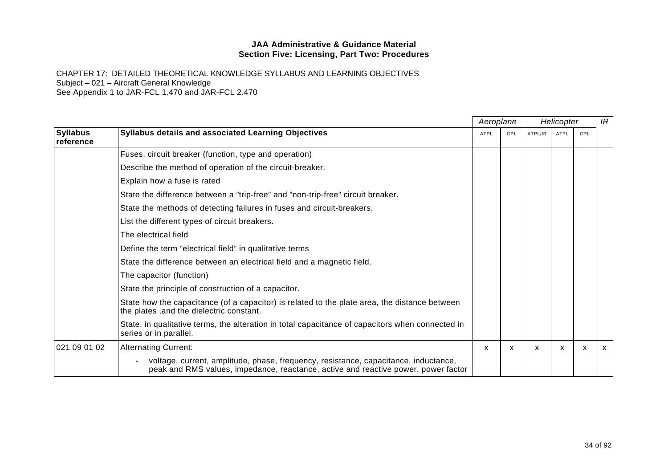|                              |                                                                                                                                                                           | Aeroplane |     | Helicopter |             |     | IR           |
|------------------------------|---------------------------------------------------------------------------------------------------------------------------------------------------------------------------|-----------|-----|------------|-------------|-----|--------------|
| <b>Syllabus</b><br>reference | <b>Syllabus details and associated Learning Objectives</b>                                                                                                                | ATPL      | CPL | ATPL/IR    | <b>ATPL</b> | CPL |              |
|                              | Fuses, circuit breaker (function, type and operation)                                                                                                                     |           |     |            |             |     |              |
|                              | Describe the method of operation of the circuit-breaker.                                                                                                                  |           |     |            |             |     |              |
|                              | Explain how a fuse is rated                                                                                                                                               |           |     |            |             |     |              |
|                              | State the difference between a "trip-free" and "non-trip-free" circuit breaker.                                                                                           |           |     |            |             |     |              |
|                              | State the methods of detecting failures in fuses and circuit-breakers.                                                                                                    |           |     |            |             |     |              |
|                              | List the different types of circuit breakers.                                                                                                                             |           |     |            |             |     |              |
|                              | The electrical field                                                                                                                                                      |           |     |            |             |     |              |
|                              | Define the term "electrical field" in qualitative terms                                                                                                                   |           |     |            |             |     |              |
|                              | State the difference between an electrical field and a magnetic field.                                                                                                    |           |     |            |             |     |              |
|                              | The capacitor (function)                                                                                                                                                  |           |     |            |             |     |              |
|                              | State the principle of construction of a capacitor.                                                                                                                       |           |     |            |             |     |              |
|                              | State how the capacitance (of a capacitor) is related to the plate area, the distance between<br>the plates , and the dielectric constant.                                |           |     |            |             |     |              |
|                              | State, in qualitative terms, the alteration in total capacitance of capacitors when connected in<br>series or in parallel.                                                |           |     |            |             |     |              |
| 021 09 01 02                 | <b>Alternating Current:</b>                                                                                                                                               | X         | X   | X          | X           | X   | $\mathsf{x}$ |
|                              | voltage, current, amplitude, phase, frequency, resistance, capacitance, inductance,<br>peak and RMS values, impedance, reactance, active and reactive power, power factor |           |     |            |             |     |              |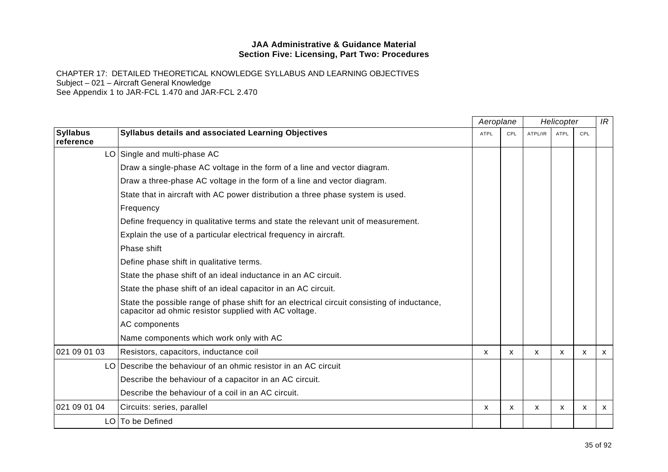|                              |                                                                                                                                                      | Aeroplane<br>Helicopter |              |              |             |            | IR           |
|------------------------------|------------------------------------------------------------------------------------------------------------------------------------------------------|-------------------------|--------------|--------------|-------------|------------|--------------|
| <b>Syllabus</b><br>reference | <b>Syllabus details and associated Learning Objectives</b>                                                                                           | <b>ATPL</b>             | CPL          | ATPL/IR      | <b>ATPL</b> | <b>CPL</b> |              |
|                              | LO Single and multi-phase AC                                                                                                                         |                         |              |              |             |            |              |
|                              | Draw a single-phase AC voltage in the form of a line and vector diagram.                                                                             |                         |              |              |             |            |              |
|                              | Draw a three-phase AC voltage in the form of a line and vector diagram.                                                                              |                         |              |              |             |            |              |
|                              | State that in aircraft with AC power distribution a three phase system is used.                                                                      |                         |              |              |             |            |              |
|                              | Frequency                                                                                                                                            |                         |              |              |             |            |              |
|                              | Define frequency in qualitative terms and state the relevant unit of measurement.                                                                    |                         |              |              |             |            |              |
|                              | Explain the use of a particular electrical frequency in aircraft.                                                                                    |                         |              |              |             |            |              |
|                              | Phase shift                                                                                                                                          |                         |              |              |             |            |              |
|                              | Define phase shift in qualitative terms.                                                                                                             |                         |              |              |             |            |              |
|                              | State the phase shift of an ideal inductance in an AC circuit.                                                                                       |                         |              |              |             |            |              |
|                              | State the phase shift of an ideal capacitor in an AC circuit.                                                                                        |                         |              |              |             |            |              |
|                              | State the possible range of phase shift for an electrical circuit consisting of inductance,<br>capacitor ad ohmic resistor supplied with AC voltage. |                         |              |              |             |            |              |
|                              | AC components                                                                                                                                        |                         |              |              |             |            |              |
|                              | Name components which work only with AC                                                                                                              |                         |              |              |             |            |              |
| 021 09 01 03                 | Resistors, capacitors, inductance coil                                                                                                               | X                       | X            | $\mathsf{x}$ | X           | X          | $\mathsf{x}$ |
|                              | LO Describe the behaviour of an ohmic resistor in an AC circuit                                                                                      |                         |              |              |             |            |              |
|                              | Describe the behaviour of a capacitor in an AC circuit.                                                                                              |                         |              |              |             |            |              |
|                              | Describe the behaviour of a coil in an AC circuit.                                                                                                   |                         |              |              |             |            |              |
| 021 09 01 04                 | Circuits: series, parallel                                                                                                                           | X                       | $\mathsf{x}$ | X            | X           | X          | $\mathsf{x}$ |
|                              | LO   To be Defined                                                                                                                                   |                         |              |              |             |            |              |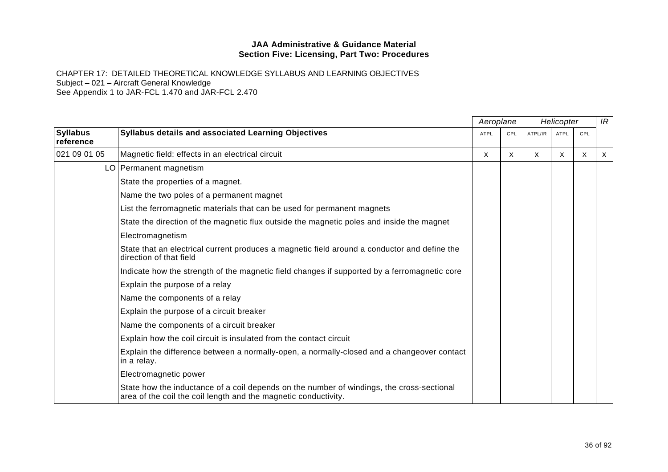CHAPTER 17: DETAILED THEORETICAL KNOWLEDGE SYLLABUS AND LEARNING OBJECTIVES Subject – 021 – Aircraft General Knowledge

See Appendix 1 to JAR-FCL 1.470 and JAR-FCL 2.470

|                              |                                                                                                                                                              |             | Aeroplane  |         | Helicopter  |     | IR |
|------------------------------|--------------------------------------------------------------------------------------------------------------------------------------------------------------|-------------|------------|---------|-------------|-----|----|
| <b>Syllabus</b><br>reference | Syllabus details and associated Learning Objectives                                                                                                          | <b>ATPL</b> | <b>CPL</b> | ATPL/IR | <b>ATPL</b> | CPL |    |
| 021 09 01 05                 | Magnetic field: effects in an electrical circuit                                                                                                             | X           | X          | X       | X           | X   | X  |
|                              | LO   Permanent magnetism                                                                                                                                     |             |            |         |             |     |    |
|                              | State the properties of a magnet.                                                                                                                            |             |            |         |             |     |    |
|                              | Name the two poles of a permanent magnet                                                                                                                     |             |            |         |             |     |    |
|                              | List the ferromagnetic materials that can be used for permanent magnets                                                                                      |             |            |         |             |     |    |
|                              | State the direction of the magnetic flux outside the magnetic poles and inside the magnet                                                                    |             |            |         |             |     |    |
|                              | Electromagnetism                                                                                                                                             |             |            |         |             |     |    |
|                              | State that an electrical current produces a magnetic field around a conductor and define the<br>direction of that field                                      |             |            |         |             |     |    |
|                              | Indicate how the strength of the magnetic field changes if supported by a ferromagnetic core                                                                 |             |            |         |             |     |    |
|                              | Explain the purpose of a relay                                                                                                                               |             |            |         |             |     |    |
|                              | Name the components of a relay                                                                                                                               |             |            |         |             |     |    |
|                              | Explain the purpose of a circuit breaker                                                                                                                     |             |            |         |             |     |    |
|                              | Name the components of a circuit breaker                                                                                                                     |             |            |         |             |     |    |
|                              | Explain how the coil circuit is insulated from the contact circuit                                                                                           |             |            |         |             |     |    |
|                              | Explain the difference between a normally-open, a normally-closed and a changeover contact<br>in a relay.                                                    |             |            |         |             |     |    |
|                              | Electromagnetic power                                                                                                                                        |             |            |         |             |     |    |
|                              | State how the inductance of a coil depends on the number of windings, the cross-sectional<br>area of the coil the coil length and the magnetic conductivity. |             |            |         |             |     |    |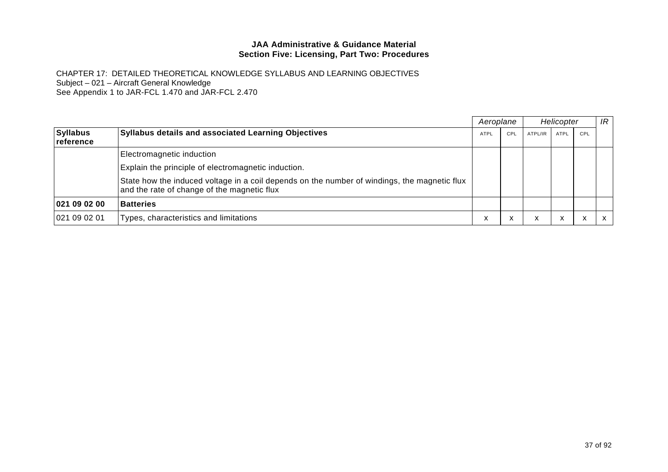|                              |                                                                                                                                             | Aeroplane   |     |         | Helicopter        |           | IR |
|------------------------------|---------------------------------------------------------------------------------------------------------------------------------------------|-------------|-----|---------|-------------------|-----------|----|
| <b>Syllabus</b><br>reference | <b>Syllabus details and associated Learning Objectives</b>                                                                                  | <b>ATPL</b> | CPL | ATPL/IR | <b>ATPL</b>       | CPL       |    |
|                              | Electromagnetic induction                                                                                                                   |             |     |         |                   |           |    |
|                              | Explain the principle of electromagnetic induction.                                                                                         |             |     |         |                   |           |    |
|                              | State how the induced voltage in a coil depends on the number of windings, the magnetic flux<br>and the rate of change of the magnetic flux |             |     |         |                   |           |    |
| 021 09 02 00                 | <b>Batteries</b>                                                                                                                            |             |     |         |                   |           |    |
| 021 09 02 01                 | Types, characteristics and limitations                                                                                                      | ⋏           | x   | ㅅ       | $\checkmark$<br>́ | $\lambda$ |    |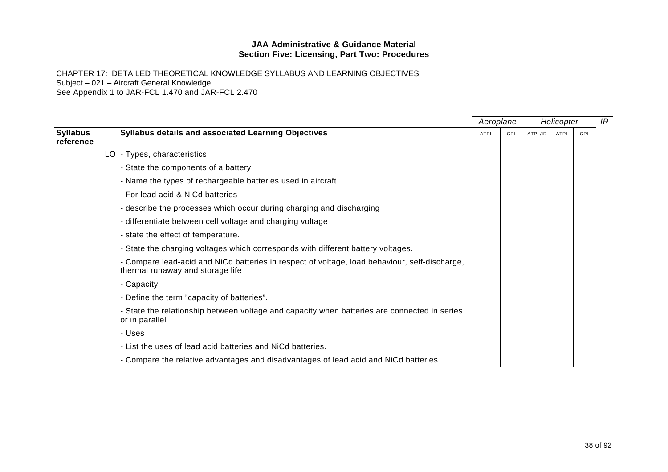|                              |                                                                                                                                 | Aeroplane   |     |         | Helicopter  |     | IR |
|------------------------------|---------------------------------------------------------------------------------------------------------------------------------|-------------|-----|---------|-------------|-----|----|
| <b>Syllabus</b><br>reference | Syllabus details and associated Learning Objectives                                                                             | <b>ATPL</b> | CPL | ATPL/IR | <b>ATPL</b> | CPL |    |
|                              | LO   - Types, characteristics                                                                                                   |             |     |         |             |     |    |
|                              | - State the components of a battery                                                                                             |             |     |         |             |     |    |
|                              | - Name the types of rechargeable batteries used in aircraft                                                                     |             |     |         |             |     |    |
|                              | - For lead acid & NiCd batteries                                                                                                |             |     |         |             |     |    |
|                              | - describe the processes which occur during charging and discharging                                                            |             |     |         |             |     |    |
|                              | - differentiate between cell voltage and charging voltage                                                                       |             |     |         |             |     |    |
|                              | - state the effect of temperature.                                                                                              |             |     |         |             |     |    |
|                              | - State the charging voltages which corresponds with different battery voltages.                                                |             |     |         |             |     |    |
|                              | Gompare lead-acid and NiCd batteries in respect of voltage, load behaviour, self-discharge,<br>thermal runaway and storage life |             |     |         |             |     |    |
|                              | - Capacity                                                                                                                      |             |     |         |             |     |    |
|                              | - Define the term "capacity of batteries".                                                                                      |             |     |         |             |     |    |
|                              | - State the relationship between voltage and capacity when batteries are connected in series<br>or in parallel                  |             |     |         |             |     |    |
|                              | - Uses                                                                                                                          |             |     |         |             |     |    |
|                              | - List the uses of lead acid batteries and NiCd batteries.                                                                      |             |     |         |             |     |    |
|                              | - Compare the relative advantages and disadvantages of lead acid and NiCd batteries                                             |             |     |         |             |     |    |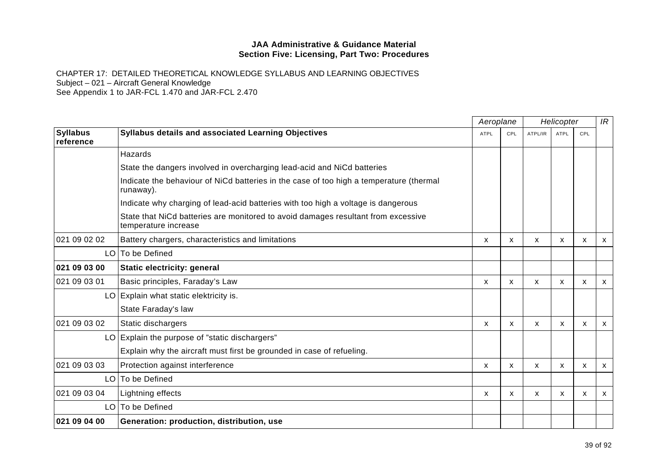|                              |                                                                                                           |             | Aeroplane |              | Helicopter  |     | IR           |
|------------------------------|-----------------------------------------------------------------------------------------------------------|-------------|-----------|--------------|-------------|-----|--------------|
| <b>Syllabus</b><br>reference | <b>Syllabus details and associated Learning Objectives</b>                                                | <b>ATPL</b> | CPL       | ATPL/IR      | <b>ATPL</b> | CPL |              |
|                              | Hazards                                                                                                   |             |           |              |             |     |              |
|                              | State the dangers involved in overcharging lead-acid and NiCd batteries                                   |             |           |              |             |     |              |
|                              | Indicate the behaviour of NiCd batteries in the case of too high a temperature (thermal<br>runaway).      |             |           |              |             |     |              |
|                              | Indicate why charging of lead-acid batteries with too high a voltage is dangerous                         |             |           |              |             |     |              |
|                              | State that NiCd batteries are monitored to avoid damages resultant from excessive<br>temperature increase |             |           |              |             |     |              |
| 021 09 02 02                 | Battery chargers, characteristics and limitations                                                         | X           | X         | x            | X           | X   | $\mathsf{x}$ |
|                              | LO   To be Defined                                                                                        |             |           |              |             |     |              |
| 021 09 03 00                 | Static electricity: general                                                                               |             |           |              |             |     |              |
| 021 09 03 01                 | Basic principles, Faraday's Law                                                                           | X           | X         | X            | X           | X   | $\mathsf{x}$ |
|                              | LO Explain what static elektricity is.                                                                    |             |           |              |             |     |              |
|                              | State Faraday's law                                                                                       |             |           |              |             |     |              |
| 021 09 03 02                 | Static dischargers                                                                                        | X           | X         | X            | X           | X   | $\mathsf{x}$ |
|                              | LO Explain the purpose of "static dischargers"                                                            |             |           |              |             |     |              |
|                              | Explain why the aircraft must first be grounded in case of refueling.                                     |             |           |              |             |     |              |
| 021 09 03 03                 | Protection against interference                                                                           | X           | X         | X            | X           | X   | $\mathsf{x}$ |
|                              | LO   To be Defined                                                                                        |             |           |              |             |     |              |
| 021 09 03 04                 | Lightning effects                                                                                         | X           | X         | $\mathsf{x}$ | X           | X   | $\mathsf{x}$ |
|                              | LO To be Defined                                                                                          |             |           |              |             |     |              |
| 021 09 04 00                 | Generation: production, distribution, use                                                                 |             |           |              |             |     |              |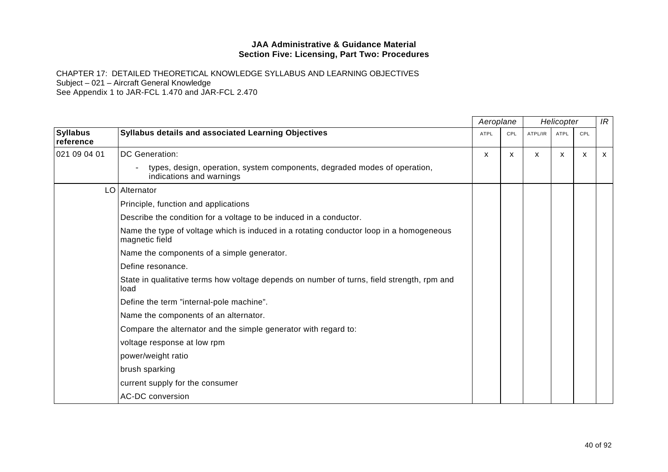|                              |                                                                                                           | Aeroplane   |     |         | Helicopter |     | IR |
|------------------------------|-----------------------------------------------------------------------------------------------------------|-------------|-----|---------|------------|-----|----|
| <b>Syllabus</b><br>reference | Syllabus details and associated Learning Objectives                                                       | <b>ATPL</b> | CPL | ATPL/IR | ATPL       | CPL |    |
| 021 09 04 01                 | DC Generation:                                                                                            | X           | X   | X       | X          | X   | X  |
|                              | types, design, operation, system components, degraded modes of operation,<br>indications and warnings     |             |     |         |            |     |    |
|                              | LO   Alternator                                                                                           |             |     |         |            |     |    |
|                              | Principle, function and applications                                                                      |             |     |         |            |     |    |
|                              | Describe the condition for a voltage to be induced in a conductor.                                        |             |     |         |            |     |    |
|                              | Name the type of voltage which is induced in a rotating conductor loop in a homogeneous<br>magnetic field |             |     |         |            |     |    |
|                              | Name the components of a simple generator.                                                                |             |     |         |            |     |    |
|                              | Define resonance.                                                                                         |             |     |         |            |     |    |
|                              | State in qualitative terms how voltage depends on number of turns, field strength, rpm and<br>load        |             |     |         |            |     |    |
|                              | Define the term "internal-pole machine".                                                                  |             |     |         |            |     |    |
|                              | Name the components of an alternator.                                                                     |             |     |         |            |     |    |
|                              | Compare the alternator and the simple generator with regard to:                                           |             |     |         |            |     |    |
|                              | voltage response at low rpm                                                                               |             |     |         |            |     |    |
|                              | power/weight ratio                                                                                        |             |     |         |            |     |    |
|                              | brush sparking                                                                                            |             |     |         |            |     |    |
|                              | current supply for the consumer                                                                           |             |     |         |            |     |    |
|                              | <b>AC-DC conversion</b>                                                                                   |             |     |         |            |     |    |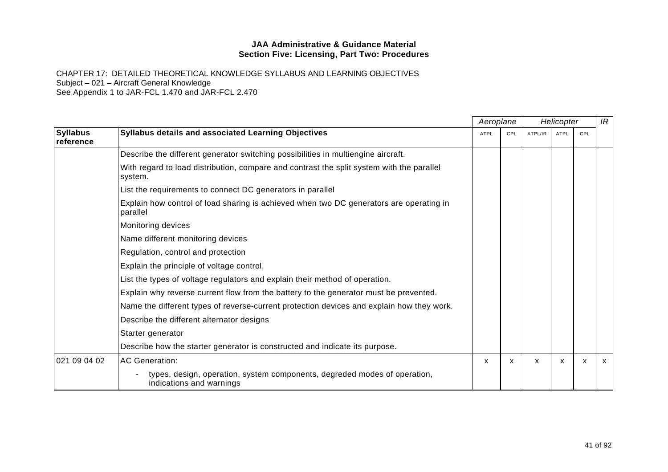|                              |                                                                                                       |             | Aeroplane | Helicopter |             |     | IR           |
|------------------------------|-------------------------------------------------------------------------------------------------------|-------------|-----------|------------|-------------|-----|--------------|
| <b>Syllabus</b><br>reference | Syllabus details and associated Learning Objectives                                                   | <b>ATPL</b> | CPL       | ATPL/IR    | <b>ATPL</b> | CPL |              |
|                              | Describe the different generator switching possibilities in multiengine aircraft.                     |             |           |            |             |     |              |
|                              | With regard to load distribution, compare and contrast the split system with the parallel<br>system.  |             |           |            |             |     |              |
|                              | List the requirements to connect DC generators in parallel                                            |             |           |            |             |     |              |
|                              | Explain how control of load sharing is achieved when two DC generators are operating in<br>parallel   |             |           |            |             |     |              |
|                              | Monitoring devices                                                                                    |             |           |            |             |     |              |
|                              | Name different monitoring devices                                                                     |             |           |            |             |     |              |
|                              | Regulation, control and protection                                                                    |             |           |            |             |     |              |
|                              | Explain the principle of voltage control.                                                             |             |           |            |             |     |              |
|                              | List the types of voltage regulators and explain their method of operation.                           |             |           |            |             |     |              |
|                              | Explain why reverse current flow from the battery to the generator must be prevented.                 |             |           |            |             |     |              |
|                              | Name the different types of reverse-current protection devices and explain how they work.             |             |           |            |             |     |              |
|                              | Describe the different alternator designs                                                             |             |           |            |             |     |              |
|                              | Starter generator                                                                                     |             |           |            |             |     |              |
|                              | Describe how the starter generator is constructed and indicate its purpose.                           |             |           |            |             |     |              |
| 021 09 04 02                 | <b>AC Generation:</b>                                                                                 | X           | X         | X          | X           | X   | $\mathsf{x}$ |
|                              | types, design, operation, system components, degreded modes of operation,<br>indications and warnings |             |           |            |             |     |              |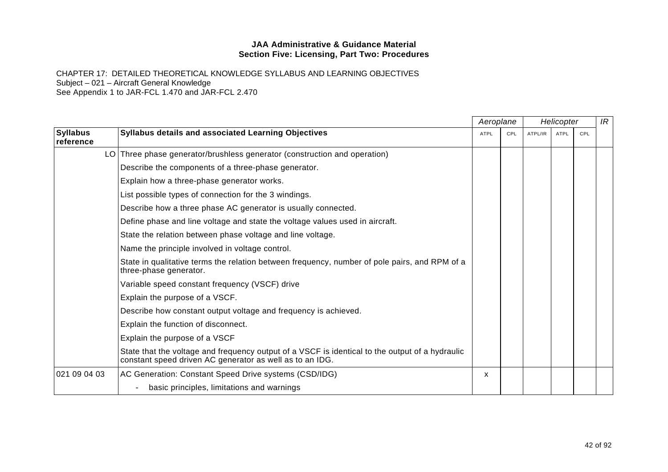|                              |                                                                                                                                                             | Aeroplane   |            |         | Helicopter |     | IR |
|------------------------------|-------------------------------------------------------------------------------------------------------------------------------------------------------------|-------------|------------|---------|------------|-----|----|
| <b>Syllabus</b><br>reference | Syllabus details and associated Learning Objectives                                                                                                         | <b>ATPL</b> | <b>CPL</b> | ATPL/IR | ATPL       | CPL |    |
|                              | LO Three phase generator/brushless generator (construction and operation)                                                                                   |             |            |         |            |     |    |
|                              | Describe the components of a three-phase generator.                                                                                                         |             |            |         |            |     |    |
|                              | Explain how a three-phase generator works.                                                                                                                  |             |            |         |            |     |    |
|                              | List possible types of connection for the 3 windings.                                                                                                       |             |            |         |            |     |    |
|                              | Describe how a three phase AC generator is usually connected.                                                                                               |             |            |         |            |     |    |
|                              | Define phase and line voltage and state the voltage values used in aircraft.                                                                                |             |            |         |            |     |    |
|                              | State the relation between phase voltage and line voltage.                                                                                                  |             |            |         |            |     |    |
|                              | Name the principle involved in voltage control.                                                                                                             |             |            |         |            |     |    |
|                              | State in qualitative terms the relation between frequency, number of pole pairs, and RPM of a<br>three-phase generator.                                     |             |            |         |            |     |    |
|                              | Variable speed constant frequency (VSCF) drive                                                                                                              |             |            |         |            |     |    |
|                              | Explain the purpose of a VSCF.                                                                                                                              |             |            |         |            |     |    |
|                              | Describe how constant output voltage and frequency is achieved.                                                                                             |             |            |         |            |     |    |
|                              | Explain the function of disconnect.                                                                                                                         |             |            |         |            |     |    |
|                              | Explain the purpose of a VSCF                                                                                                                               |             |            |         |            |     |    |
|                              | State that the voltage and frequency output of a VSCF is identical to the output of a hydraulic<br>constant speed driven AC generator as well as to an IDG. |             |            |         |            |     |    |
| 021 09 04 03                 | AC Generation: Constant Speed Drive systems (CSD/IDG)                                                                                                       | X.          |            |         |            |     |    |
|                              | basic principles, limitations and warnings<br>$\qquad \qquad -$                                                                                             |             |            |         |            |     |    |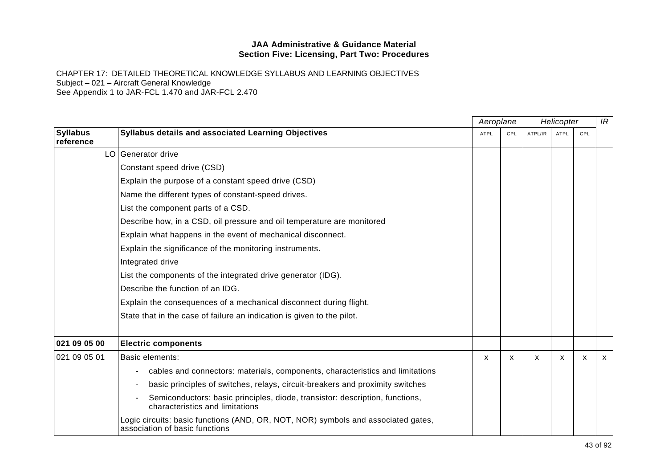|                              |                                                                                                                     | Aeroplane    |     | Helicopter |             |     | IR           |
|------------------------------|---------------------------------------------------------------------------------------------------------------------|--------------|-----|------------|-------------|-----|--------------|
| <b>Syllabus</b><br>reference | Syllabus details and associated Learning Objectives                                                                 | <b>ATPL</b>  | CPL | ATPL/IR    | <b>ATPL</b> | CPL |              |
|                              | LO Generator drive                                                                                                  |              |     |            |             |     |              |
|                              | Constant speed drive (CSD)                                                                                          |              |     |            |             |     |              |
|                              | Explain the purpose of a constant speed drive (CSD)                                                                 |              |     |            |             |     |              |
|                              | Name the different types of constant-speed drives.                                                                  |              |     |            |             |     |              |
|                              | List the component parts of a CSD.                                                                                  |              |     |            |             |     |              |
|                              | Describe how, in a CSD, oil pressure and oil temperature are monitored                                              |              |     |            |             |     |              |
|                              | Explain what happens in the event of mechanical disconnect.                                                         |              |     |            |             |     |              |
|                              | Explain the significance of the monitoring instruments.                                                             |              |     |            |             |     |              |
|                              | Integrated drive                                                                                                    |              |     |            |             |     |              |
|                              | List the components of the integrated drive generator (IDG).                                                        |              |     |            |             |     |              |
|                              | Describe the function of an IDG.                                                                                    |              |     |            |             |     |              |
|                              | Explain the consequences of a mechanical disconnect during flight.                                                  |              |     |            |             |     |              |
|                              | State that in the case of failure an indication is given to the pilot.                                              |              |     |            |             |     |              |
| 021 09 05 00                 | <b>Electric components</b>                                                                                          |              |     |            |             |     |              |
| 021 09 05 01                 | <b>Basic elements:</b>                                                                                              | $\mathsf{x}$ | X   | X          | X           | X   | $\mathsf{X}$ |
|                              | cables and connectors: materials, components, characteristics and limitations<br>$\overline{\phantom{m}}$           |              |     |            |             |     |              |
|                              | basic principles of switches, relays, circuit-breakers and proximity switches                                       |              |     |            |             |     |              |
|                              | Semiconductors: basic principles, diode, transistor: description, functions,<br>characteristics and limitations     |              |     |            |             |     |              |
|                              | Logic circuits: basic functions (AND, OR, NOT, NOR) symbols and associated gates,<br>association of basic functions |              |     |            |             |     |              |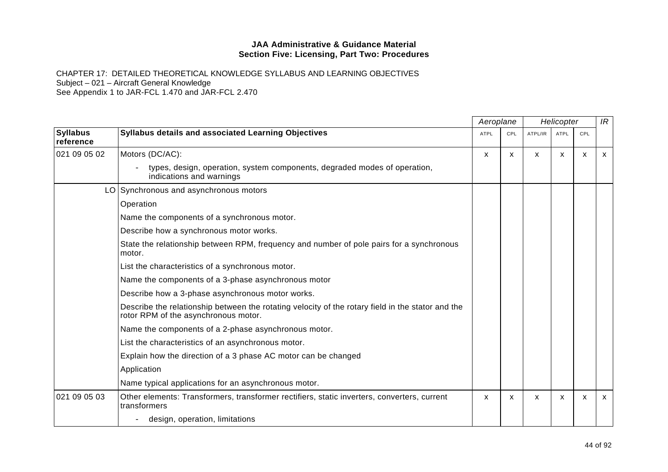|                              |                                                                                                                                           | Aeroplane    | Helicopter |         |             | IR  |              |
|------------------------------|-------------------------------------------------------------------------------------------------------------------------------------------|--------------|------------|---------|-------------|-----|--------------|
| <b>Syllabus</b><br>reference | Syllabus details and associated Learning Objectives                                                                                       | <b>ATPL</b>  | CPL        | ATPL/IR | <b>ATPL</b> | CPL |              |
| 021 09 05 02                 | Motors (DC/AC):                                                                                                                           | $\mathsf{x}$ | X          | X       | X           | X   | $\mathsf{x}$ |
|                              | types, design, operation, system components, degraded modes of operation,<br>indications and warnings                                     |              |            |         |             |     |              |
|                              | LO Synchronous and asynchronous motors                                                                                                    |              |            |         |             |     |              |
|                              | Operation                                                                                                                                 |              |            |         |             |     |              |
|                              | Name the components of a synchronous motor.                                                                                               |              |            |         |             |     |              |
|                              | Describe how a synchronous motor works.                                                                                                   |              |            |         |             |     |              |
|                              | State the relationship between RPM, frequency and number of pole pairs for a synchronous<br>motor.                                        |              |            |         |             |     |              |
|                              | List the characteristics of a synchronous motor.                                                                                          |              |            |         |             |     |              |
|                              | Name the components of a 3-phase asynchronous motor                                                                                       |              |            |         |             |     |              |
|                              | Describe how a 3-phase asynchronous motor works.                                                                                          |              |            |         |             |     |              |
|                              | Describe the relationship between the rotating velocity of the rotary field in the stator and the<br>rotor RPM of the asynchronous motor. |              |            |         |             |     |              |
|                              | Name the components of a 2-phase asynchronous motor.                                                                                      |              |            |         |             |     |              |
|                              | List the characteristics of an asynchronous motor.                                                                                        |              |            |         |             |     |              |
|                              | Explain how the direction of a 3 phase AC motor can be changed                                                                            |              |            |         |             |     |              |
|                              | Application                                                                                                                               |              |            |         |             |     |              |
|                              | Name typical applications for an asynchronous motor.                                                                                      |              |            |         |             |     |              |
| 021 09 05 03                 | Other elements: Transformers, transformer rectifiers, static inverters, converters, current<br>transformers                               | X            | X          | X       | X           | X   | $\mathsf{X}$ |
|                              | design, operation, limitations                                                                                                            |              |            |         |             |     |              |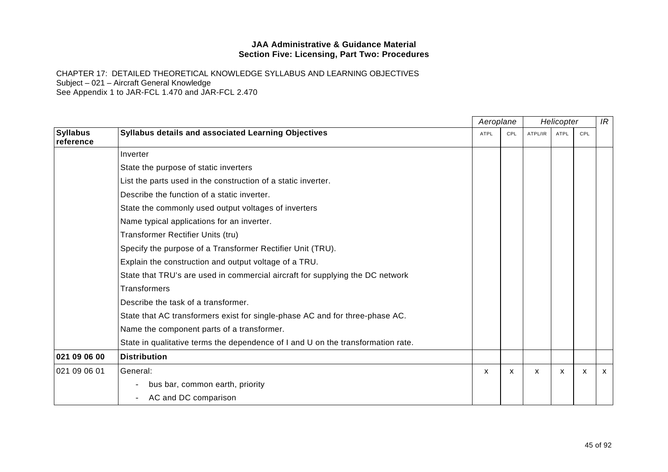|                              |                                                                                  | Aeroplane   |     | Helicopter |             |     | IR           |
|------------------------------|----------------------------------------------------------------------------------|-------------|-----|------------|-------------|-----|--------------|
| <b>Syllabus</b><br>reference | Syllabus details and associated Learning Objectives                              | <b>ATPL</b> | CPL | ATPL/IR    | <b>ATPL</b> | CPL |              |
|                              | Inverter                                                                         |             |     |            |             |     |              |
|                              | State the purpose of static inverters                                            |             |     |            |             |     |              |
|                              | List the parts used in the construction of a static inverter.                    |             |     |            |             |     |              |
|                              | Describe the function of a static inverter.                                      |             |     |            |             |     |              |
|                              | State the commonly used output voltages of inverters                             |             |     |            |             |     |              |
|                              | Name typical applications for an inverter.                                       |             |     |            |             |     |              |
|                              | Transformer Rectifier Units (tru)                                                |             |     |            |             |     |              |
|                              | Specify the purpose of a Transformer Rectifier Unit (TRU).                       |             |     |            |             |     |              |
|                              | Explain the construction and output voltage of a TRU.                            |             |     |            |             |     |              |
|                              | State that TRU's are used in commercial aircraft for supplying the DC network    |             |     |            |             |     |              |
|                              | <b>Transformers</b>                                                              |             |     |            |             |     |              |
|                              | Describe the task of a transformer.                                              |             |     |            |             |     |              |
|                              | State that AC transformers exist for single-phase AC and for three-phase AC.     |             |     |            |             |     |              |
|                              | Name the component parts of a transformer.                                       |             |     |            |             |     |              |
|                              | State in qualitative terms the dependence of I and U on the transformation rate. |             |     |            |             |     |              |
| 021 09 06 00                 | <b>Distribution</b>                                                              |             |     |            |             |     |              |
| 021 09 06 01                 | General:                                                                         | X           | X   | X          | X           | X   | $\mathsf{X}$ |
|                              | bus bar, common earth, priority<br>$\qquad \qquad -$                             |             |     |            |             |     |              |
|                              | AC and DC comparison<br>$-$                                                      |             |     |            |             |     |              |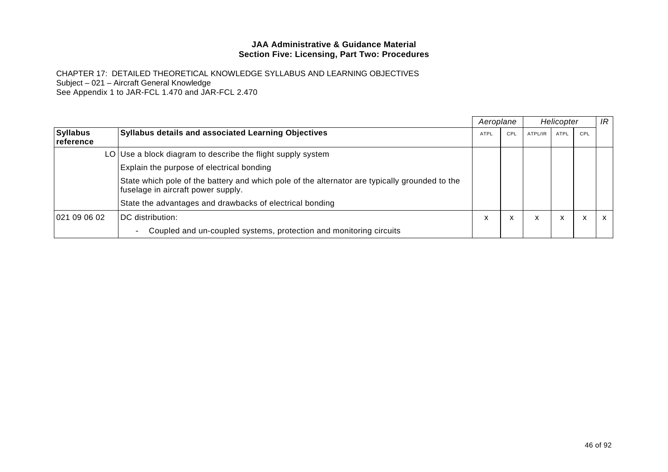|                               |                                                                                                                                      | Aeroplane   |     | Helicopter |      |     | IR           |
|-------------------------------|--------------------------------------------------------------------------------------------------------------------------------------|-------------|-----|------------|------|-----|--------------|
| <b>Syllabus</b><br>∣reference | <b>Syllabus details and associated Learning Objectives</b>                                                                           | <b>ATPL</b> | CPL | ATPL/IR    | ATPL | CPL |              |
|                               | LO Use a block diagram to describe the flight supply system                                                                          |             |     |            |      |     |              |
|                               | Explain the purpose of electrical bonding                                                                                            |             |     |            |      |     |              |
|                               | State which pole of the battery and which pole of the alternator are typically grounded to the<br>fuselage in aircraft power supply. |             |     |            |      |     |              |
|                               | State the advantages and drawbacks of electrical bonding                                                                             |             |     |            |      |     |              |
| 021 09 06 02                  | DC distribution:                                                                                                                     | л           | x   | X          | x    | X   | $\mathsf{x}$ |
|                               | Coupled and un-coupled systems, protection and monitoring circuits<br>$\overline{\phantom{a}}$                                       |             |     |            |      |     |              |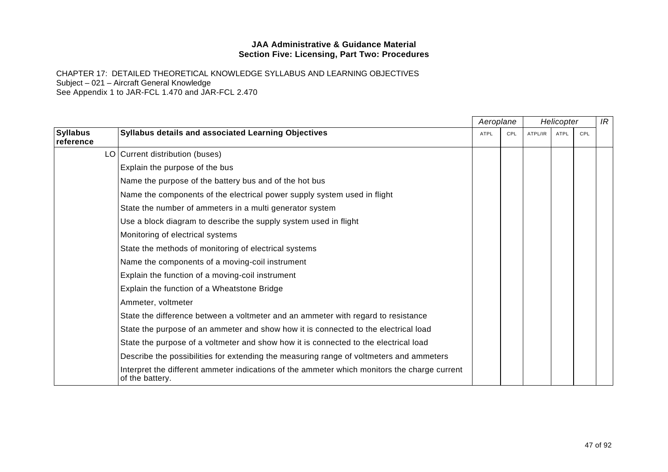|                              |                                                                                                                 | Aeroplane   |     |         | Helicopter |     | IR |
|------------------------------|-----------------------------------------------------------------------------------------------------------------|-------------|-----|---------|------------|-----|----|
| <b>Syllabus</b><br>reference | Syllabus details and associated Learning Objectives                                                             | <b>ATPL</b> | CPL | ATPL/IR | ATPL       | CPL |    |
|                              | LO Current distribution (buses)                                                                                 |             |     |         |            |     |    |
|                              | Explain the purpose of the bus                                                                                  |             |     |         |            |     |    |
|                              | Name the purpose of the battery bus and of the hot bus                                                          |             |     |         |            |     |    |
|                              | Name the components of the electrical power supply system used in flight                                        |             |     |         |            |     |    |
|                              | State the number of ammeters in a multi generator system                                                        |             |     |         |            |     |    |
|                              | Use a block diagram to describe the supply system used in flight                                                |             |     |         |            |     |    |
|                              | Monitoring of electrical systems                                                                                |             |     |         |            |     |    |
|                              | State the methods of monitoring of electrical systems                                                           |             |     |         |            |     |    |
|                              | Name the components of a moving-coil instrument                                                                 |             |     |         |            |     |    |
|                              | Explain the function of a moving-coil instrument                                                                |             |     |         |            |     |    |
|                              | Explain the function of a Wheatstone Bridge                                                                     |             |     |         |            |     |    |
|                              | Ammeter, voltmeter                                                                                              |             |     |         |            |     |    |
|                              | State the difference between a voltmeter and an ammeter with regard to resistance                               |             |     |         |            |     |    |
|                              | State the purpose of an ammeter and show how it is connected to the electrical load                             |             |     |         |            |     |    |
|                              | State the purpose of a voltmeter and show how it is connected to the electrical load                            |             |     |         |            |     |    |
|                              | Describe the possibilities for extending the measuring range of voltmeters and ammeters                         |             |     |         |            |     |    |
|                              | Interpret the different ammeter indications of the ammeter which monitors the charge current<br>of the battery. |             |     |         |            |     |    |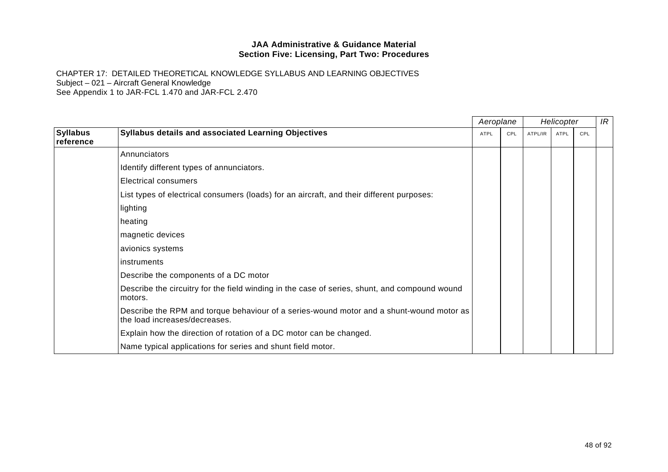|                              |                                                                                                                           | Aeroplane |     |         | Helicopter |     | IR |
|------------------------------|---------------------------------------------------------------------------------------------------------------------------|-----------|-----|---------|------------|-----|----|
| <b>Syllabus</b><br>reference | Syllabus details and associated Learning Objectives                                                                       | ATPL      | CPL | ATPL/IR | ATPL       | CPL |    |
|                              | Annunciators                                                                                                              |           |     |         |            |     |    |
|                              | Identify different types of annunciators.                                                                                 |           |     |         |            |     |    |
|                              | Electrical consumers                                                                                                      |           |     |         |            |     |    |
|                              | List types of electrical consumers (loads) for an aircraft, and their different purposes:                                 |           |     |         |            |     |    |
|                              | lighting                                                                                                                  |           |     |         |            |     |    |
|                              | heating                                                                                                                   |           |     |         |            |     |    |
|                              | magnetic devices                                                                                                          |           |     |         |            |     |    |
|                              | avionics systems                                                                                                          |           |     |         |            |     |    |
|                              | instruments                                                                                                               |           |     |         |            |     |    |
|                              | Describe the components of a DC motor                                                                                     |           |     |         |            |     |    |
|                              | Describe the circuitry for the field winding in the case of series, shunt, and compound wound<br>motors.                  |           |     |         |            |     |    |
|                              | Describe the RPM and torque behaviour of a series-wound motor and a shunt-wound motor as<br>the load increases/decreases. |           |     |         |            |     |    |
|                              | Explain how the direction of rotation of a DC motor can be changed.                                                       |           |     |         |            |     |    |
|                              | Name typical applications for series and shunt field motor.                                                               |           |     |         |            |     |    |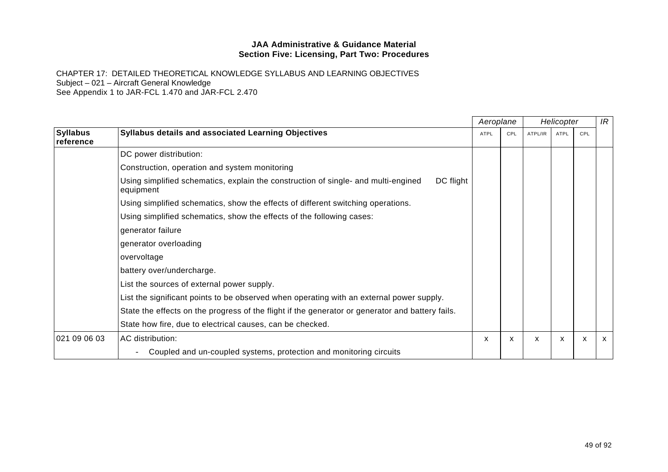|                              |                                                                                                              | Aeroplane |     | Helicopter |             |     | IR           |
|------------------------------|--------------------------------------------------------------------------------------------------------------|-----------|-----|------------|-------------|-----|--------------|
| <b>Syllabus</b><br>reference | Syllabus details and associated Learning Objectives                                                          | ATPL      | CPL | ATPL/IR    | <b>ATPL</b> | CPL |              |
|                              | DC power distribution:                                                                                       |           |     |            |             |     |              |
|                              | Construction, operation and system monitoring                                                                |           |     |            |             |     |              |
|                              | Using simplified schematics, explain the construction of single- and multi-engined<br>DC flight<br>equipment |           |     |            |             |     |              |
|                              | Using simplified schematics, show the effects of different switching operations.                             |           |     |            |             |     |              |
|                              | Using simplified schematics, show the effects of the following cases:                                        |           |     |            |             |     |              |
|                              | generator failure                                                                                            |           |     |            |             |     |              |
|                              | generator overloading                                                                                        |           |     |            |             |     |              |
|                              | overvoltage                                                                                                  |           |     |            |             |     |              |
|                              | battery over/undercharge.                                                                                    |           |     |            |             |     |              |
|                              | List the sources of external power supply.                                                                   |           |     |            |             |     |              |
|                              | List the significant points to be observed when operating with an external power supply.                     |           |     |            |             |     |              |
|                              | State the effects on the progress of the flight if the generator or generator and battery fails.             |           |     |            |             |     |              |
|                              | State how fire, due to electrical causes, can be checked.                                                    |           |     |            |             |     |              |
| 021 09 06 03                 | AC distribution:                                                                                             | X         | X   | X          | X           | X   | $\mathsf{x}$ |
|                              | Coupled and un-coupled systems, protection and monitoring circuits<br>$\qquad \qquad -$                      |           |     |            |             |     |              |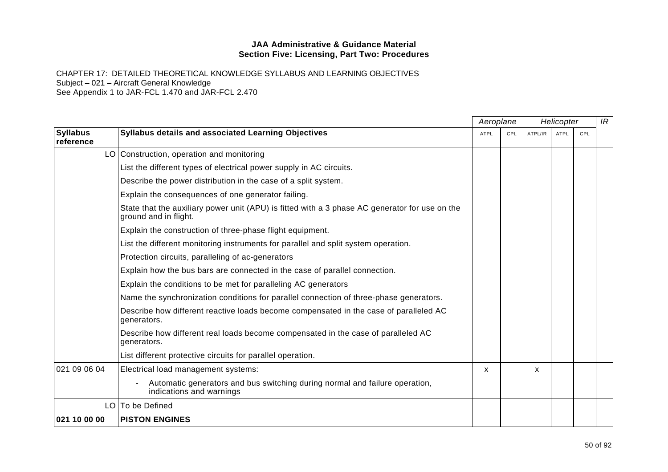|                              |                                                                                                                         | Aeroplane   |     | Helicopter |             |     | IR |
|------------------------------|-------------------------------------------------------------------------------------------------------------------------|-------------|-----|------------|-------------|-----|----|
| <b>Syllabus</b><br>reference | Syllabus details and associated Learning Objectives                                                                     | <b>ATPL</b> | CPL | ATPL/IR    | <b>ATPL</b> | CPL |    |
|                              | LO Construction, operation and monitoring                                                                               |             |     |            |             |     |    |
|                              | List the different types of electrical power supply in AC circuits.                                                     |             |     |            |             |     |    |
|                              | Describe the power distribution in the case of a split system.                                                          |             |     |            |             |     |    |
|                              | Explain the consequences of one generator failing.                                                                      |             |     |            |             |     |    |
|                              | State that the auxiliary power unit (APU) is fitted with a 3 phase AC generator for use on the<br>ground and in flight. |             |     |            |             |     |    |
|                              | Explain the construction of three-phase flight equipment.                                                               |             |     |            |             |     |    |
|                              | List the different monitoring instruments for parallel and split system operation.                                      |             |     |            |             |     |    |
|                              | Protection circuits, paralleling of ac-generators                                                                       |             |     |            |             |     |    |
|                              | Explain how the bus bars are connected in the case of parallel connection.                                              |             |     |            |             |     |    |
|                              | Explain the conditions to be met for paralleling AC generators                                                          |             |     |            |             |     |    |
|                              | Name the synchronization conditions for parallel connection of three-phase generators.                                  |             |     |            |             |     |    |
|                              | Describe how different reactive loads become compensated in the case of paralleled AC<br>generators.                    |             |     |            |             |     |    |
|                              | Describe how different real loads become compensated in the case of paralleled AC<br>generators.                        |             |     |            |             |     |    |
|                              | List different protective circuits for parallel operation.                                                              |             |     |            |             |     |    |
| 021 09 06 04                 | Electrical load management systems:                                                                                     | X           |     | X          |             |     |    |
|                              | Automatic generators and bus switching during normal and failure operation,<br>indications and warnings                 |             |     |            |             |     |    |
|                              | LO   To be Defined                                                                                                      |             |     |            |             |     |    |
| 021 10 00 00                 | <b>PISTON ENGINES</b>                                                                                                   |             |     |            |             |     |    |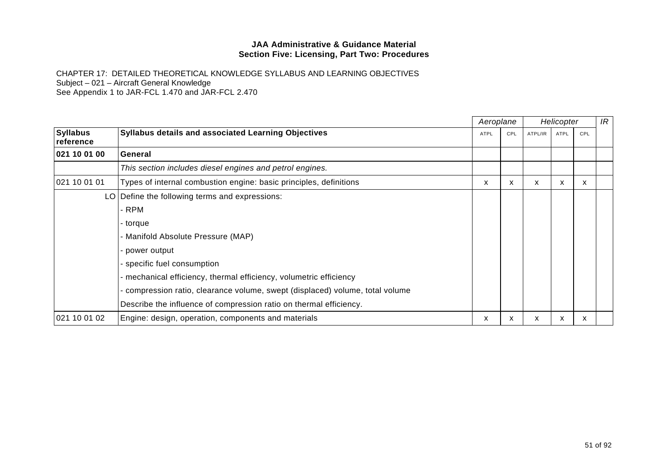|                              |                                                                               |             | Aeroplane |         | Helicopter  |     | IR |
|------------------------------|-------------------------------------------------------------------------------|-------------|-----------|---------|-------------|-----|----|
| <b>Syllabus</b><br>reference | Syllabus details and associated Learning Objectives                           | <b>ATPL</b> | CPL       | ATPL/IR | <b>ATPL</b> | CPL |    |
| 021 10 01 00                 | General                                                                       |             |           |         |             |     |    |
|                              | This section includes diesel engines and petrol engines.                      |             |           |         |             |     |    |
| 021 10 01 01                 | Types of internal combustion engine: basic principles, definitions            | x           | X         | x       | x           | x   |    |
|                              | LO   Define the following terms and expressions:                              |             |           |         |             |     |    |
|                              | - RPM                                                                         |             |           |         |             |     |    |
|                              | - torque                                                                      |             |           |         |             |     |    |
|                              | - Manifold Absolute Pressure (MAP)                                            |             |           |         |             |     |    |
|                              | - power output                                                                |             |           |         |             |     |    |
|                              | - specific fuel consumption                                                   |             |           |         |             |     |    |
|                              | - mechanical efficiency, thermal efficiency, volumetric efficiency            |             |           |         |             |     |    |
|                              | - compression ratio, clearance volume, swept (displaced) volume, total volume |             |           |         |             |     |    |
|                              | Describe the influence of compression ratio on thermal efficiency.            |             |           |         |             |     |    |
| 021 10 01 02                 | Engine: design, operation, components and materials                           | x           | x         | x       | x           | X   |    |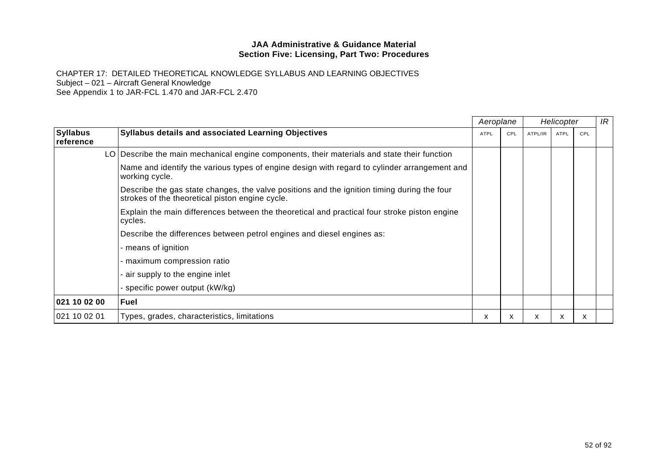|                              |                                                                                                                                                |             | Aeroplane |         | Helicopter  |     | IR |
|------------------------------|------------------------------------------------------------------------------------------------------------------------------------------------|-------------|-----------|---------|-------------|-----|----|
| <b>Syllabus</b><br>reference | <b>Syllabus details and associated Learning Objectives</b>                                                                                     | <b>ATPL</b> | CPL       | ATPL/IR | <b>ATPL</b> | CPL |    |
|                              | LO Describe the main mechanical engine components, their materials and state their function                                                    |             |           |         |             |     |    |
|                              | Name and identify the various types of engine design with regard to cylinder arrangement and<br>working cycle.                                 |             |           |         |             |     |    |
|                              | Describe the gas state changes, the valve positions and the ignition timing during the four<br>strokes of the theoretical piston engine cycle. |             |           |         |             |     |    |
|                              | Explain the main differences between the theoretical and practical four stroke piston engine<br>cycles.                                        |             |           |         |             |     |    |
|                              | Describe the differences between petrol engines and diesel engines as:                                                                         |             |           |         |             |     |    |
|                              | - means of ignition                                                                                                                            |             |           |         |             |     |    |
|                              | - maximum compression ratio                                                                                                                    |             |           |         |             |     |    |
|                              | - air supply to the engine inlet                                                                                                               |             |           |         |             |     |    |
|                              | - specific power output (kW/kg)                                                                                                                |             |           |         |             |     |    |
| 021 10 02 00                 | <b>Fuel</b>                                                                                                                                    |             |           |         |             |     |    |
| 021 10 02 01                 | Types, grades, characteristics, limitations                                                                                                    | X.          | x         | x       | x           | x   |    |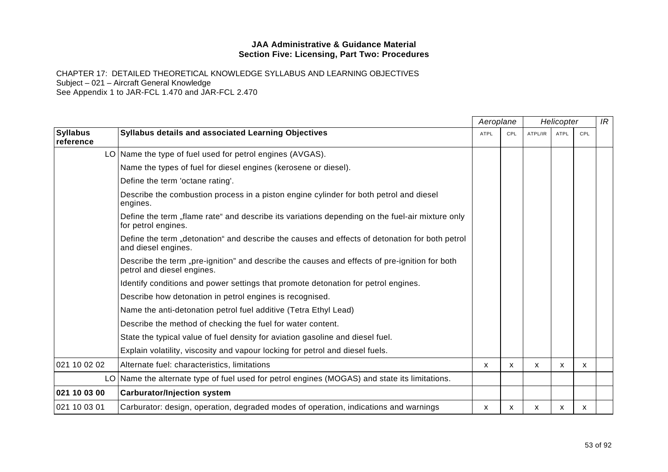|                              |                                                                                                                             | Aeroplane   |     |         | Helicopter  |     | IR |
|------------------------------|-----------------------------------------------------------------------------------------------------------------------------|-------------|-----|---------|-------------|-----|----|
| <b>Syllabus</b><br>reference | Syllabus details and associated Learning Objectives                                                                         | <b>ATPL</b> | CPL | ATPL/IR | <b>ATPL</b> | CPL |    |
|                              | LO Name the type of fuel used for petrol engines (AVGAS).                                                                   |             |     |         |             |     |    |
|                              | Name the types of fuel for diesel engines (kerosene or diesel).                                                             |             |     |         |             |     |    |
|                              | Define the term 'octane rating'.                                                                                            |             |     |         |             |     |    |
|                              | Describe the combustion process in a piston engine cylinder for both petrol and diesel<br>engines.                          |             |     |         |             |     |    |
|                              | Define the term "flame rate" and describe its variations depending on the fuel-air mixture only<br>for petrol engines.      |             |     |         |             |     |    |
|                              | Define the term "detonation" and describe the causes and effects of detonation for both petrol<br>and diesel engines.       |             |     |         |             |     |    |
|                              | Describe the term "pre-ignition" and describe the causes and effects of pre-ignition for both<br>petrol and diesel engines. |             |     |         |             |     |    |
|                              | Identify conditions and power settings that promote detonation for petrol engines.                                          |             |     |         |             |     |    |
|                              | Describe how detonation in petrol engines is recognised.                                                                    |             |     |         |             |     |    |
|                              | Name the anti-detonation petrol fuel additive (Tetra Ethyl Lead)                                                            |             |     |         |             |     |    |
|                              | Describe the method of checking the fuel for water content.                                                                 |             |     |         |             |     |    |
|                              | State the typical value of fuel density for aviation gasoline and diesel fuel.                                              |             |     |         |             |     |    |
|                              | Explain volatility, viscosity and vapour locking for petrol and diesel fuels.                                               |             |     |         |             |     |    |
| 021 10 02 02                 | Alternate fuel: characteristics, limitations                                                                                | X           | X   | X       | X           | X   |    |
|                              | LO Name the alternate type of fuel used for petrol engines (MOGAS) and state its limitations.                               |             |     |         |             |     |    |
| 021 10 03 00                 | <b>Carburator/Injection system</b>                                                                                          |             |     |         |             |     |    |
| 021 10 03 01                 | Carburator: design, operation, degraded modes of operation, indications and warnings                                        | x           | x   | x       | x           | x   |    |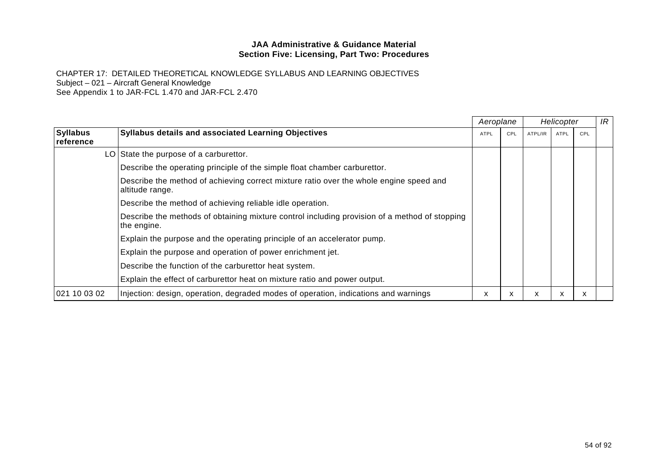|                              |                                                                                                              |      | Aeroplane | Helicopter |             |     | IR |
|------------------------------|--------------------------------------------------------------------------------------------------------------|------|-----------|------------|-------------|-----|----|
| <b>Syllabus</b><br>reference | <b>Syllabus details and associated Learning Objectives</b>                                                   | ATPL | CPL       | ATPL/IR    | <b>ATPL</b> | CPL |    |
|                              | LO State the purpose of a carburettor.                                                                       |      |           |            |             |     |    |
|                              | Describe the operating principle of the simple float chamber carburettor.                                    |      |           |            |             |     |    |
|                              | Describe the method of achieving correct mixture ratio over the whole engine speed and<br>altitude range.    |      |           |            |             |     |    |
|                              | Describe the method of achieving reliable idle operation.                                                    |      |           |            |             |     |    |
|                              | Describe the methods of obtaining mixture control including provision of a method of stopping<br>the engine. |      |           |            |             |     |    |
|                              | Explain the purpose and the operating principle of an accelerator pump.                                      |      |           |            |             |     |    |
|                              | Explain the purpose and operation of power enrichment jet.                                                   |      |           |            |             |     |    |
|                              | Describe the function of the carburettor heat system.                                                        |      |           |            |             |     |    |
|                              | Explain the effect of carburettor heat on mixture ratio and power output.                                    |      |           |            |             |     |    |
| 021 10 03 02                 | Injection: design, operation, degraded modes of operation, indications and warnings                          | x    | X         | x          | x           | x   |    |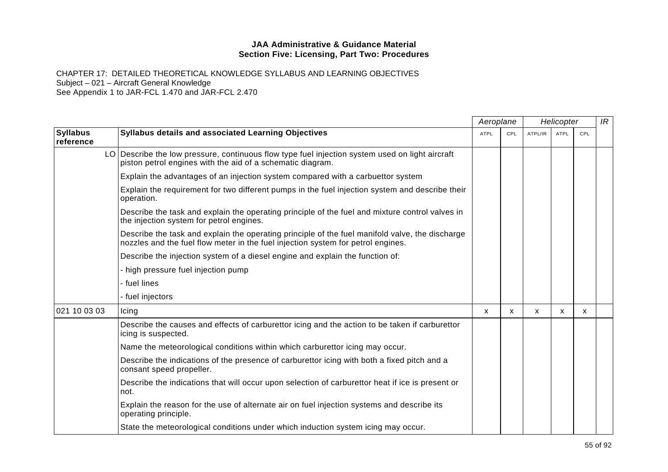|                              |                                                                                                                                                                                     | Aeroplane   |              | Helicopter |             |     | IR |
|------------------------------|-------------------------------------------------------------------------------------------------------------------------------------------------------------------------------------|-------------|--------------|------------|-------------|-----|----|
| <b>Syllabus</b><br>reference | <b>Syllabus details and associated Learning Objectives</b>                                                                                                                          | <b>ATPL</b> | CPL          | ATPL/IR    | <b>ATPL</b> | CPL |    |
|                              | LO Describe the low pressure, continuous flow type fuel injection system used on light aircraft<br>piston petrol engines with the aid of a schematic diagram.                       |             |              |            |             |     |    |
|                              | Explain the advantages of an injection system compared with a carbuettor system                                                                                                     |             |              |            |             |     |    |
|                              | Explain the requirement for two different pumps in the fuel injection system and describe their<br>operation.                                                                       |             |              |            |             |     |    |
|                              | Describe the task and explain the operating principle of the fuel and mixture control valves in<br>the injection system for petrol engines.                                         |             |              |            |             |     |    |
|                              | Describe the task and explain the operating principle of the fuel manifold valve, the discharge<br>nozzles and the fuel flow meter in the fuel injection system for petrol engines. |             |              |            |             |     |    |
|                              | Describe the injection system of a diesel engine and explain the function of:                                                                                                       |             |              |            |             |     |    |
|                              | high pressure fuel injection pump                                                                                                                                                   |             |              |            |             |     |    |
|                              | - fuel lines                                                                                                                                                                        |             |              |            |             |     |    |
|                              | - fuel injectors                                                                                                                                                                    |             |              |            |             |     |    |
| 021 10 03 03                 | Icing                                                                                                                                                                               | X           | $\mathsf{x}$ | X          | X           | X   |    |
|                              | Describe the causes and effects of carburettor icing and the action to be taken if carburettor<br>icing is suspected.                                                               |             |              |            |             |     |    |
|                              | Name the meteorological conditions within which carburettor icing may occur.                                                                                                        |             |              |            |             |     |    |
|                              | Describe the indications of the presence of carburettor icing with both a fixed pitch and a<br>consant speed propeller.                                                             |             |              |            |             |     |    |
|                              | Describe the indications that will occur upon selection of carburettor heat if ice is present or<br>not.                                                                            |             |              |            |             |     |    |
|                              | Explain the reason for the use of alternate air on fuel injection systems and describe its<br>operating principle.                                                                  |             |              |            |             |     |    |
|                              | State the meteorological conditions under which induction system icing may occur.                                                                                                   |             |              |            |             |     |    |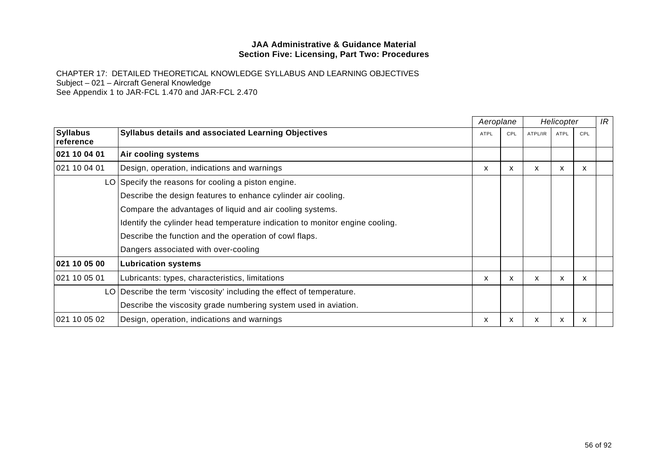|                              |                                                                              |             | Aeroplane | Helicopter |             |     | IR |
|------------------------------|------------------------------------------------------------------------------|-------------|-----------|------------|-------------|-----|----|
| <b>Syllabus</b><br>reference | <b>Syllabus details and associated Learning Objectives</b>                   | <b>ATPL</b> | CPL       | ATPL/IR    | <b>ATPL</b> | CPL |    |
| 021 10 04 01                 | Air cooling systems                                                          |             |           |            |             |     |    |
| 021 10 04 01                 | Design, operation, indications and warnings                                  | X           | X         | X          | X           | X   |    |
|                              | LO Specify the reasons for cooling a piston engine.                          |             |           |            |             |     |    |
|                              | Describe the design features to enhance cylinder air cooling.                |             |           |            |             |     |    |
|                              | Compare the advantages of liquid and air cooling systems.                    |             |           |            |             |     |    |
|                              | Identify the cylinder head temperature indication to monitor engine cooling. |             |           |            |             |     |    |
|                              | Describe the function and the operation of cowl flaps.                       |             |           |            |             |     |    |
|                              | Dangers associated with over-cooling                                         |             |           |            |             |     |    |
| 021 10 05 00                 | <b>Lubrication systems</b>                                                   |             |           |            |             |     |    |
| 021 10 05 01                 | Lubricants: types, characteristics, limitations                              | X.          | X         | x          | x           | X   |    |
|                              | LO Describe the term 'viscosity' including the effect of temperature.        |             |           |            |             |     |    |
|                              | Describe the viscosity grade numbering system used in aviation.              |             |           |            |             |     |    |
| 021 10 05 02                 | Design, operation, indications and warnings                                  | x           | x         | X          | x           | X   |    |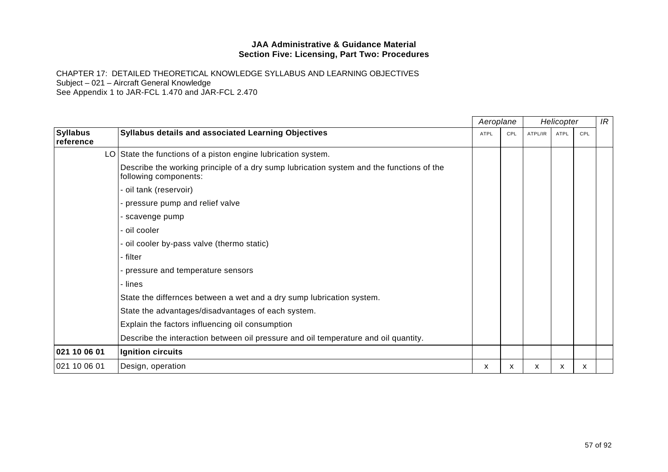|                              |                                                                                                                   |             | Aeroplane | Helicopter |             |     | IR |
|------------------------------|-------------------------------------------------------------------------------------------------------------------|-------------|-----------|------------|-------------|-----|----|
| <b>Syllabus</b><br>reference | Syllabus details and associated Learning Objectives                                                               | <b>ATPL</b> | CPL       | ATPL/IR    | <b>ATPL</b> | CPL |    |
|                              | LO State the functions of a piston engine lubrication system.                                                     |             |           |            |             |     |    |
|                              | Describe the working principle of a dry sump lubrication system and the functions of the<br>following components: |             |           |            |             |     |    |
|                              | - oil tank (reservoir)                                                                                            |             |           |            |             |     |    |
|                              | - pressure pump and relief valve                                                                                  |             |           |            |             |     |    |
|                              | - scavenge pump                                                                                                   |             |           |            |             |     |    |
|                              | - oil cooler                                                                                                      |             |           |            |             |     |    |
|                              | - oil cooler by-pass valve (thermo static)                                                                        |             |           |            |             |     |    |
|                              | - filter                                                                                                          |             |           |            |             |     |    |
|                              | - pressure and temperature sensors                                                                                |             |           |            |             |     |    |
|                              | - lines                                                                                                           |             |           |            |             |     |    |
|                              | State the differnces between a wet and a dry sump lubrication system.                                             |             |           |            |             |     |    |
|                              | State the advantages/disadvantages of each system.                                                                |             |           |            |             |     |    |
|                              | Explain the factors influencing oil consumption                                                                   |             |           |            |             |     |    |
|                              | Describe the interaction between oil pressure and oil temperature and oil quantity.                               |             |           |            |             |     |    |
| 021 10 06 01                 | Ignition circuits                                                                                                 |             |           |            |             |     |    |
| 021 10 06 01                 | Design, operation                                                                                                 | x           | x         | X          | X           | x   |    |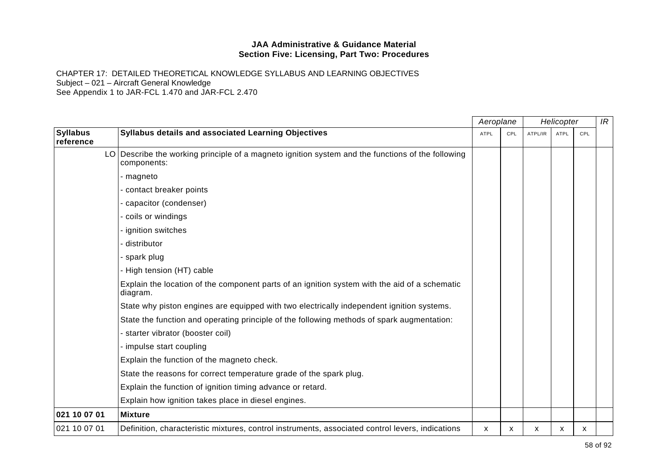|                              |                                                                                                                  |             | Aeroplane |         | Helicopter  |     | IR |
|------------------------------|------------------------------------------------------------------------------------------------------------------|-------------|-----------|---------|-------------|-----|----|
| <b>Syllabus</b><br>reference | <b>Syllabus details and associated Learning Objectives</b>                                                       | <b>ATPL</b> | CPL       | ATPL/IR | <b>ATPL</b> | CPL |    |
|                              | LO Describe the working principle of a magneto ignition system and the functions of the following<br>components: |             |           |         |             |     |    |
|                              | - magneto                                                                                                        |             |           |         |             |     |    |
|                              | - contact breaker points                                                                                         |             |           |         |             |     |    |
|                              | - capacitor (condenser)                                                                                          |             |           |         |             |     |    |
|                              | - coils or windings                                                                                              |             |           |         |             |     |    |
|                              | - ignition switches                                                                                              |             |           |         |             |     |    |
|                              | - distributor                                                                                                    |             |           |         |             |     |    |
|                              | - spark plug                                                                                                     |             |           |         |             |     |    |
|                              | - High tension (HT) cable                                                                                        |             |           |         |             |     |    |
|                              | Explain the location of the component parts of an ignition system with the aid of a schematic<br>diagram.        |             |           |         |             |     |    |
|                              | State why piston engines are equipped with two electrically independent ignition systems.                        |             |           |         |             |     |    |
|                              | State the function and operating principle of the following methods of spark augmentation:                       |             |           |         |             |     |    |
|                              | - starter vibrator (booster coil)                                                                                |             |           |         |             |     |    |
|                              | - impulse start coupling                                                                                         |             |           |         |             |     |    |
|                              | Explain the function of the magneto check.                                                                       |             |           |         |             |     |    |
|                              | State the reasons for correct temperature grade of the spark plug.                                               |             |           |         |             |     |    |
|                              | Explain the function of ignition timing advance or retard.                                                       |             |           |         |             |     |    |
|                              | Explain how ignition takes place in diesel engines.                                                              |             |           |         |             |     |    |
| 021 10 07 01                 | <b>Mixture</b>                                                                                                   |             |           |         |             |     |    |
| 021 10 07 01                 | Definition, characteristic mixtures, control instruments, associated control levers, indications                 | X           | X         | X       | X           | X   |    |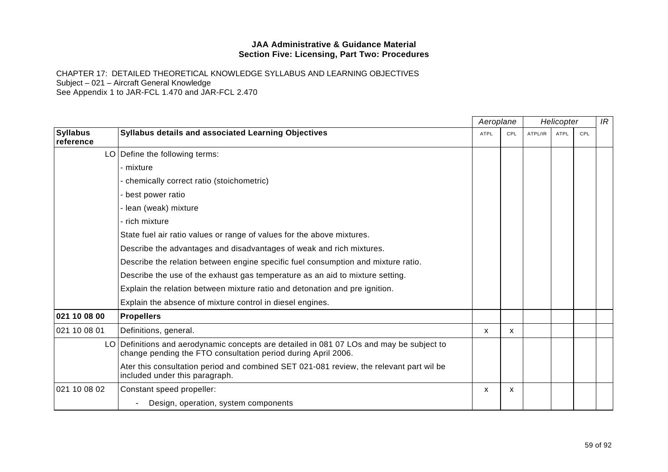|                              |                                                                                                                                                           |      | Aeroplane    |         | Helicopter |     | IR |
|------------------------------|-----------------------------------------------------------------------------------------------------------------------------------------------------------|------|--------------|---------|------------|-----|----|
| <b>Syllabus</b><br>reference | <b>Syllabus details and associated Learning Objectives</b>                                                                                                | ATPL | CPL          | ATPL/IR | ATPL       | CPL |    |
|                              | LO   Define the following terms:                                                                                                                          |      |              |         |            |     |    |
|                              | - mixture                                                                                                                                                 |      |              |         |            |     |    |
|                              | - chemically correct ratio (stoichometric)                                                                                                                |      |              |         |            |     |    |
|                              | - best power ratio                                                                                                                                        |      |              |         |            |     |    |
|                              | - lean (weak) mixture                                                                                                                                     |      |              |         |            |     |    |
|                              | - rich mixture                                                                                                                                            |      |              |         |            |     |    |
|                              | State fuel air ratio values or range of values for the above mixtures.                                                                                    |      |              |         |            |     |    |
|                              | Describe the advantages and disadvantages of weak and rich mixtures.                                                                                      |      |              |         |            |     |    |
|                              | Describe the relation between engine specific fuel consumption and mixture ratio.                                                                         |      |              |         |            |     |    |
|                              | Describe the use of the exhaust gas temperature as an aid to mixture setting.                                                                             |      |              |         |            |     |    |
|                              | Explain the relation between mixture ratio and detonation and pre ignition.                                                                               |      |              |         |            |     |    |
|                              | Explain the absence of mixture control in diesel engines.                                                                                                 |      |              |         |            |     |    |
| 021 10 08 00                 | <b>Propellers</b>                                                                                                                                         |      |              |         |            |     |    |
| 021 10 08 01                 | Definitions, general.                                                                                                                                     | X    | $\mathsf{x}$ |         |            |     |    |
|                              | LO Definitions and aerodynamic concepts are detailed in 081 07 LOs and may be subject to<br>change pending the FTO consultation period during April 2006. |      |              |         |            |     |    |
|                              | Ater this consultation period and combined SET 021-081 review, the relevant part wil be<br>included under this paragraph.                                 |      |              |         |            |     |    |
| 021 10 08 02                 | Constant speed propeller:                                                                                                                                 | X    | X            |         |            |     |    |
|                              | Design, operation, system components                                                                                                                      |      |              |         |            |     |    |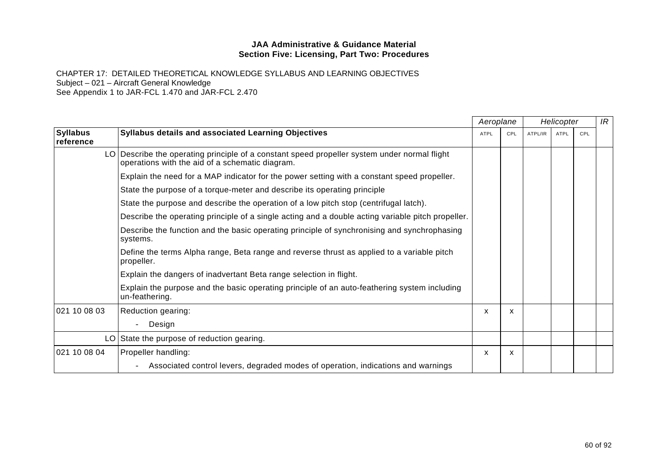|                              |                                                                                                                                                 | Aeroplane    |     | Helicopter |             |     | IR |
|------------------------------|-------------------------------------------------------------------------------------------------------------------------------------------------|--------------|-----|------------|-------------|-----|----|
| <b>Syllabus</b><br>reference | <b>Syllabus details and associated Learning Objectives</b>                                                                                      | ATPL         | CPL | ATPL/IR    | <b>ATPL</b> | CPL |    |
|                              | LO Describe the operating principle of a constant speed propeller system under normal flight<br>operations with the aid of a schematic diagram. |              |     |            |             |     |    |
|                              | Explain the need for a MAP indicator for the power setting with a constant speed propeller.                                                     |              |     |            |             |     |    |
|                              | State the purpose of a torque-meter and describe its operating principle                                                                        |              |     |            |             |     |    |
|                              | State the purpose and describe the operation of a low pitch stop (centrifugal latch).                                                           |              |     |            |             |     |    |
|                              | Describe the operating principle of a single acting and a double acting variable pitch propeller.                                               |              |     |            |             |     |    |
|                              | Describe the function and the basic operating principle of synchronising and synchrophasing<br>systems.                                         |              |     |            |             |     |    |
|                              | Define the terms Alpha range, Beta range and reverse thrust as applied to a variable pitch<br>propeller.                                        |              |     |            |             |     |    |
|                              | Explain the dangers of inadvertant Beta range selection in flight.                                                                              |              |     |            |             |     |    |
|                              | Explain the purpose and the basic operating principle of an auto-feathering system including<br>un-feathering.                                  |              |     |            |             |     |    |
| 021 10 08 03                 | Reduction gearing:                                                                                                                              | X            | X   |            |             |     |    |
|                              | Design                                                                                                                                          |              |     |            |             |     |    |
|                              | LO State the purpose of reduction gearing.                                                                                                      |              |     |            |             |     |    |
| 021 10 08 04                 | Propeller handling:                                                                                                                             | $\mathsf{x}$ | X   |            |             |     |    |
|                              | Associated control levers, degraded modes of operation, indications and warnings                                                                |              |     |            |             |     |    |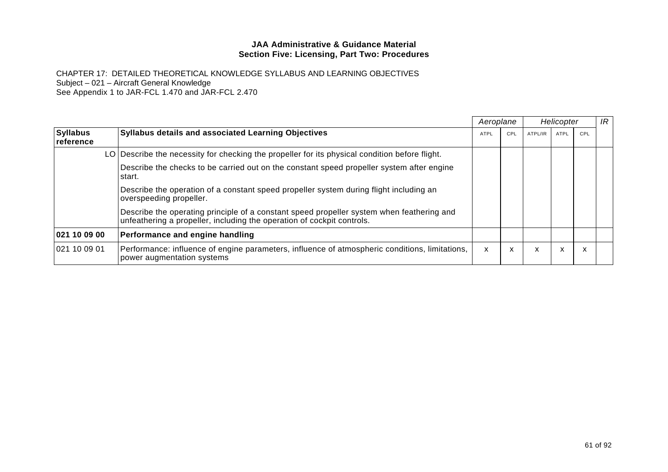|                              |                                                                                                                                                                     | Aeroplane |     |         | Helicopter  |     | IR |
|------------------------------|---------------------------------------------------------------------------------------------------------------------------------------------------------------------|-----------|-----|---------|-------------|-----|----|
| <b>Syllabus</b><br>reference | <b>Syllabus details and associated Learning Objectives</b>                                                                                                          | ATPL      | CPL | ATPL/IR | <b>ATPL</b> | CPL |    |
|                              | LO Describe the necessity for checking the propeller for its physical condition before flight.                                                                      |           |     |         |             |     |    |
|                              | Describe the checks to be carried out on the constant speed propeller system after engine<br>start.                                                                 |           |     |         |             |     |    |
|                              | Describe the operation of a constant speed propeller system during flight including an<br>overspeeding propeller.                                                   |           |     |         |             |     |    |
|                              | Describe the operating principle of a constant speed propeller system when feathering and<br>unfeathering a propeller, including the operation of cockpit controls. |           |     |         |             |     |    |
| 021 10 09 00                 | Performance and engine handling                                                                                                                                     |           |     |         |             |     |    |
| 021 10 09 01                 | Performance: influence of engine parameters, influence of atmospheric conditions, limitations,<br>power augmentation systems                                        | X         | X   | x       | X           | X   |    |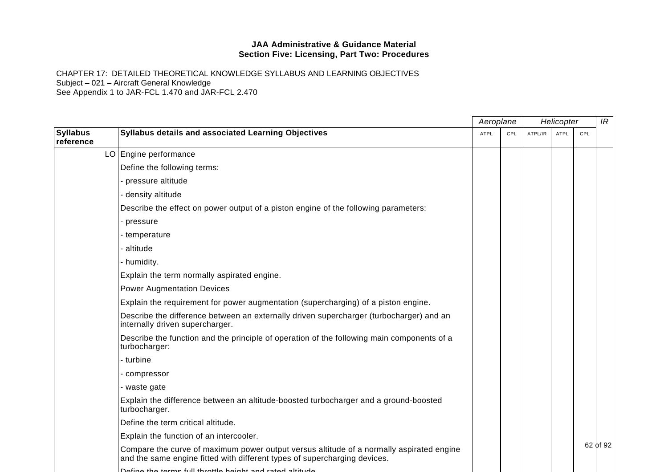|                              |                                                                                                                                                                       | Aeroplane   |     |         | Helicopter  |     | IR       |
|------------------------------|-----------------------------------------------------------------------------------------------------------------------------------------------------------------------|-------------|-----|---------|-------------|-----|----------|
| <b>Syllabus</b><br>reference | Syllabus details and associated Learning Objectives                                                                                                                   | <b>ATPL</b> | CPL | ATPL/IR | <b>ATPL</b> | CPL |          |
|                              | LO Engine performance                                                                                                                                                 |             |     |         |             |     |          |
|                              | Define the following terms:                                                                                                                                           |             |     |         |             |     |          |
|                              | - pressure altitude                                                                                                                                                   |             |     |         |             |     |          |
|                              | - density altitude                                                                                                                                                    |             |     |         |             |     |          |
|                              | Describe the effect on power output of a piston engine of the following parameters:                                                                                   |             |     |         |             |     |          |
|                              | - pressure                                                                                                                                                            |             |     |         |             |     |          |
|                              | - temperature                                                                                                                                                         |             |     |         |             |     |          |
|                              | - altitude                                                                                                                                                            |             |     |         |             |     |          |
|                              | - humidity.                                                                                                                                                           |             |     |         |             |     |          |
|                              | Explain the term normally aspirated engine.                                                                                                                           |             |     |         |             |     |          |
|                              | <b>Power Augmentation Devices</b>                                                                                                                                     |             |     |         |             |     |          |
|                              | Explain the requirement for power augmentation (supercharging) of a piston engine.                                                                                    |             |     |         |             |     |          |
|                              | Describe the difference between an externally driven supercharger (turbocharger) and an<br>internally driven supercharger.                                            |             |     |         |             |     |          |
|                              | Describe the function and the principle of operation of the following main components of a<br>turbocharger:                                                           |             |     |         |             |     |          |
|                              | - turbine                                                                                                                                                             |             |     |         |             |     |          |
|                              | - compressor                                                                                                                                                          |             |     |         |             |     |          |
|                              | - waste gate                                                                                                                                                          |             |     |         |             |     |          |
|                              | Explain the difference between an altitude-boosted turbocharger and a ground-boosted<br>turbocharger.                                                                 |             |     |         |             |     |          |
|                              | Define the term critical altitude.                                                                                                                                    |             |     |         |             |     |          |
|                              | Explain the function of an intercooler.                                                                                                                               |             |     |         |             |     |          |
|                              | Compare the curve of maximum power output versus altitude of a normally aspirated engine<br>and the same engine fitted with different types of supercharging devices. |             |     |         |             |     | 62 of 92 |
|                              | Define the terms full throttle boight and rated altitude                                                                                                              |             |     |         |             |     |          |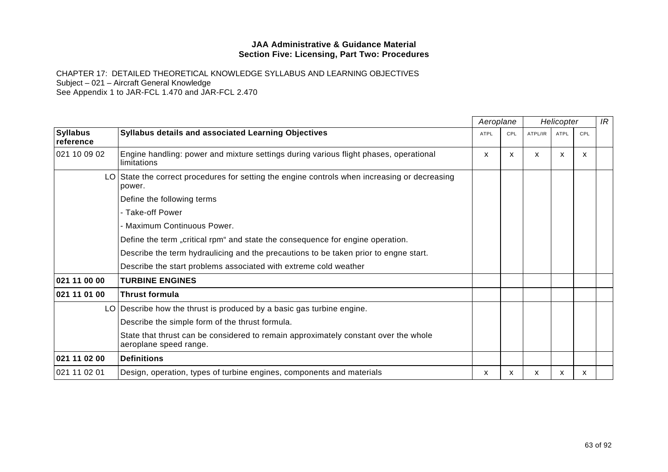|                              | Aeroplane                                                                                                     |      |     | Helicopter |             |     | IR |
|------------------------------|---------------------------------------------------------------------------------------------------------------|------|-----|------------|-------------|-----|----|
| <b>Syllabus</b><br>reference | Syllabus details and associated Learning Objectives                                                           | ATPL | CPL | ATPL/IR    | <b>ATPL</b> | CPL |    |
| 021 10 09 02                 | Engine handling: power and mixture settings during various flight phases, operational<br>limitations          | X    | X   | x          | X           | X   |    |
|                              | LO State the correct procedures for setting the engine controls when increasing or decreasing<br>power.       |      |     |            |             |     |    |
|                              | Define the following terms                                                                                    |      |     |            |             |     |    |
|                              | - Take-off Power                                                                                              |      |     |            |             |     |    |
|                              | - Maximum Continuous Power.                                                                                   |      |     |            |             |     |    |
|                              | Define the term "critical rpm" and state the consequence for engine operation.                                |      |     |            |             |     |    |
|                              | Describe the term hydraulicing and the precautions to be taken prior to engne start.                          |      |     |            |             |     |    |
|                              | Describe the start problems associated with extreme cold weather                                              |      |     |            |             |     |    |
| 021 11 00 00                 | <b>TURBINE ENGINES</b>                                                                                        |      |     |            |             |     |    |
| 021 11 01 00                 | <b>Thrust formula</b>                                                                                         |      |     |            |             |     |    |
|                              | LO Describe how the thrust is produced by a basic gas turbine engine.                                         |      |     |            |             |     |    |
|                              | Describe the simple form of the thrust formula.                                                               |      |     |            |             |     |    |
|                              | State that thrust can be considered to remain approximately constant over the whole<br>aeroplane speed range. |      |     |            |             |     |    |
| 021 11 02 00                 | <b>Definitions</b>                                                                                            |      |     |            |             |     |    |
| 021 11 02 01                 | Design, operation, types of turbine engines, components and materials                                         | x    | х   | х          | x           | х   |    |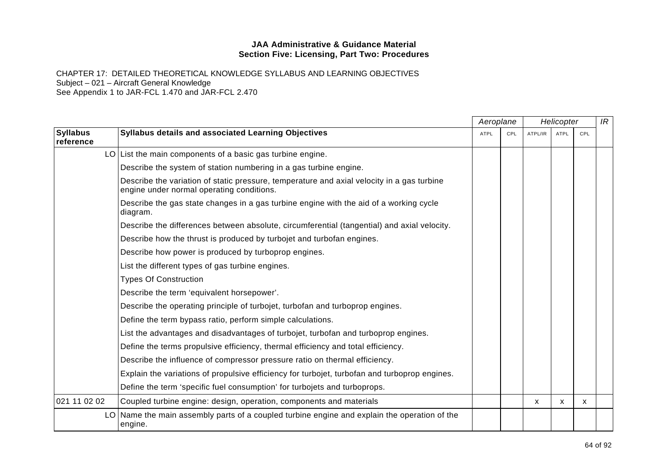|                              |                                                                                                                                         | Aeroplane   |     |              | Helicopter  |          | IR |
|------------------------------|-----------------------------------------------------------------------------------------------------------------------------------------|-------------|-----|--------------|-------------|----------|----|
| <b>Syllabus</b><br>reference | <b>Syllabus details and associated Learning Objectives</b>                                                                              | <b>ATPL</b> | CPL | ATPL/IR      | <b>ATPL</b> | CPL      |    |
|                              | $LO$ List the main components of a basic gas turbine engine.                                                                            |             |     |              |             |          |    |
|                              | Describe the system of station numbering in a gas turbine engine.                                                                       |             |     |              |             |          |    |
|                              | Describe the variation of static pressure, temperature and axial velocity in a gas turbine<br>engine under normal operating conditions. |             |     |              |             |          |    |
|                              | Describe the gas state changes in a gas turbine engine with the aid of a working cycle<br>diagram.                                      |             |     |              |             |          |    |
|                              | Describe the differences between absolute, circumferential (tangential) and axial velocity.                                             |             |     |              |             |          |    |
|                              | Describe how the thrust is produced by turbojet and turbofan engines.                                                                   |             |     |              |             |          |    |
|                              | Describe how power is produced by turboprop engines.                                                                                    |             |     |              |             |          |    |
|                              | List the different types of gas turbine engines.                                                                                        |             |     |              |             |          |    |
|                              | <b>Types Of Construction</b>                                                                                                            |             |     |              |             |          |    |
|                              | Describe the term 'equivalent horsepower'.                                                                                              |             |     |              |             |          |    |
|                              | Describe the operating principle of turbojet, turbofan and turboprop engines.                                                           |             |     |              |             |          |    |
|                              | Define the term bypass ratio, perform simple calculations.                                                                              |             |     |              |             |          |    |
|                              | List the advantages and disadvantages of turbojet, turbofan and turboprop engines.                                                      |             |     |              |             |          |    |
|                              | Define the terms propulsive efficiency, thermal efficiency and total efficiency.                                                        |             |     |              |             |          |    |
|                              | Describe the influence of compressor pressure ratio on thermal efficiency.                                                              |             |     |              |             |          |    |
|                              | Explain the variations of propulsive efficiency for turbojet, turbofan and turboprop engines.                                           |             |     |              |             |          |    |
|                              | Define the term 'specific fuel consumption' for turbojets and turboprops.                                                               |             |     |              |             |          |    |
| 021 11 02 02                 | Coupled turbine engine: design, operation, components and materials                                                                     |             |     | $\mathsf{x}$ | X           | <b>X</b> |    |
|                              | LO Name the main assembly parts of a coupled turbine engine and explain the operation of the<br>engine.                                 |             |     |              |             |          |    |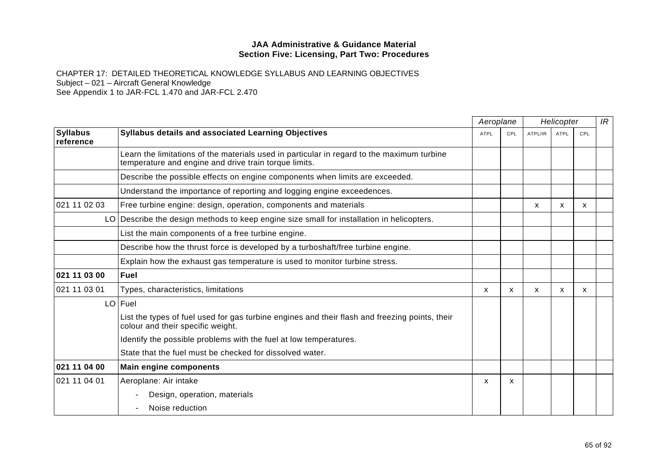|                              |                                                                                                                                                     |      | Aeroplane    |         | Helicopter  |     | IR |
|------------------------------|-----------------------------------------------------------------------------------------------------------------------------------------------------|------|--------------|---------|-------------|-----|----|
| <b>Syllabus</b><br>reference | Syllabus details and associated Learning Objectives                                                                                                 | ATPL | CPL          | ATPL/IR | <b>ATPL</b> | CPL |    |
|                              | Learn the limitations of the materials used in particular in regard to the maximum turbine<br>temperature and engine and drive train torque limits. |      |              |         |             |     |    |
|                              | Describe the possible effects on engine components when limits are exceeded.                                                                        |      |              |         |             |     |    |
|                              | Understand the importance of reporting and logging engine exceedences.                                                                              |      |              |         |             |     |    |
| 021 11 02 03                 | Free turbine engine: design, operation, components and materials                                                                                    |      |              | x       | X           | x   |    |
|                              | LO Describe the design methods to keep engine size small for installation in helicopters.                                                           |      |              |         |             |     |    |
|                              | List the main components of a free turbine engine.                                                                                                  |      |              |         |             |     |    |
|                              | Describe how the thrust force is developed by a turboshaft/free turbine engine.                                                                     |      |              |         |             |     |    |
|                              | Explain how the exhaust gas temperature is used to monitor turbine stress.                                                                          |      |              |         |             |     |    |
| 021 11 03 00                 | <b>Fuel</b>                                                                                                                                         |      |              |         |             |     |    |
| 021 11 03 01                 | Types, characteristics, limitations                                                                                                                 | X    | $\mathsf{x}$ | X       | X           | X   |    |
|                              | LO Fuel                                                                                                                                             |      |              |         |             |     |    |
|                              | List the types of fuel used for gas turbine engines and their flash and freezing points, their<br>colour and their specific weight.                 |      |              |         |             |     |    |
|                              | Identify the possible problems with the fuel at low temperatures.                                                                                   |      |              |         |             |     |    |
|                              | State that the fuel must be checked for dissolved water.                                                                                            |      |              |         |             |     |    |
| 021 11 04 00                 | <b>Main engine components</b>                                                                                                                       |      |              |         |             |     |    |
| 021 11 04 01                 | Aeroplane: Air intake                                                                                                                               | X    | X            |         |             |     |    |
|                              | Design, operation, materials                                                                                                                        |      |              |         |             |     |    |
|                              | Noise reduction                                                                                                                                     |      |              |         |             |     |    |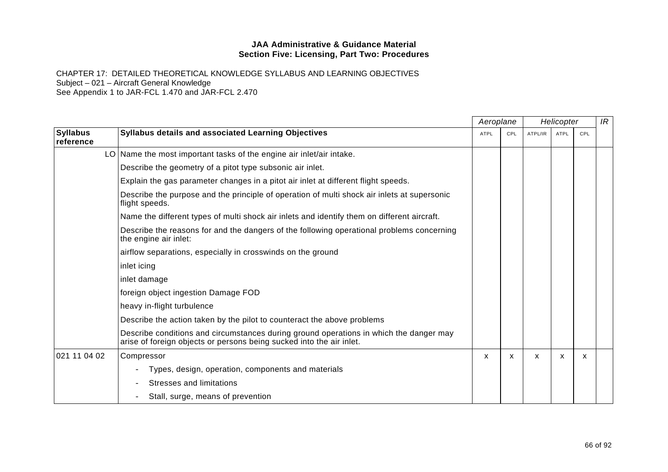|                              |                                                                                                                                                                | Aeroplane   |     | Helicopter |      | IR  |  |
|------------------------------|----------------------------------------------------------------------------------------------------------------------------------------------------------------|-------------|-----|------------|------|-----|--|
| <b>Syllabus</b><br>reference | Syllabus details and associated Learning Objectives                                                                                                            | <b>ATPL</b> | CPL | ATPL/IR    | ATPL | CPL |  |
|                              | $LO$ Name the most important tasks of the engine air inlet/air intake.                                                                                         |             |     |            |      |     |  |
|                              | Describe the geometry of a pitot type subsonic air inlet.                                                                                                      |             |     |            |      |     |  |
|                              | Explain the gas parameter changes in a pitot air inlet at different flight speeds.                                                                             |             |     |            |      |     |  |
|                              | Describe the purpose and the principle of operation of multi shock air inlets at supersonic<br>flight speeds.                                                  |             |     |            |      |     |  |
|                              | Name the different types of multi shock air inlets and identify them on different aircraft.                                                                    |             |     |            |      |     |  |
|                              | Describe the reasons for and the dangers of the following operational problems concerning<br>the engine air inlet:                                             |             |     |            |      |     |  |
|                              | airflow separations, especially in crosswinds on the ground                                                                                                    |             |     |            |      |     |  |
|                              | inlet icing                                                                                                                                                    |             |     |            |      |     |  |
|                              | inlet damage                                                                                                                                                   |             |     |            |      |     |  |
|                              | foreign object ingestion Damage FOD                                                                                                                            |             |     |            |      |     |  |
|                              | heavy in-flight turbulence                                                                                                                                     |             |     |            |      |     |  |
|                              | Describe the action taken by the pilot to counteract the above problems                                                                                        |             |     |            |      |     |  |
|                              | Describe conditions and circumstances during ground operations in which the danger may<br>arise of foreign objects or persons being sucked into the air inlet. |             |     |            |      |     |  |
| 021 11 04 02                 | Compressor                                                                                                                                                     | X           | X   | X          | X    | X   |  |
|                              | Types, design, operation, components and materials                                                                                                             |             |     |            |      |     |  |
|                              | Stresses and limitations                                                                                                                                       |             |     |            |      |     |  |
|                              | Stall, surge, means of prevention                                                                                                                              |             |     |            |      |     |  |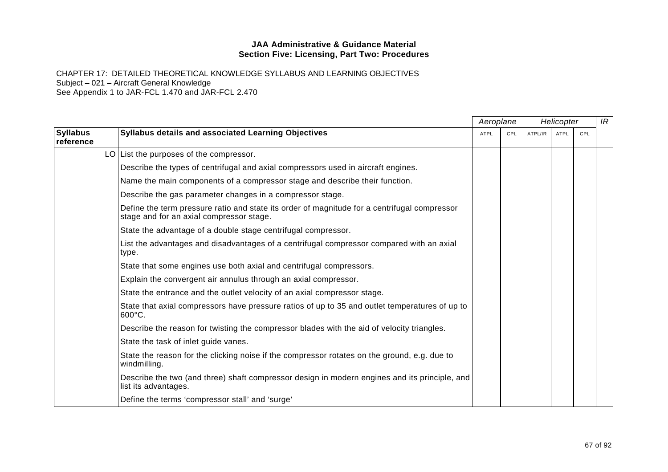|                              |                                                                                                                                          |             | Aeroplane |         | Helicopter  |     | IR |
|------------------------------|------------------------------------------------------------------------------------------------------------------------------------------|-------------|-----------|---------|-------------|-----|----|
| <b>Syllabus</b><br>reference | Syllabus details and associated Learning Objectives                                                                                      | <b>ATPL</b> | CPL       | ATPL/IR | <b>ATPL</b> | CPL |    |
|                              | $LO$ List the purposes of the compressor.                                                                                                |             |           |         |             |     |    |
|                              | Describe the types of centrifugal and axial compressors used in aircraft engines.                                                        |             |           |         |             |     |    |
|                              | Name the main components of a compressor stage and describe their function.                                                              |             |           |         |             |     |    |
|                              | Describe the gas parameter changes in a compressor stage.                                                                                |             |           |         |             |     |    |
|                              | Define the term pressure ratio and state its order of magnitude for a centrifugal compressor<br>stage and for an axial compressor stage. |             |           |         |             |     |    |
|                              | State the advantage of a double stage centrifugal compressor.                                                                            |             |           |         |             |     |    |
|                              | List the advantages and disadvantages of a centrifugal compressor compared with an axial<br>type.                                        |             |           |         |             |     |    |
|                              | State that some engines use both axial and centrifugal compressors.                                                                      |             |           |         |             |     |    |
|                              | Explain the convergent air annulus through an axial compressor.                                                                          |             |           |         |             |     |    |
|                              | State the entrance and the outlet velocity of an axial compressor stage.                                                                 |             |           |         |             |     |    |
|                              | State that axial compressors have pressure ratios of up to 35 and outlet temperatures of up to<br>600°C.                                 |             |           |         |             |     |    |
|                              | Describe the reason for twisting the compressor blades with the aid of velocity triangles.                                               |             |           |         |             |     |    |
|                              | State the task of inlet guide vanes.                                                                                                     |             |           |         |             |     |    |
|                              | State the reason for the clicking noise if the compressor rotates on the ground, e.g. due to<br>windmilling.                             |             |           |         |             |     |    |
|                              | Describe the two (and three) shaft compressor design in modern engines and its principle, and<br>list its advantages.                    |             |           |         |             |     |    |
|                              | Define the terms 'compressor stall' and 'surge'                                                                                          |             |           |         |             |     |    |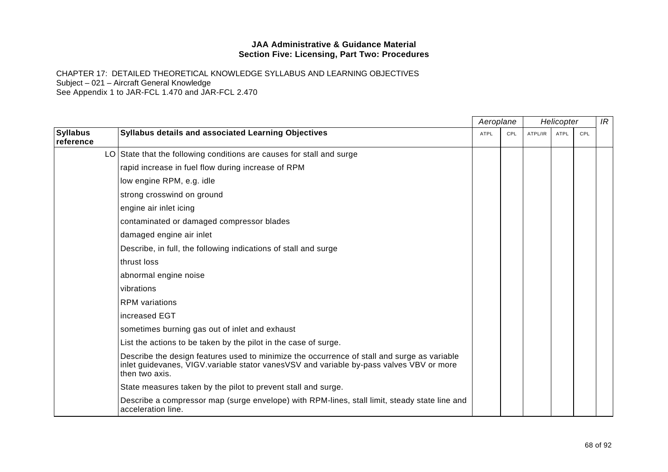|                              |                                                                                                                                                                                                          | Aeroplane   |     | Helicopter |             |     | IR |
|------------------------------|----------------------------------------------------------------------------------------------------------------------------------------------------------------------------------------------------------|-------------|-----|------------|-------------|-----|----|
| <b>Syllabus</b><br>reference | <b>Syllabus details and associated Learning Objectives</b>                                                                                                                                               | <b>ATPL</b> | CPL | ATPL/IR    | <b>ATPL</b> | CPL |    |
|                              | LO State that the following conditions are causes for stall and surge                                                                                                                                    |             |     |            |             |     |    |
|                              | rapid increase in fuel flow during increase of RPM                                                                                                                                                       |             |     |            |             |     |    |
|                              | low engine RPM, e.g. idle                                                                                                                                                                                |             |     |            |             |     |    |
|                              | strong crosswind on ground                                                                                                                                                                               |             |     |            |             |     |    |
|                              | engine air inlet icing                                                                                                                                                                                   |             |     |            |             |     |    |
|                              | contaminated or damaged compressor blades                                                                                                                                                                |             |     |            |             |     |    |
|                              | damaged engine air inlet                                                                                                                                                                                 |             |     |            |             |     |    |
|                              | Describe, in full, the following indications of stall and surge                                                                                                                                          |             |     |            |             |     |    |
|                              | thrust loss                                                                                                                                                                                              |             |     |            |             |     |    |
|                              | abnormal engine noise                                                                                                                                                                                    |             |     |            |             |     |    |
|                              | vibrations                                                                                                                                                                                               |             |     |            |             |     |    |
|                              | <b>RPM</b> variations                                                                                                                                                                                    |             |     |            |             |     |    |
|                              | increased EGT                                                                                                                                                                                            |             |     |            |             |     |    |
|                              | sometimes burning gas out of inlet and exhaust                                                                                                                                                           |             |     |            |             |     |    |
|                              | List the actions to be taken by the pilot in the case of surge.                                                                                                                                          |             |     |            |             |     |    |
|                              | Describe the design features used to minimize the occurrence of stall and surge as variable<br>inlet guidevanes, VIGV.variable stator vanesVSV and variable by-pass valves VBV or more<br>then two axis. |             |     |            |             |     |    |
|                              | State measures taken by the pilot to prevent stall and surge.                                                                                                                                            |             |     |            |             |     |    |
|                              | Describe a compressor map (surge envelope) with RPM-lines, stall limit, steady state line and<br>acceleration line.                                                                                      |             |     |            |             |     |    |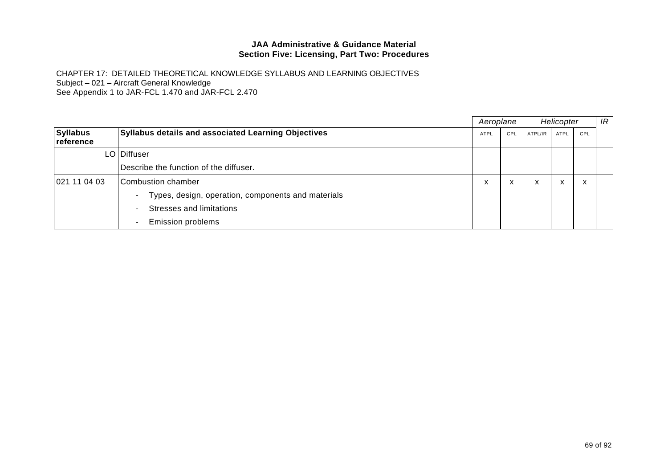|                        |                                                                         |             | Aeroplane |         | Helicopter                |                                       |  |
|------------------------|-------------------------------------------------------------------------|-------------|-----------|---------|---------------------------|---------------------------------------|--|
| Syllabus<br>∣reference | <b>Syllabus details and associated Learning Objectives</b>              | <b>ATPL</b> | CPL       | ATPL/IR | <b>ATPL</b>               | CPL                                   |  |
|                        | LO   Diffuser                                                           |             |           |         |                           |                                       |  |
|                        | Describe the function of the diffuser.                                  |             |           |         |                           |                                       |  |
| 021 11 04 03           | Combustion chamber                                                      | v           | X         | x       | $\checkmark$<br>$\lambda$ | $\overline{\phantom{a}}$<br>$\lambda$ |  |
|                        | Types, design, operation, components and materials<br>$\qquad \qquad -$ |             |           |         |                           |                                       |  |
|                        | Stresses and limitations<br>$\equiv$                                    |             |           |         |                           |                                       |  |
|                        | <b>Emission problems</b><br>Ξ.                                          |             |           |         |                           |                                       |  |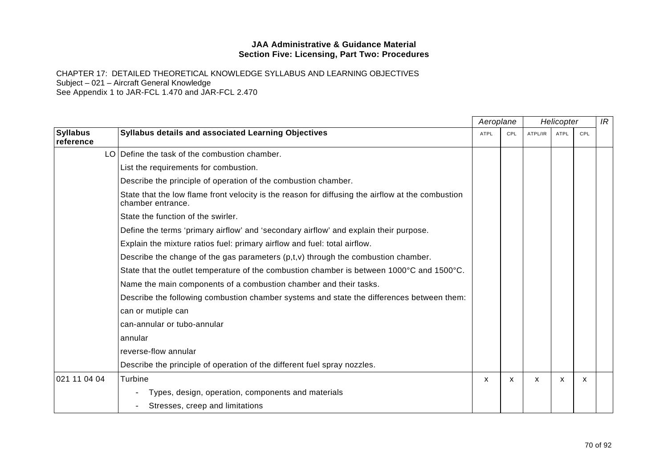|                              |                                                                                                                        |      | Aeroplane<br>Helicopter |         |             | IR  |  |
|------------------------------|------------------------------------------------------------------------------------------------------------------------|------|-------------------------|---------|-------------|-----|--|
| <b>Syllabus</b><br>reference | Syllabus details and associated Learning Objectives                                                                    | ATPL | CPL                     | ATPL/IR | <b>ATPL</b> | CPL |  |
|                              | LO Define the task of the combustion chamber.                                                                          |      |                         |         |             |     |  |
|                              | List the requirements for combustion.                                                                                  |      |                         |         |             |     |  |
|                              | Describe the principle of operation of the combustion chamber.                                                         |      |                         |         |             |     |  |
|                              | State that the low flame front velocity is the reason for diffusing the airflow at the combustion<br>chamber entrance. |      |                         |         |             |     |  |
|                              | State the function of the swirler.                                                                                     |      |                         |         |             |     |  |
|                              | Define the terms 'primary airflow' and 'secondary airflow' and explain their purpose.                                  |      |                         |         |             |     |  |
|                              | Explain the mixture ratios fuel: primary airflow and fuel: total airflow.                                              |      |                         |         |             |     |  |
|                              | Describe the change of the gas parameters $(p,t,v)$ through the combustion chamber.                                    |      |                         |         |             |     |  |
|                              | State that the outlet temperature of the combustion chamber is between 1000°C and 1500°C.                              |      |                         |         |             |     |  |
|                              | Name the main components of a combustion chamber and their tasks.                                                      |      |                         |         |             |     |  |
|                              | Describe the following combustion chamber systems and state the differences between them:                              |      |                         |         |             |     |  |
|                              | can or mutiple can                                                                                                     |      |                         |         |             |     |  |
|                              | can-annular or tubo-annular                                                                                            |      |                         |         |             |     |  |
|                              | annular                                                                                                                |      |                         |         |             |     |  |
|                              | reverse-flow annular                                                                                                   |      |                         |         |             |     |  |
|                              | Describe the principle of operation of the different fuel spray nozzles.                                               |      |                         |         |             |     |  |
| 021 11 04 04                 | Turbine                                                                                                                | x    | х                       | x       | X           | x   |  |
|                              | Types, design, operation, components and materials                                                                     |      |                         |         |             |     |  |
|                              | Stresses, creep and limitations                                                                                        |      |                         |         |             |     |  |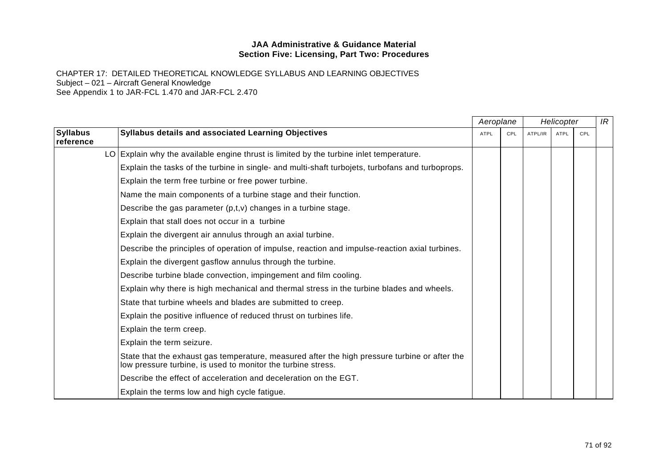|                              |                                                                                                                                                               | Aeroplane   |     | Helicopter |             |     | IR |
|------------------------------|---------------------------------------------------------------------------------------------------------------------------------------------------------------|-------------|-----|------------|-------------|-----|----|
| <b>Syllabus</b><br>reference | Syllabus details and associated Learning Objectives                                                                                                           | <b>ATPL</b> | CPL | ATPL/IR    | <b>ATPL</b> | CPL |    |
|                              | LO Explain why the available engine thrust is limited by the turbine inlet temperature.                                                                       |             |     |            |             |     |    |
|                              | Explain the tasks of the turbine in single- and multi-shaft turbojets, turbofans and turboprops.                                                              |             |     |            |             |     |    |
|                              | Explain the term free turbine or free power turbine.                                                                                                          |             |     |            |             |     |    |
|                              | Name the main components of a turbine stage and their function.                                                                                               |             |     |            |             |     |    |
|                              | Describe the gas parameter $(p,t,v)$ changes in a turbine stage.                                                                                              |             |     |            |             |     |    |
|                              | Explain that stall does not occur in a turbine                                                                                                                |             |     |            |             |     |    |
|                              | Explain the divergent air annulus through an axial turbine.                                                                                                   |             |     |            |             |     |    |
|                              | Describe the principles of operation of impulse, reaction and impulse-reaction axial turbines.                                                                |             |     |            |             |     |    |
|                              | Explain the divergent gasflow annulus through the turbine.                                                                                                    |             |     |            |             |     |    |
|                              | Describe turbine blade convection, impingement and film cooling.                                                                                              |             |     |            |             |     |    |
|                              | Explain why there is high mechanical and thermal stress in the turbine blades and wheels.                                                                     |             |     |            |             |     |    |
|                              | State that turbine wheels and blades are submitted to creep.                                                                                                  |             |     |            |             |     |    |
|                              | Explain the positive influence of reduced thrust on turbines life.                                                                                            |             |     |            |             |     |    |
|                              | Explain the term creep.                                                                                                                                       |             |     |            |             |     |    |
|                              | Explain the term seizure.                                                                                                                                     |             |     |            |             |     |    |
|                              | State that the exhaust gas temperature, measured after the high pressure turbine or after the<br>low pressure turbine, is used to monitor the turbine stress. |             |     |            |             |     |    |
|                              | Describe the effect of acceleration and deceleration on the EGT.                                                                                              |             |     |            |             |     |    |
|                              | Explain the terms low and high cycle fatigue.                                                                                                                 |             |     |            |             |     |    |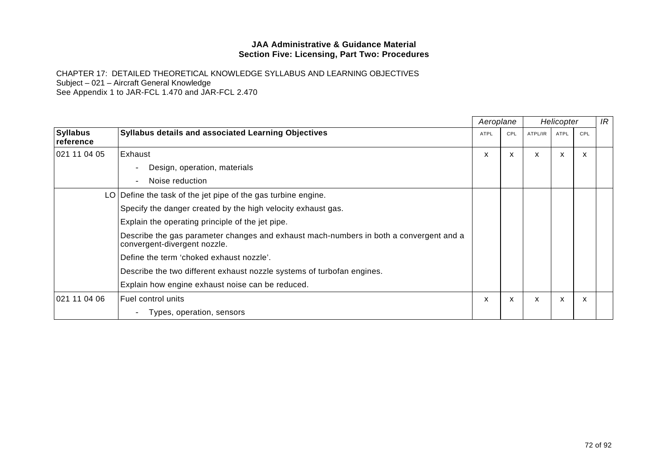|                              |                                                                                                                        | Aeroplane   |     | Helicopter |             |     | IR |
|------------------------------|------------------------------------------------------------------------------------------------------------------------|-------------|-----|------------|-------------|-----|----|
| <b>Syllabus</b><br>reference | <b>Syllabus details and associated Learning Objectives</b>                                                             | <b>ATPL</b> | CPL | ATPL/IR    | <b>ATPL</b> | CPL |    |
| 021 11 04 05                 | Exhaust                                                                                                                | X           | X   | X          | X           | X   |    |
|                              | Design, operation, materials                                                                                           |             |     |            |             |     |    |
|                              | Noise reduction<br>$\overline{\phantom{m}}$                                                                            |             |     |            |             |     |    |
|                              | LO Define the task of the jet pipe of the gas turbine engine.                                                          |             |     |            |             |     |    |
|                              | Specify the danger created by the high velocity exhaust gas.                                                           |             |     |            |             |     |    |
|                              | Explain the operating principle of the jet pipe.                                                                       |             |     |            |             |     |    |
|                              | Describe the gas parameter changes and exhaust mach-numbers in both a convergent and a<br>convergent-divergent nozzle. |             |     |            |             |     |    |
|                              | Define the term 'choked exhaust nozzle'.                                                                               |             |     |            |             |     |    |
|                              | Describe the two different exhaust nozzle systems of turbofan engines.                                                 |             |     |            |             |     |    |
|                              | Explain how engine exhaust noise can be reduced.                                                                       |             |     |            |             |     |    |
| 021 11 04 06                 | Fuel control units                                                                                                     | X           | X   | X          | X           | X   |    |
|                              | Types, operation, sensors<br>$\overline{\phantom{m}}$                                                                  |             |     |            |             |     |    |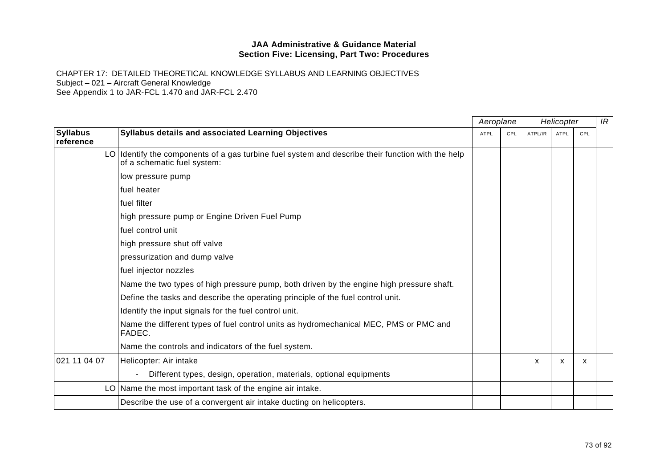|                                                                                                                                  | Aeroplane   |     | Helicopter |             |     | IR |
|----------------------------------------------------------------------------------------------------------------------------------|-------------|-----|------------|-------------|-----|----|
| Syllabus details and associated Learning Objectives                                                                              | <b>ATPL</b> | CPL | ATPL/IR    | <b>ATPL</b> | CPL |    |
| LO Identify the components of a gas turbine fuel system and describe their function with the help<br>of a schematic fuel system: |             |     |            |             |     |    |
| low pressure pump                                                                                                                |             |     |            |             |     |    |
| fuel heater                                                                                                                      |             |     |            |             |     |    |
| fuel filter                                                                                                                      |             |     |            |             |     |    |
| high pressure pump or Engine Driven Fuel Pump                                                                                    |             |     |            |             |     |    |
| fuel control unit                                                                                                                |             |     |            |             |     |    |
| high pressure shut off valve                                                                                                     |             |     |            |             |     |    |
| pressurization and dump valve                                                                                                    |             |     |            |             |     |    |
| fuel injector nozzles                                                                                                            |             |     |            |             |     |    |
| Name the two types of high pressure pump, both driven by the engine high pressure shaft.                                         |             |     |            |             |     |    |
| Define the tasks and describe the operating principle of the fuel control unit.                                                  |             |     |            |             |     |    |
| Identify the input signals for the fuel control unit.                                                                            |             |     |            |             |     |    |
| Name the different types of fuel control units as hydromechanical MEC, PMS or PMC and<br>FADEC.                                  |             |     |            |             |     |    |
| Name the controls and indicators of the fuel system.                                                                             |             |     |            |             |     |    |
| Helicopter: Air intake                                                                                                           |             |     | x          | X           | х   |    |
| Different types, design, operation, materials, optional equipments                                                               |             |     |            |             |     |    |
| LO Name the most important task of the engine air intake.                                                                        |             |     |            |             |     |    |
| Describe the use of a convergent air intake ducting on helicopters.                                                              |             |     |            |             |     |    |
|                                                                                                                                  |             |     |            |             |     |    |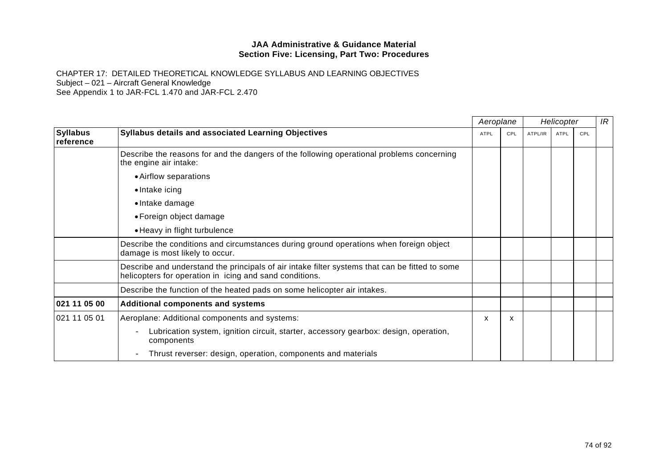CHAPTER 17: DETAILED THEORETICAL KNOWLEDGE SYLLABUS AND LEARNING OBJECTIVES Subject – 021 – Aircraft General Knowledge See Appendix 1 to JAR-FCL 1.470 and JAR-FCL 2.470

*Aeroplane Helicopter* **Syllabus reference Syllabus details and associated Learning Objectives** ATPL ATPL ATPL ATPL/IR ATPL CPL ATPL/IR ATPL CPL CPL ATPL/IR  $\overline{IR}$ Describe the reasons for and the dangers of the following operational problems concerning the engine air intake: • Airflow separations • Intake icing • Intake damage • Foreign object damage • Heavy in flight turbulence Describe the conditions and circumstances during ground operations when foreign object damage is most likely to occur. Describe and understand the principals of air intake filter systems that can be fitted to some helicopters for operation in icing and sand conditions. Describe the function of the heated pads on some helicopter air intakes. **021 11 05 00 Additional components and systems**  021 11 05 01 | Aeroplane: Additional components and systems: - Lubrication system, ignition circuit, starter, accessory gearbox: design, operation, components - Thrust reverser: design, operation, components and materials  $x \times x$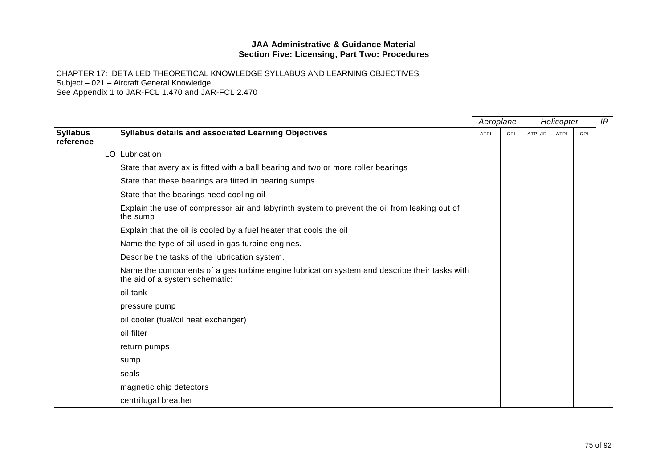|                              |                                                                                                                                | Aeroplane |     | Helicopter |      |     | IR |
|------------------------------|--------------------------------------------------------------------------------------------------------------------------------|-----------|-----|------------|------|-----|----|
| <b>Syllabus</b><br>reference | Syllabus details and associated Learning Objectives                                                                            | ATPL      | CPL | ATPL/IR    | ATPL | CPL |    |
|                              | LO Lubrication                                                                                                                 |           |     |            |      |     |    |
|                              | State that avery ax is fitted with a ball bearing and two or more roller bearings                                              |           |     |            |      |     |    |
|                              | State that these bearings are fitted in bearing sumps.                                                                         |           |     |            |      |     |    |
|                              | State that the bearings need cooling oil                                                                                       |           |     |            |      |     |    |
|                              | Explain the use of compressor air and labyrinth system to prevent the oil from leaking out of<br>the sump                      |           |     |            |      |     |    |
|                              | Explain that the oil is cooled by a fuel heater that cools the oil                                                             |           |     |            |      |     |    |
|                              | Name the type of oil used in gas turbine engines.                                                                              |           |     |            |      |     |    |
|                              | Describe the tasks of the lubrication system.                                                                                  |           |     |            |      |     |    |
|                              | Name the components of a gas turbine engine lubrication system and describe their tasks with<br>the aid of a system schematic: |           |     |            |      |     |    |
|                              | oil tank                                                                                                                       |           |     |            |      |     |    |
|                              | pressure pump                                                                                                                  |           |     |            |      |     |    |
|                              | oil cooler (fuel/oil heat exchanger)                                                                                           |           |     |            |      |     |    |
|                              | oil filter                                                                                                                     |           |     |            |      |     |    |
|                              | return pumps                                                                                                                   |           |     |            |      |     |    |
|                              | sump                                                                                                                           |           |     |            |      |     |    |
|                              | seals                                                                                                                          |           |     |            |      |     |    |
|                              | magnetic chip detectors                                                                                                        |           |     |            |      |     |    |
|                              | centrifugal breather                                                                                                           |           |     |            |      |     |    |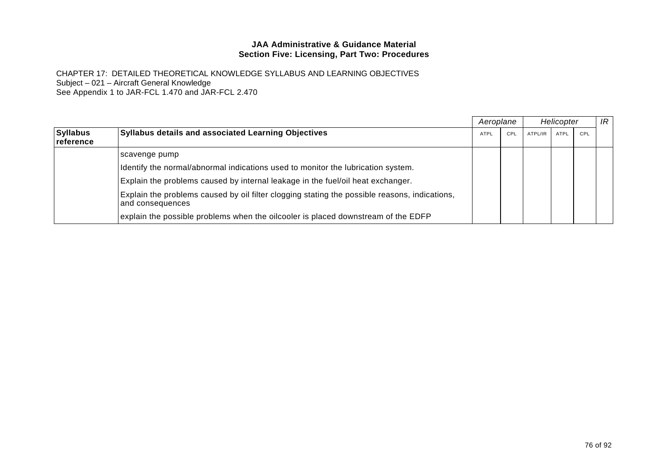|                                     |                                                                                                                   |             | Aeroplane |         | Helicopter |     |  |
|-------------------------------------|-------------------------------------------------------------------------------------------------------------------|-------------|-----------|---------|------------|-----|--|
| <b>Syllabus</b><br><b>reference</b> | <b>Syllabus details and associated Learning Objectives</b>                                                        | <b>ATPL</b> | CPL       | ATPL/IR | ATPL       | CPL |  |
|                                     | scavenge pump                                                                                                     |             |           |         |            |     |  |
|                                     | Identify the normal/abnormal indications used to monitor the lubrication system.                                  |             |           |         |            |     |  |
|                                     | Explain the problems caused by internal leakage in the fuel/oil heat exchanger.                                   |             |           |         |            |     |  |
|                                     | Explain the problems caused by oil filter clogging stating the possible reasons, indications,<br>and consequences |             |           |         |            |     |  |
|                                     | explain the possible problems when the oilcooler is placed downstream of the EDFP                                 |             |           |         |            |     |  |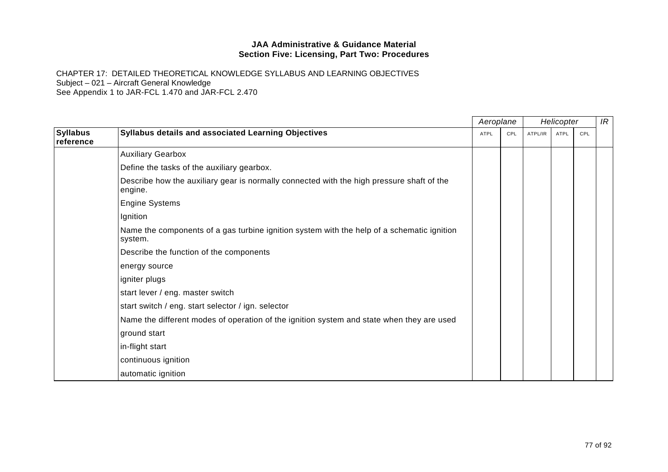|                              |                                                                                                       |      | Aeroplane |         | Helicopter  |     | IR |
|------------------------------|-------------------------------------------------------------------------------------------------------|------|-----------|---------|-------------|-----|----|
| <b>Syllabus</b><br>reference | Syllabus details and associated Learning Objectives                                                   | ATPL | CPL       | ATPL/IR | <b>ATPL</b> | CPL |    |
|                              | <b>Auxiliary Gearbox</b>                                                                              |      |           |         |             |     |    |
|                              | Define the tasks of the auxiliary gearbox.                                                            |      |           |         |             |     |    |
|                              | Describe how the auxiliary gear is normally connected with the high pressure shaft of the<br>engine.  |      |           |         |             |     |    |
|                              | <b>Engine Systems</b>                                                                                 |      |           |         |             |     |    |
|                              | Ignition                                                                                              |      |           |         |             |     |    |
|                              | Name the components of a gas turbine ignition system with the help of a schematic ignition<br>system. |      |           |         |             |     |    |
|                              | Describe the function of the components                                                               |      |           |         |             |     |    |
|                              | energy source                                                                                         |      |           |         |             |     |    |
|                              | igniter plugs                                                                                         |      |           |         |             |     |    |
|                              | start lever / eng. master switch                                                                      |      |           |         |             |     |    |
|                              | start switch / eng. start selector / ign. selector                                                    |      |           |         |             |     |    |
|                              | Name the different modes of operation of the ignition system and state when they are used             |      |           |         |             |     |    |
|                              | ground start                                                                                          |      |           |         |             |     |    |
|                              | in-flight start                                                                                       |      |           |         |             |     |    |
|                              | continuous ignition                                                                                   |      |           |         |             |     |    |
|                              | automatic ignition                                                                                    |      |           |         |             |     |    |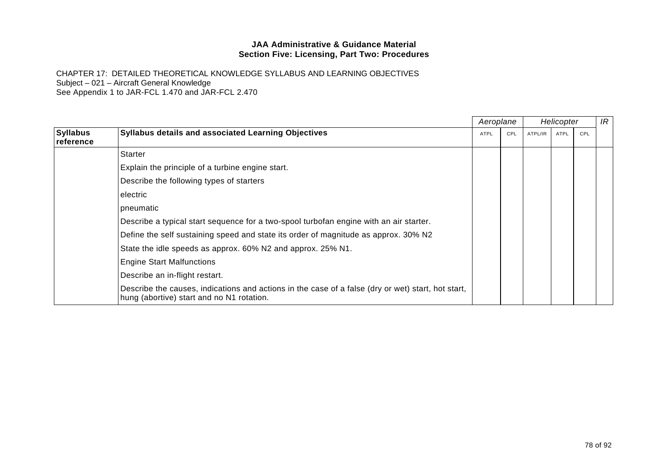|                              |                                                                                                                                                 | Aeroplane   |     |         | Helicopter |     | IR |
|------------------------------|-------------------------------------------------------------------------------------------------------------------------------------------------|-------------|-----|---------|------------|-----|----|
| <b>Syllabus</b><br>reference | <b>Syllabus details and associated Learning Objectives</b>                                                                                      | <b>ATPL</b> | CPL | ATPL/IR | ATPL       | CPL |    |
|                              | <b>Starter</b>                                                                                                                                  |             |     |         |            |     |    |
|                              | Explain the principle of a turbine engine start.                                                                                                |             |     |         |            |     |    |
|                              | Describe the following types of starters                                                                                                        |             |     |         |            |     |    |
|                              | electric                                                                                                                                        |             |     |         |            |     |    |
|                              | pneumatic                                                                                                                                       |             |     |         |            |     |    |
|                              | Describe a typical start sequence for a two-spool turbofan engine with an air starter.                                                          |             |     |         |            |     |    |
|                              | Define the self sustaining speed and state its order of magnitude as approx. 30% N2                                                             |             |     |         |            |     |    |
|                              | State the idle speeds as approx. 60% N2 and approx. 25% N1.                                                                                     |             |     |         |            |     |    |
|                              | <b>Engine Start Malfunctions</b>                                                                                                                |             |     |         |            |     |    |
|                              | Describe an in-flight restart.                                                                                                                  |             |     |         |            |     |    |
|                              | Describe the causes, indications and actions in the case of a false (dry or wet) start, hot start,<br>hung (abortive) start and no N1 rotation. |             |     |         |            |     |    |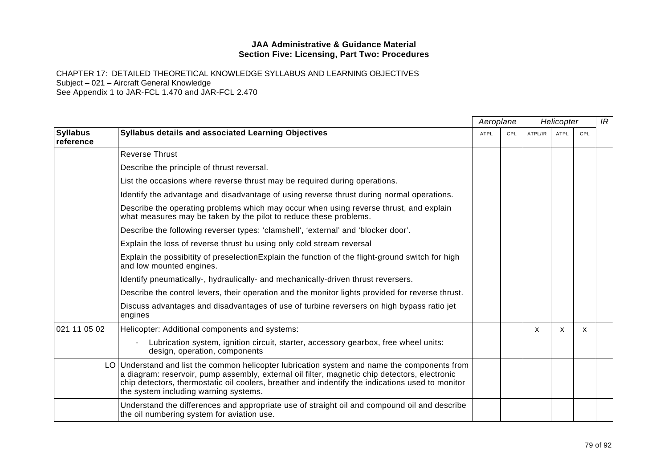|                              | Aeroplane                                                                                                                                                                                                                                                                                                                                  |             |     | Helicopter |             |     | IR |
|------------------------------|--------------------------------------------------------------------------------------------------------------------------------------------------------------------------------------------------------------------------------------------------------------------------------------------------------------------------------------------|-------------|-----|------------|-------------|-----|----|
| <b>Syllabus</b><br>reference | Syllabus details and associated Learning Objectives                                                                                                                                                                                                                                                                                        | <b>ATPL</b> | CPL | ATPL/IR    | <b>ATPL</b> | CPL |    |
|                              | <b>Reverse Thrust</b>                                                                                                                                                                                                                                                                                                                      |             |     |            |             |     |    |
|                              | Describe the principle of thrust reversal.                                                                                                                                                                                                                                                                                                 |             |     |            |             |     |    |
|                              | List the occasions where reverse thrust may be required during operations.                                                                                                                                                                                                                                                                 |             |     |            |             |     |    |
|                              | Identify the advantage and disadvantage of using reverse thrust during normal operations.                                                                                                                                                                                                                                                  |             |     |            |             |     |    |
|                              | Describe the operating problems which may occur when using reverse thrust, and explain<br>what measures may be taken by the pilot to reduce these problems.                                                                                                                                                                                |             |     |            |             |     |    |
|                              | Describe the following reverser types: 'clamshell', 'external' and 'blocker door'.                                                                                                                                                                                                                                                         |             |     |            |             |     |    |
|                              | Explain the loss of reverse thrust bu using only cold stream reversal                                                                                                                                                                                                                                                                      |             |     |            |             |     |    |
|                              | Explain the possibitity of preselection Explain the function of the flight-ground switch for high<br>and low mounted engines.                                                                                                                                                                                                              |             |     |            |             |     |    |
|                              | Identify pneumatically-, hydraulically- and mechanically-driven thrust reversers.                                                                                                                                                                                                                                                          |             |     |            |             |     |    |
|                              | Describe the control levers, their operation and the monitor lights provided for reverse thrust.                                                                                                                                                                                                                                           |             |     |            |             |     |    |
|                              | Discuss advantages and disadvantages of use of turbine reversers on high bypass ratio jet<br>engines                                                                                                                                                                                                                                       |             |     |            |             |     |    |
| 021 11 05 02                 | Helicopter: Additional components and systems:                                                                                                                                                                                                                                                                                             |             |     | X          | X           | X   |    |
|                              | Lubrication system, ignition circuit, starter, accessory gearbox, free wheel units:<br>design, operation, components                                                                                                                                                                                                                       |             |     |            |             |     |    |
|                              | LO Understand and list the common helicopter lubrication system and name the components from<br>a diagram: reservoir, pump assembly, external oil filter, magnetic chip detectors, electronic<br>chip detectors, thermostatic oil coolers, breather and indentify the indications used to monitor<br>the system including warning systems. |             |     |            |             |     |    |
|                              | Understand the differences and appropriate use of straight oil and compound oil and describe<br>the oil numbering system for aviation use.                                                                                                                                                                                                 |             |     |            |             |     |    |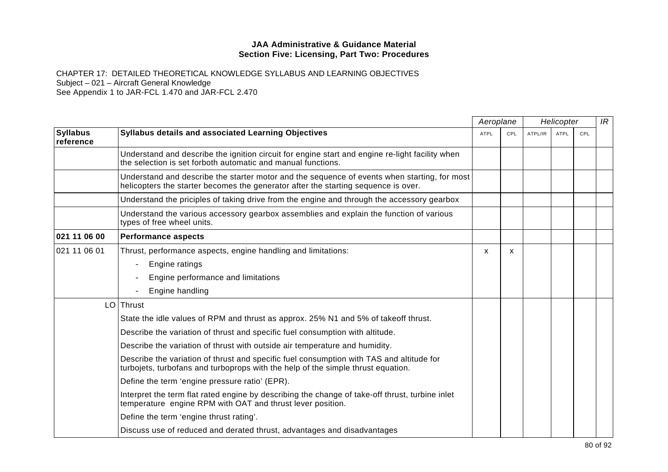|                              |                                                                                                                                                                                    | Aeroplane   |     |         | Helicopter  |     | IR |
|------------------------------|------------------------------------------------------------------------------------------------------------------------------------------------------------------------------------|-------------|-----|---------|-------------|-----|----|
| <b>Syllabus</b><br>reference | Syllabus details and associated Learning Objectives                                                                                                                                | <b>ATPL</b> | CPL | ATPL/IR | <b>ATPL</b> | CPL |    |
|                              | Understand and describe the ignition circuit for engine start and engine re-light facility when<br>the selection is set forboth automatic and manual functions.                    |             |     |         |             |     |    |
|                              | Understand and describe the starter motor and the sequence of events when starting, for most<br>helicopters the starter becomes the generator after the starting sequence is over. |             |     |         |             |     |    |
|                              | Understand the priciples of taking drive from the engine and through the accessory gearbox                                                                                         |             |     |         |             |     |    |
|                              | Understand the various accessory gearbox assemblies and explain the function of various<br>types of free wheel units.                                                              |             |     |         |             |     |    |
| 021 11 06 00                 | <b>Performance aspects</b>                                                                                                                                                         |             |     |         |             |     |    |
| 021 11 06 01                 | Thrust, performance aspects, engine handling and limitations:                                                                                                                      | X           | X   |         |             |     |    |
|                              | Engine ratings                                                                                                                                                                     |             |     |         |             |     |    |
|                              | Engine performance and limitations                                                                                                                                                 |             |     |         |             |     |    |
|                              | Engine handling                                                                                                                                                                    |             |     |         |             |     |    |
|                              | $LO$ Thrust                                                                                                                                                                        |             |     |         |             |     |    |
|                              | State the idle values of RPM and thrust as approx. 25% N1 and 5% of takeoff thrust.                                                                                                |             |     |         |             |     |    |
|                              | Describe the variation of thrust and specific fuel consumption with altitude.                                                                                                      |             |     |         |             |     |    |
|                              | Describe the variation of thrust with outside air temperature and humidity.                                                                                                        |             |     |         |             |     |    |
|                              | Describe the variation of thrust and specific fuel consumption with TAS and altitude for<br>turbojets, turbofans and turboprops with the help of the simple thrust equation.       |             |     |         |             |     |    |
|                              | Define the term 'engine pressure ratio' (EPR).                                                                                                                                     |             |     |         |             |     |    |
|                              | Interpret the term flat rated engine by describing the change of take-off thrust, turbine inlet<br>temperature engine RPM with OAT and thrust lever position.                      |             |     |         |             |     |    |
|                              | Define the term 'engine thrust rating'.                                                                                                                                            |             |     |         |             |     |    |
|                              | Discuss use of reduced and derated thrust, advantages and disadvantages                                                                                                            |             |     |         |             |     |    |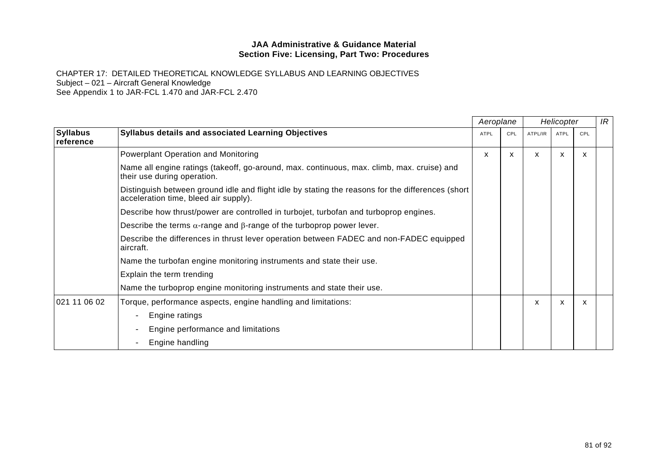|                              |                                                                                                                                            |             | Aeroplane |         | Helicopter  |     | IR |
|------------------------------|--------------------------------------------------------------------------------------------------------------------------------------------|-------------|-----------|---------|-------------|-----|----|
| <b>Syllabus</b><br>reference | <b>Syllabus details and associated Learning Objectives</b>                                                                                 | <b>ATPL</b> | CPL       | ATPL/IR | <b>ATPL</b> | CPL |    |
|                              | Powerplant Operation and Monitoring                                                                                                        | X           | X         | x       | X           | X   |    |
|                              | Name all engine ratings (takeoff, go-around, max. continuous, max. climb, max. cruise) and<br>their use during operation.                  |             |           |         |             |     |    |
|                              | Distinguish between ground idle and flight idle by stating the reasons for the differences (short<br>acceleration time, bleed air supply). |             |           |         |             |     |    |
|                              | Describe how thrust/power are controlled in turbojet, turbofan and turboprop engines.                                                      |             |           |         |             |     |    |
|                              | Describe the terms $\alpha$ -range and $\beta$ -range of the turboprop power lever.                                                        |             |           |         |             |     |    |
|                              | Describe the differences in thrust lever operation between FADEC and non-FADEC equipped<br>aircraft.                                       |             |           |         |             |     |    |
|                              | Name the turbofan engine monitoring instruments and state their use.                                                                       |             |           |         |             |     |    |
|                              | Explain the term trending                                                                                                                  |             |           |         |             |     |    |
|                              | Name the turboprop engine monitoring instruments and state their use.                                                                      |             |           |         |             |     |    |
| 021 11 06 02                 | Torque, performance aspects, engine handling and limitations:                                                                              |             |           | X       | X           | X   |    |
|                              | Engine ratings<br>$\qquad \qquad -$                                                                                                        |             |           |         |             |     |    |
|                              | Engine performance and limitations<br>$\overline{\phantom{m}}$                                                                             |             |           |         |             |     |    |
|                              | Engine handling                                                                                                                            |             |           |         |             |     |    |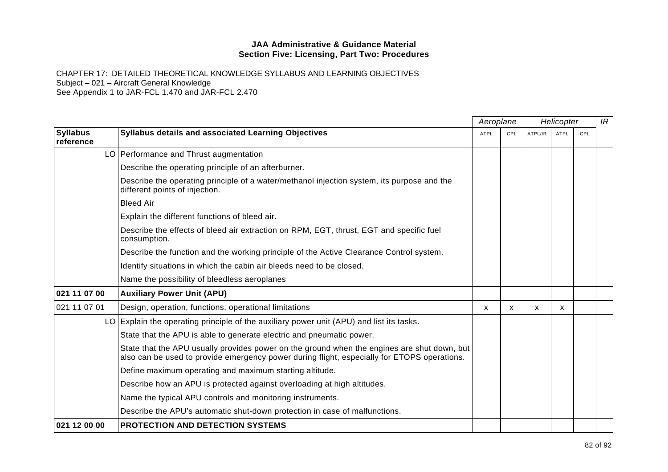|                              |                                                                                                                                                                                            | Aeroplane   |     |         | Helicopter  |            | IR |
|------------------------------|--------------------------------------------------------------------------------------------------------------------------------------------------------------------------------------------|-------------|-----|---------|-------------|------------|----|
| <b>Syllabus</b><br>reference | <b>Syllabus details and associated Learning Objectives</b>                                                                                                                                 | <b>ATPL</b> | CPL | ATPL/IR | <b>ATPL</b> | <b>CPL</b> |    |
|                              | LO   Performance and Thrust augmentation                                                                                                                                                   |             |     |         |             |            |    |
|                              | Describe the operating principle of an afterburner.                                                                                                                                        |             |     |         |             |            |    |
|                              | Describe the operating principle of a water/methanol injection system, its purpose and the<br>different points of injection.                                                               |             |     |         |             |            |    |
|                              | <b>Bleed Air</b>                                                                                                                                                                           |             |     |         |             |            |    |
|                              | Explain the different functions of bleed air.                                                                                                                                              |             |     |         |             |            |    |
|                              | Describe the effects of bleed air extraction on RPM, EGT, thrust, EGT and specific fuel<br>consumption.                                                                                    |             |     |         |             |            |    |
|                              | Describe the function and the working principle of the Active Clearance Control system.                                                                                                    |             |     |         |             |            |    |
|                              | Identify situations in which the cabin air bleeds need to be closed.                                                                                                                       |             |     |         |             |            |    |
|                              | Name the possibility of bleedless aeroplanes                                                                                                                                               |             |     |         |             |            |    |
| 021 11 07 00                 | <b>Auxiliary Power Unit (APU)</b>                                                                                                                                                          |             |     |         |             |            |    |
| 021 11 07 01                 | Design, operation, functions, operational limitations                                                                                                                                      | X           | X   | X       | X           |            |    |
|                              | LO Explain the operating principle of the auxiliary power unit (APU) and list its tasks.                                                                                                   |             |     |         |             |            |    |
|                              | State that the APU is able to generate electric and pneumatic power.                                                                                                                       |             |     |         |             |            |    |
|                              | State that the APU usually provides power on the ground when the engines are shut down, but<br>also can be used to provide emergency power during flight, especially for ETOPS operations. |             |     |         |             |            |    |
|                              | Define maximum operating and maximum starting altitude.                                                                                                                                    |             |     |         |             |            |    |
|                              | Describe how an APU is protected against overloading at high altitudes.                                                                                                                    |             |     |         |             |            |    |
|                              | Name the typical APU controls and monitoring instruments.                                                                                                                                  |             |     |         |             |            |    |
|                              | Describe the APU's automatic shut-down protection in case of malfunctions.                                                                                                                 |             |     |         |             |            |    |
| 021 12 00 00                 | <b>PROTECTION AND DETECTION SYSTEMS</b>                                                                                                                                                    |             |     |         |             |            |    |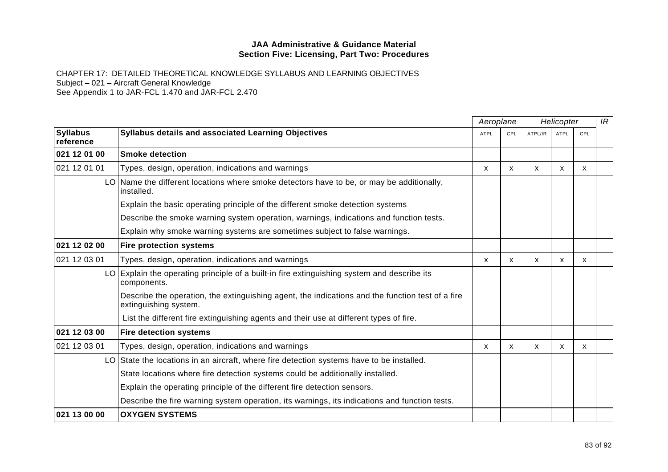|                              |                                                                                                                           |             | Aeroplane | Helicopter   |             |            | IR |
|------------------------------|---------------------------------------------------------------------------------------------------------------------------|-------------|-----------|--------------|-------------|------------|----|
| <b>Syllabus</b><br>reference | <b>Syllabus details and associated Learning Objectives</b>                                                                | <b>ATPL</b> | CPL       | ATPL/IR      | <b>ATPL</b> | <b>CPL</b> |    |
| 021 12 01 00                 | <b>Smoke detection</b>                                                                                                    |             |           |              |             |            |    |
| 021 12 01 01                 | Types, design, operation, indications and warnings                                                                        | X           | X         | $\mathsf{x}$ | X           | X          |    |
|                              | LO Name the different locations where smoke detectors have to be, or may be additionally,<br>installed.                   |             |           |              |             |            |    |
|                              | Explain the basic operating principle of the different smoke detection systems                                            |             |           |              |             |            |    |
|                              | Describe the smoke warning system operation, warnings, indications and function tests.                                    |             |           |              |             |            |    |
|                              | Explain why smoke warning systems are sometimes subject to false warnings.                                                |             |           |              |             |            |    |
| 021 12 02 00                 | <b>Fire protection systems</b>                                                                                            |             |           |              |             |            |    |
| 021 12 03 01                 | Types, design, operation, indications and warnings                                                                        | X           | X         | X            | X           | X          |    |
|                              | LO Explain the operating principle of a built-in fire extinguishing system and describe its<br>components.                |             |           |              |             |            |    |
|                              | Describe the operation, the extinguishing agent, the indications and the function test of a fire<br>extinguishing system. |             |           |              |             |            |    |
|                              | List the different fire extinguishing agents and their use at different types of fire.                                    |             |           |              |             |            |    |
| 021 12 03 00                 | <b>Fire detection systems</b>                                                                                             |             |           |              |             |            |    |
| 021 12 03 01                 | Types, design, operation, indications and warnings                                                                        | X           | X         | X            | X           | X          |    |
|                              | LO State the locations in an aircraft, where fire detection systems have to be installed.                                 |             |           |              |             |            |    |
|                              | State locations where fire detection systems could be additionally installed.                                             |             |           |              |             |            |    |
|                              | Explain the operating principle of the different fire detection sensors.                                                  |             |           |              |             |            |    |
|                              | Describe the fire warning system operation, its warnings, its indications and function tests.                             |             |           |              |             |            |    |
| 021 13 00 00                 | <b>OXYGEN SYSTEMS</b>                                                                                                     |             |           |              |             |            |    |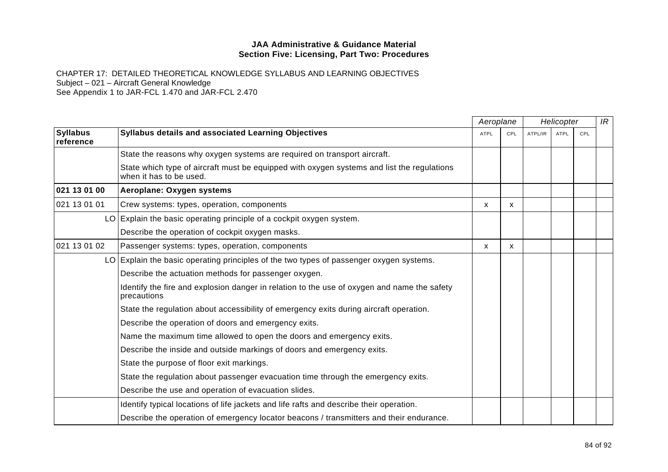|                              |                                                                                                                       | Aeroplane   |     |         | Helicopter  |     | IR |
|------------------------------|-----------------------------------------------------------------------------------------------------------------------|-------------|-----|---------|-------------|-----|----|
| <b>Syllabus</b><br>reference | Syllabus details and associated Learning Objectives                                                                   | <b>ATPL</b> | CPL | ATPL/IR | <b>ATPL</b> | CPL |    |
|                              | State the reasons why oxygen systems are required on transport aircraft.                                              |             |     |         |             |     |    |
|                              | State which type of aircraft must be equipped with oxygen systems and list the regulations<br>when it has to be used. |             |     |         |             |     |    |
| 021 13 01 00                 | Aeroplane: Oxygen systems                                                                                             |             |     |         |             |     |    |
| 021 13 01 01                 | Crew systems: types, operation, components                                                                            | X           | X   |         |             |     |    |
|                              | LO Explain the basic operating principle of a cockpit oxygen system.                                                  |             |     |         |             |     |    |
|                              | Describe the operation of cockpit oxygen masks.                                                                       |             |     |         |             |     |    |
| 021 13 01 02                 | Passenger systems: types, operation, components                                                                       | X           | X   |         |             |     |    |
|                              | LO Explain the basic operating principles of the two types of passenger oxygen systems.                               |             |     |         |             |     |    |
|                              | Describe the actuation methods for passenger oxygen.                                                                  |             |     |         |             |     |    |
|                              | Identify the fire and explosion danger in relation to the use of oxygen and name the safety<br>precautions            |             |     |         |             |     |    |
|                              | State the regulation about accessibility of emergency exits during aircraft operation.                                |             |     |         |             |     |    |
|                              | Describe the operation of doors and emergency exits.                                                                  |             |     |         |             |     |    |
|                              | Name the maximum time allowed to open the doors and emergency exits.                                                  |             |     |         |             |     |    |
|                              | Describe the inside and outside markings of doors and emergency exits.                                                |             |     |         |             |     |    |
|                              | State the purpose of floor exit markings.                                                                             |             |     |         |             |     |    |
|                              | State the regulation about passenger evacuation time through the emergency exits.                                     |             |     |         |             |     |    |
|                              | Describe the use and operation of evacuation slides.                                                                  |             |     |         |             |     |    |
|                              | Identify typical locations of life jackets and life rafts and describe their operation.                               |             |     |         |             |     |    |
|                              | Describe the operation of emergency locator beacons / transmitters and their endurance.                               |             |     |         |             |     |    |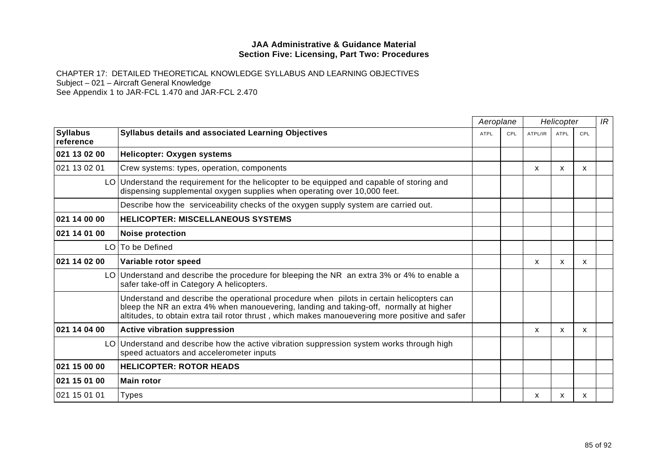|                              |                                                                                                                                                                                                                                                                                      | Aeroplane   |     | Helicopter |              |     | IR |
|------------------------------|--------------------------------------------------------------------------------------------------------------------------------------------------------------------------------------------------------------------------------------------------------------------------------------|-------------|-----|------------|--------------|-----|----|
| <b>Syllabus</b><br>reference | <b>Syllabus details and associated Learning Objectives</b>                                                                                                                                                                                                                           | <b>ATPL</b> | CPL | ATPL/IR    | <b>ATPL</b>  | CPL |    |
| 021 13 02 00                 | Helicopter: Oxygen systems                                                                                                                                                                                                                                                           |             |     |            |              |     |    |
| 021 13 02 01                 | Crew systems: types, operation, components                                                                                                                                                                                                                                           |             |     | x          | $\mathsf{x}$ | X   |    |
|                              | LO Understand the requirement for the helicopter to be equipped and capable of storing and<br>dispensing supplemental oxygen supplies when operating over 10,000 feet.                                                                                                               |             |     |            |              |     |    |
|                              | Describe how the serviceability checks of the oxygen supply system are carried out.                                                                                                                                                                                                  |             |     |            |              |     |    |
| 021 14 00 00                 | <b>HELICOPTER: MISCELLANEOUS SYSTEMS</b>                                                                                                                                                                                                                                             |             |     |            |              |     |    |
| 021 14 01 00                 | <b>Noise protection</b>                                                                                                                                                                                                                                                              |             |     |            |              |     |    |
|                              | LO To be Defined                                                                                                                                                                                                                                                                     |             |     |            |              |     |    |
| 021 14 02 00                 | Variable rotor speed                                                                                                                                                                                                                                                                 |             |     | X          | X            | X   |    |
|                              | LO Understand and describe the procedure for bleeping the NR an extra 3% or 4% to enable a<br>safer take-off in Category A helicopters.                                                                                                                                              |             |     |            |              |     |    |
|                              | Understand and describe the operational procedure when pilots in certain helicopters can<br>bleep the NR an extra 4% when manouevering, landing and taking-off, normally at higher<br>altitudes, to obtain extra tail rotor thrust, which makes manouevering more positive and safer |             |     |            |              |     |    |
| 021 14 04 00                 | <b>Active vibration suppression</b>                                                                                                                                                                                                                                                  |             |     | x          | X            | X   |    |
|                              | LO Understand and describe how the active vibration suppression system works through high<br>speed actuators and accelerometer inputs                                                                                                                                                |             |     |            |              |     |    |
| 021 15 00 00                 | <b>HELICOPTER: ROTOR HEADS</b>                                                                                                                                                                                                                                                       |             |     |            |              |     |    |
| 021 15 01 00                 | <b>Main rotor</b>                                                                                                                                                                                                                                                                    |             |     |            |              |     |    |
| 021 15 01 01                 | Types                                                                                                                                                                                                                                                                                |             |     | X          | X.           | x   |    |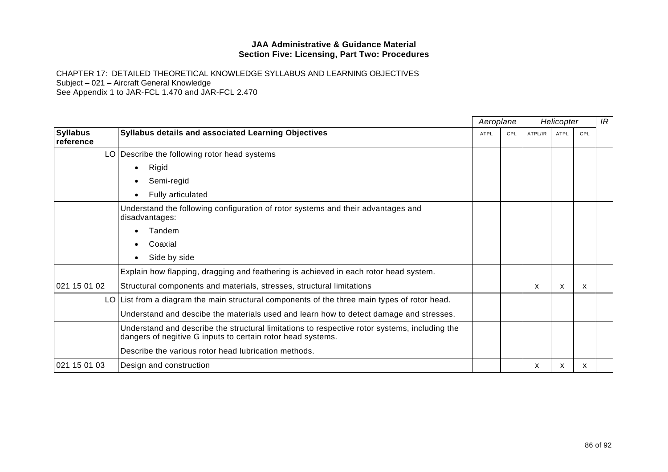CHAPTER 17: DETAILED THEORETICAL KNOWLEDGE SYLLABUS AND LEARNING OBJECTIVES Subject – 021 – Aircraft General Knowledge

See Appendix 1 to JAR-FCL 1.470 and JAR-FCL 2.470

|                              |                                                                                                                                                              | Aeroplane   |     |         | Helicopter |     | IR |
|------------------------------|--------------------------------------------------------------------------------------------------------------------------------------------------------------|-------------|-----|---------|------------|-----|----|
| <b>Syllabus</b><br>reference | Syllabus details and associated Learning Objectives                                                                                                          | <b>ATPL</b> | CPL | ATPL/IR | ATPL       | CPL |    |
|                              | LO   Describe the following rotor head systems                                                                                                               |             |     |         |            |     |    |
|                              | Rigid<br>$\bullet$                                                                                                                                           |             |     |         |            |     |    |
|                              | Semi-regid                                                                                                                                                   |             |     |         |            |     |    |
|                              | Fully articulated<br>$\bullet$                                                                                                                               |             |     |         |            |     |    |
|                              | Understand the following configuration of rotor systems and their advantages and<br>disadvantages:                                                           |             |     |         |            |     |    |
|                              | Tandem<br>$\bullet$                                                                                                                                          |             |     |         |            |     |    |
|                              | Coaxial<br>$\bullet$                                                                                                                                         |             |     |         |            |     |    |
|                              | Side by side                                                                                                                                                 |             |     |         |            |     |    |
|                              | Explain how flapping, dragging and feathering is achieved in each rotor head system.                                                                         |             |     |         |            |     |    |
| 021 15 01 02                 | Structural components and materials, stresses, structural limitations                                                                                        |             |     | x       | X          | x   |    |
|                              | LO List from a diagram the main structural components of the three main types of rotor head.                                                                 |             |     |         |            |     |    |
|                              | Understand and descibe the materials used and learn how to detect damage and stresses.                                                                       |             |     |         |            |     |    |
|                              | Understand and describe the structural limitations to respective rotor systems, including the<br>dangers of negitive G inputs to certain rotor head systems. |             |     |         |            |     |    |
|                              | Describe the various rotor head lubrication methods.                                                                                                         |             |     |         |            |     |    |
| 021 15 01 03                 | Design and construction                                                                                                                                      |             |     | X       | x          | x   |    |
|                              |                                                                                                                                                              |             |     |         |            |     |    |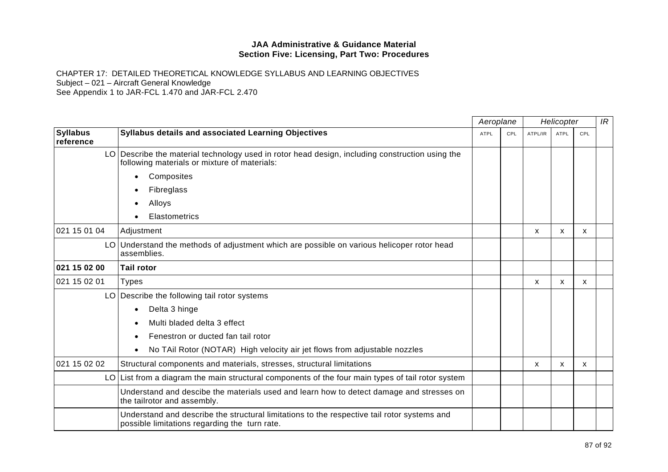CHAPTER 17: DETAILED THEORETICAL KNOWLEDGE SYLLABUS AND LEARNING OBJECTIVES Subject – 021 – Aircraft General Knowledge

See Appendix 1 to JAR-FCL 1.470 and JAR-FCL 2.470

|                              |                                                                                                                                                 | Aeroplane   |     | Helicopter   |             |     | IR |  |
|------------------------------|-------------------------------------------------------------------------------------------------------------------------------------------------|-------------|-----|--------------|-------------|-----|----|--|
| <b>Syllabus</b><br>reference | Syllabus details and associated Learning Objectives                                                                                             | <b>ATPL</b> | CPL | ATPL/IR      | <b>ATPL</b> | CPL |    |  |
|                              | LO Describe the material technology used in rotor head design, including construction using the<br>following materials or mixture of materials: |             |     |              |             |     |    |  |
|                              | Composites<br>$\bullet$                                                                                                                         |             |     |              |             |     |    |  |
|                              | Fibreglass<br>$\bullet$                                                                                                                         |             |     |              |             |     |    |  |
|                              | Alloys<br>$\bullet$                                                                                                                             |             |     |              |             |     |    |  |
|                              | Elastometrics                                                                                                                                   |             |     |              |             |     |    |  |
| 021 15 01 04                 | Adjustment                                                                                                                                      |             |     | $\mathsf{x}$ | X           | X   |    |  |
|                              | LO Understand the methods of adjustment which are possible on various helicoper rotor head<br>assemblies.                                       |             |     |              |             |     |    |  |
| 021 15 02 00                 | <b>Tail rotor</b>                                                                                                                               |             |     |              |             |     |    |  |
| 021 15 02 01                 | <b>Types</b>                                                                                                                                    |             |     | $\mathsf{x}$ | X           | X   |    |  |
|                              | LO Describe the following tail rotor systems                                                                                                    |             |     |              |             |     |    |  |
|                              | Delta 3 hinge<br>$\bullet$                                                                                                                      |             |     |              |             |     |    |  |
|                              | Multi bladed delta 3 effect<br>$\bullet$                                                                                                        |             |     |              |             |     |    |  |
|                              | Fenestron or ducted fan tail rotor<br>$\bullet$                                                                                                 |             |     |              |             |     |    |  |
|                              | No TAil Rotor (NOTAR) High velocity air jet flows from adjustable nozzles<br>$\bullet$                                                          |             |     |              |             |     |    |  |
| 021 15 02 02                 | Structural components and materials, stresses, structural limitations                                                                           |             |     | X            | X           | X   |    |  |
|                              | $LO$ List from a diagram the main structural components of the four main types of tail rotor system                                             |             |     |              |             |     |    |  |
|                              | Understand and descibe the materials used and learn how to detect damage and stresses on<br>the tailrotor and assembly.                         |             |     |              |             |     |    |  |
|                              | Understand and describe the structural limitations to the respective tail rotor systems and<br>possible limitations regarding the turn rate.    |             |     |              |             |     |    |  |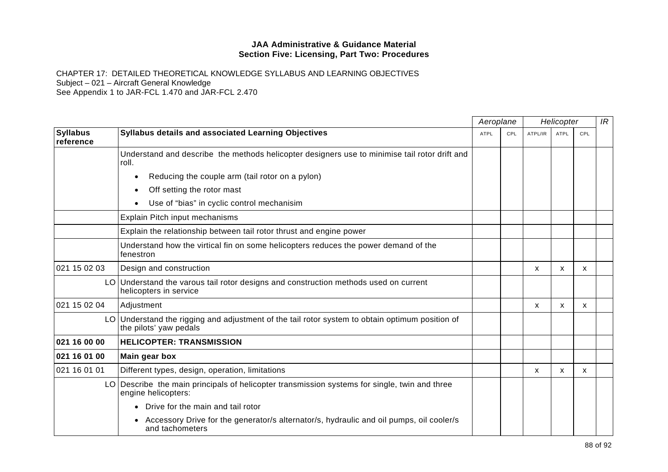CHAPTER 17: DETAILED THEORETICAL KNOWLEDGE SYLLABUS AND LEARNING OBJECTIVES Subject – 021 – Aircraft General Knowledge

See Appendix 1 to JAR-FCL 1.470 and JAR-FCL 2.470

|                              |                                                                                                                           | Aeroplane   |     | Helicopter |             |              | IR |
|------------------------------|---------------------------------------------------------------------------------------------------------------------------|-------------|-----|------------|-------------|--------------|----|
| <b>Syllabus</b><br>reference | Syllabus details and associated Learning Objectives                                                                       | <b>ATPL</b> | CPL | ATPL/IR    | <b>ATPL</b> | CPL          |    |
|                              | Understand and describe the methods helicopter designers use to minimise tail rotor drift and<br>roll.                    |             |     |            |             |              |    |
|                              | Reducing the couple arm (tail rotor on a pylon)<br>$\bullet$                                                              |             |     |            |             |              |    |
|                              | Off setting the rotor mast<br>$\bullet$                                                                                   |             |     |            |             |              |    |
|                              | Use of "bias" in cyclic control mechanisim<br>$\bullet$                                                                   |             |     |            |             |              |    |
|                              | Explain Pitch input mechanisms                                                                                            |             |     |            |             |              |    |
|                              | Explain the relationship between tail rotor thrust and engine power                                                       |             |     |            |             |              |    |
|                              | Understand how the virtical fin on some helicopters reduces the power demand of the<br>fenestron                          |             |     |            |             |              |    |
| 021 15 02 03                 | Design and construction                                                                                                   |             |     | X          | X           | $\mathsf{x}$ |    |
|                              | LO Understand the varous tail rotor designs and construction methods used on current<br>helicopters in service            |             |     |            |             |              |    |
| 021 15 02 04                 | Adjustment                                                                                                                |             |     | x          | X           | X.           |    |
|                              | LO Understand the rigging and adjustment of the tail rotor system to obtain optimum position of<br>the pilots' yaw pedals |             |     |            |             |              |    |
| 021 16 00 00                 | <b>HELICOPTER: TRANSMISSION</b>                                                                                           |             |     |            |             |              |    |
| 021 16 01 00                 | Main gear box                                                                                                             |             |     |            |             |              |    |
| 021 16 01 01                 | Different types, design, operation, limitations                                                                           |             |     | X          | X           | X            |    |
|                              | LO Describe the main principals of helicopter transmission systems for single, twin and three<br>engine helicopters:      |             |     |            |             |              |    |
|                              | Drive for the main and tail rotor<br>$\bullet$                                                                            |             |     |            |             |              |    |
|                              | Accessory Drive for the generator/s alternator/s, hydraulic and oil pumps, oil cooler/s<br>$\bullet$<br>and tachometers   |             |     |            |             |              |    |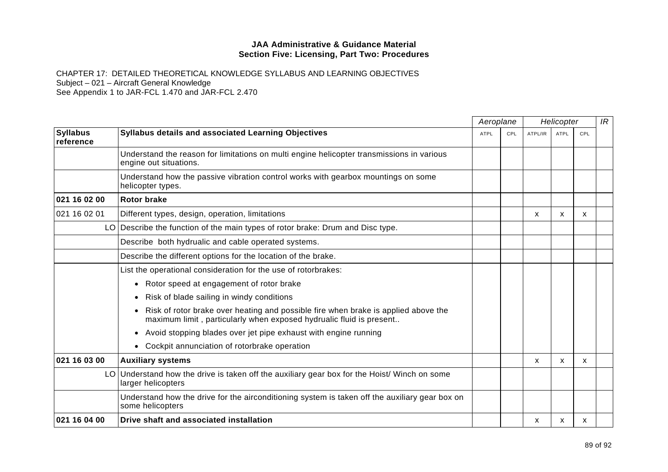|                              |                                                                                                                                                           | Aeroplane   |     | Helicopter |             |     | IR |
|------------------------------|-----------------------------------------------------------------------------------------------------------------------------------------------------------|-------------|-----|------------|-------------|-----|----|
| <b>Syllabus</b><br>reference | <b>Syllabus details and associated Learning Objectives</b>                                                                                                | <b>ATPL</b> | CPL | ATPL/IR    | <b>ATPL</b> | CPL |    |
|                              | Understand the reason for limitations on multi engine helicopter transmissions in various<br>engine out situations.                                       |             |     |            |             |     |    |
|                              | Understand how the passive vibration control works with gearbox mountings on some<br>helicopter types.                                                    |             |     |            |             |     |    |
| 021 16 02 00                 | <b>Rotor brake</b>                                                                                                                                        |             |     |            |             |     |    |
| 021 16 02 01                 | Different types, design, operation, limitations                                                                                                           |             |     | X          | X           | х   |    |
|                              | LO Describe the function of the main types of rotor brake: Drum and Disc type.                                                                            |             |     |            |             |     |    |
|                              | Describe both hydrualic and cable operated systems.                                                                                                       |             |     |            |             |     |    |
|                              | Describe the different options for the location of the brake.                                                                                             |             |     |            |             |     |    |
|                              | List the operational consideration for the use of rotorbrakes:                                                                                            |             |     |            |             |     |    |
|                              | Rotor speed at engagement of rotor brake<br>$\bullet$                                                                                                     |             |     |            |             |     |    |
|                              | Risk of blade sailing in windy conditions<br>$\bullet$                                                                                                    |             |     |            |             |     |    |
|                              | Risk of rotor brake over heating and possible fire when brake is applied above the<br>maximum limit, particularly when exposed hydrualic fluid is present |             |     |            |             |     |    |
|                              | Avoid stopping blades over jet pipe exhaust with engine running<br>$\bullet$                                                                              |             |     |            |             |     |    |
|                              | Cockpit annunciation of rotorbrake operation                                                                                                              |             |     |            |             |     |    |
| 021 16 03 00                 | <b>Auxiliary systems</b>                                                                                                                                  |             |     | X          | X           | X   |    |
|                              | LO Understand how the drive is taken off the auxiliary gear box for the Hoist/ Winch on some<br>larger helicopters                                        |             |     |            |             |     |    |
|                              | Understand how the drive for the airconditioning system is taken off the auxiliary gear box on<br>some helicopters                                        |             |     |            |             |     |    |
| 021 16 04 00                 | Drive shaft and associated installation                                                                                                                   |             |     | x          | x           | х   |    |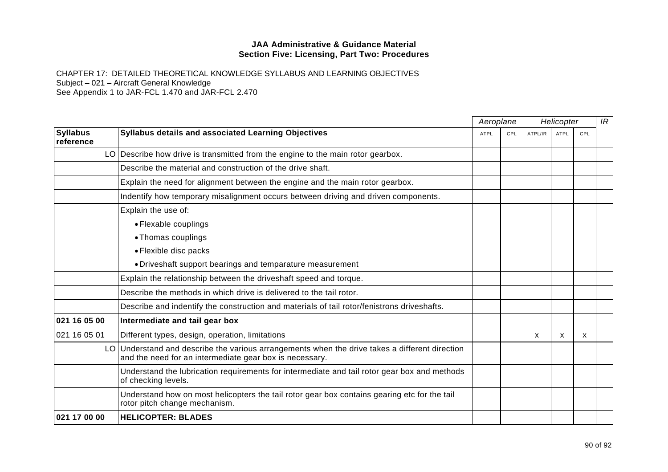|                              |                                                                                                                                                           | Aeroplane   |     | Helicopter                |      |     | IR |  |
|------------------------------|-----------------------------------------------------------------------------------------------------------------------------------------------------------|-------------|-----|---------------------------|------|-----|----|--|
| <b>Syllabus</b><br>reference | Syllabus details and associated Learning Objectives                                                                                                       | <b>ATPL</b> | CPL | ATPL/IR                   | ATPL | CPL |    |  |
|                              | LO Describe how drive is transmitted from the engine to the main rotor gearbox.                                                                           |             |     |                           |      |     |    |  |
|                              | Describe the material and construction of the drive shaft.                                                                                                |             |     |                           |      |     |    |  |
|                              | Explain the need for alignment between the engine and the main rotor gearbox.                                                                             |             |     |                           |      |     |    |  |
|                              | Indentify how temporary misalignment occurs between driving and driven components.                                                                        |             |     |                           |      |     |    |  |
|                              | Explain the use of:                                                                                                                                       |             |     |                           |      |     |    |  |
|                              | • Flexable couplings                                                                                                                                      |             |     |                           |      |     |    |  |
|                              | • Thomas couplings                                                                                                                                        |             |     |                           |      |     |    |  |
|                              | • Flexible disc packs                                                                                                                                     |             |     |                           |      |     |    |  |
|                              | • Driveshaft support bearings and temparature measurement                                                                                                 |             |     |                           |      |     |    |  |
|                              | Explain the relationship between the driveshaft speed and torque.                                                                                         |             |     |                           |      |     |    |  |
|                              | Describe the methods in which drive is delivered to the tail rotor.                                                                                       |             |     |                           |      |     |    |  |
|                              | Describe and indentify the construction and materials of tail rotor/fenistrons driveshafts.                                                               |             |     |                           |      |     |    |  |
| 021 16 05 00                 | Intermediate and tail gear box                                                                                                                            |             |     |                           |      |     |    |  |
| 021 16 05 01                 | Different types, design, operation, limitations                                                                                                           |             |     | $\boldsymbol{\mathsf{x}}$ | X    | X   |    |  |
|                              | LO Understand and describe the various arrangements when the drive takes a different direction<br>and the need for an intermediate gear box is necessary. |             |     |                           |      |     |    |  |
|                              | Understand the lubrication requirements for intermediate and tail rotor gear box and methods<br>of checking levels.                                       |             |     |                           |      |     |    |  |
|                              | Understand how on most helicopters the tail rotor gear box contains gearing etc for the tail<br>rotor pitch change mechanism.                             |             |     |                           |      |     |    |  |
| 021 17 00 00                 | <b>HELICOPTER: BLADES</b>                                                                                                                                 |             |     |                           |      |     |    |  |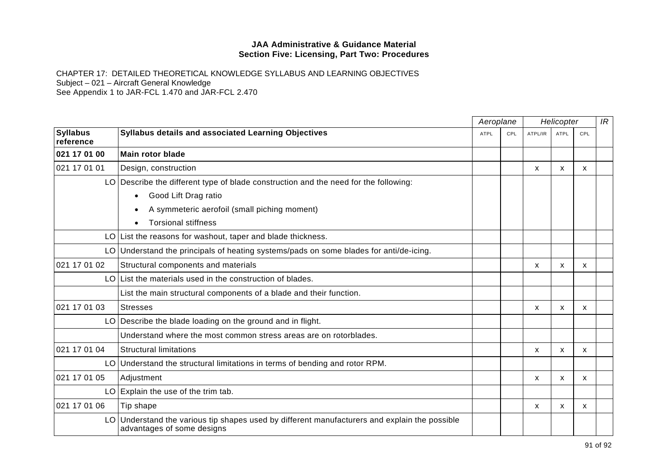|                              |                                                                                                                             | Aeroplane   |     | Helicopter |                           |     | IR |
|------------------------------|-----------------------------------------------------------------------------------------------------------------------------|-------------|-----|------------|---------------------------|-----|----|
| <b>Syllabus</b><br>reference | <b>Syllabus details and associated Learning Objectives</b>                                                                  | <b>ATPL</b> | CPL | ATPL/IR    | <b>ATPL</b>               | CPL |    |
| 021 17 01 00                 | <b>Main rotor blade</b>                                                                                                     |             |     |            |                           |     |    |
| 021 17 01 01                 | Design, construction                                                                                                        |             |     | x          | X                         | X   |    |
|                              | LO Describe the different type of blade construction and the need for the following:                                        |             |     |            |                           |     |    |
|                              | Good Lift Drag ratio<br>$\bullet$                                                                                           |             |     |            |                           |     |    |
|                              | A symmeteric aerofoil (small piching moment)                                                                                |             |     |            |                           |     |    |
|                              | <b>Torsional stiffness</b>                                                                                                  |             |     |            |                           |     |    |
|                              | LO List the reasons for washout, taper and blade thickness.                                                                 |             |     |            |                           |     |    |
|                              | LO Understand the principals of heating systems/pads on some blades for anti/de-icing.                                      |             |     |            |                           |     |    |
| 021 17 01 02                 | Structural components and materials                                                                                         |             |     | X          | X                         | X   |    |
|                              | LO List the materials used in the construction of blades.                                                                   |             |     |            |                           |     |    |
|                              | List the main structural components of a blade and their function.                                                          |             |     |            |                           |     |    |
| 021 17 01 03                 | <b>Stresses</b>                                                                                                             |             |     | X          | X                         | X   |    |
|                              | LO Describe the blade loading on the ground and in flight.                                                                  |             |     |            |                           |     |    |
|                              | Understand where the most common stress areas are on rotorblades.                                                           |             |     |            |                           |     |    |
| 021 17 01 04                 | <b>Structural limitations</b>                                                                                               |             |     | X          | $\boldsymbol{\mathsf{x}}$ | X   |    |
|                              | LO Understand the structural limitations in terms of bending and rotor RPM.                                                 |             |     |            |                           |     |    |
| 021 17 01 05                 | Adjustment                                                                                                                  |             |     | X          | X                         | X   |    |
|                              | LO Explain the use of the trim tab.                                                                                         |             |     |            |                           |     |    |
| 021 17 01 06                 | Tip shape                                                                                                                   |             |     | X          | X                         | X   |    |
|                              | LO Understand the various tip shapes used by different manufacturers and explain the possible<br>advantages of some designs |             |     |            |                           |     |    |